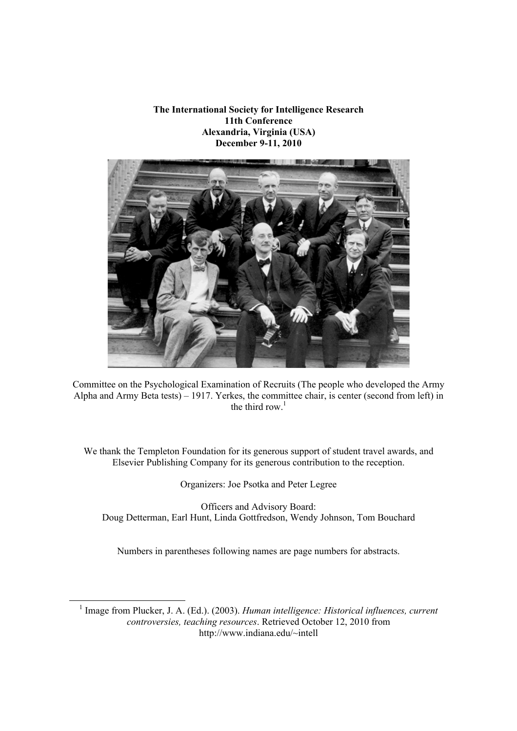**The International Society for Intelligence Research 11th Conference Alexandria, Virginia (USA) December 9-11, 2010**



Committee on the Psychological Examination of Recruits (The people who developed the Army Alpha and Army Beta tests) – 1917. Yerkes, the committee chair, is center (second from left) in the third row. $1$ 

We thank the Templeton Foundation for its generous support of student travel awards, and Elsevier Publishing Company for its generous contribution to the reception.

Organizers: Joe Psotka and Peter Legree

Officers and Advisory Board: Doug Detterman, Earl Hunt, Linda Gottfredson, Wendy Johnson, Tom Bouchard

Numbers in parentheses following names are page numbers for abstracts.

 1 Image from Plucker, J. A. (Ed.). (2003). *Human intelligence: Historical influences, current controversies, teaching resources*. Retrieved October 12, 2010 from http://www.indiana.edu/~intell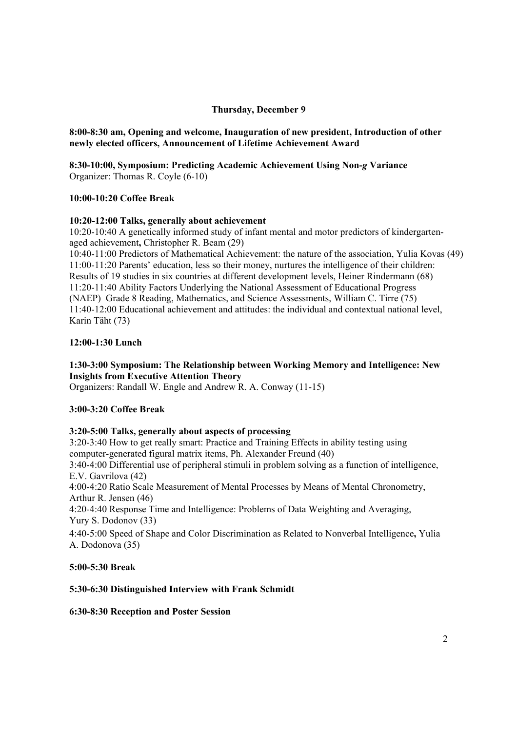# **Thursday, December 9**

# **8:00-8:30 am, Opening and welcome, Inauguration of new president, Introduction of other newly elected officers, Announcement of Lifetime Achievement Award**

**8:30-10:00, Symposium: Predicting Academic Achievement Using Non-***g* **Variance** Organizer: Thomas R. Coyle (6-10)

## **10:00-10:20 Coffee Break**

## **10:20-12:00 Talks, generally about achievement**

10:20-10:40 A genetically informed study of infant mental and motor predictors of kindergartenaged achievement**,** Christopher R. Beam (29)

10:40-11:00 Predictors of Mathematical Achievement: the nature of the association, Yulia Kovas (49) 11:00-11:20 Parents' education, less so their money, nurtures the intelligence of their children: Results of 19 studies in six countries at different development levels, Heiner Rindermann (68) 11:20-11:40 Ability Factors Underlying the National Assessment of Educational Progress (NAEP) Grade 8 Reading, Mathematics, and Science Assessments, William C. Tirre (75) 11:40-12:00 Educational achievement and attitudes: the individual and contextual national level, Karin Täht (73)

# **12:00-1:30 Lunch**

# **1:30-3:00 Symposium: The Relationship between Working Memory and Intelligence: New Insights from Executive Attention Theory**

Organizers: Randall W. Engle and Andrew R. A. Conway (11-15)

## **3:00-3:20 Coffee Break**

# **3:20-5:00 Talks, generally about aspects of processing**

3:20-3:40 How to get really smart: Practice and Training Effects in ability testing using computer-generated figural matrix items, Ph. Alexander Freund (40)

3:40-4:00 Differential use of peripheral stimuli in problem solving as a function of intelligence, E.V. Gavrilova (42)

4:00-4:20 Ratio Scale Measurement of Mental Processes by Means of Mental Chronometry, Arthur R. Jensen (46)

4:20-4:40 Response Time and Intelligence: Problems of Data Weighting and Averaging, Yury S. Dodonov (33)

4:40-5:00 Speed of Shape and Color Discrimination as Related to Nonverbal Intelligence**,** Yulia A. Dodonova (35)

## **5:00-5:30 Break**

# **5:30-6:30 Distinguished Interview with Frank Schmidt**

## **6:30-8:30 Reception and Poster Session**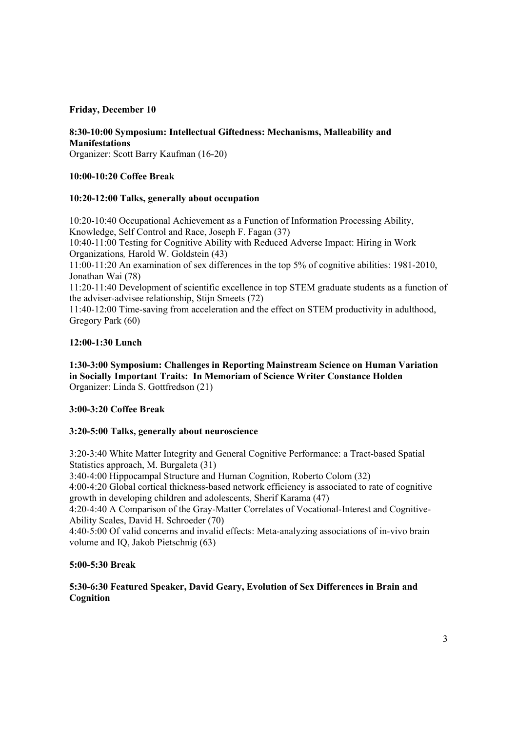## **Friday, December 10**

# **8:30-10:00 Symposium: Intellectual Giftedness: Mechanisms, Malleability and Manifestations**

Organizer: Scott Barry Kaufman (16-20)

# **10:00-10:20 Coffee Break**

# **10:20-12:00 Talks, generally about occupation**

10:20-10:40 Occupational Achievement as a Function of Information Processing Ability, Knowledge, Self Control and Race, Joseph F. Fagan (37)

10:40-11:00 Testing for Cognitive Ability with Reduced Adverse Impact: Hiring in Work Organizations*,* Harold W. Goldstein (43)

11:00-11:20 An examination of sex differences in the top 5% of cognitive abilities: 1981-2010, Jonathan Wai (78)

11:20-11:40 Development of scientific excellence in top STEM graduate students as a function of the adviser-advisee relationship, Stijn Smeets (72)

11:40-12:00 Time-saving from acceleration and the effect on STEM productivity in adulthood, Gregory Park (60)

# **12:00-1:30 Lunch**

**1:30-3:00 Symposium: Challenges in Reporting Mainstream Science on Human Variation in Socially Important Traits: In Memoriam of Science Writer Constance Holden**  Organizer: Linda S. Gottfredson (21)

## **3:00-3:20 Coffee Break**

# **3:20-5:00 Talks, generally about neuroscience**

3:20-3:40 White Matter Integrity and General Cognitive Performance: a Tract-based Spatial Statistics approach, M. Burgaleta (31)

3:40-4:00 Hippocampal Structure and Human Cognition, Roberto Colom (32)

4:00-4:20 Global cortical thickness-based network efficiency is associated to rate of cognitive growth in developing children and adolescents, Sherif Karama (47)

4:20-4:40 A Comparison of the Gray-Matter Correlates of Vocational-Interest and Cognitive-Ability Scales, David H. Schroeder (70)

4:40-5:00 Of valid concerns and invalid effects: Meta-analyzing associations of in-vivo brain volume and IQ, Jakob Pietschnig (63)

## **5:00-5:30 Break**

# **5:30-6:30 Featured Speaker, David Geary, Evolution of Sex Differences in Brain and Cognition**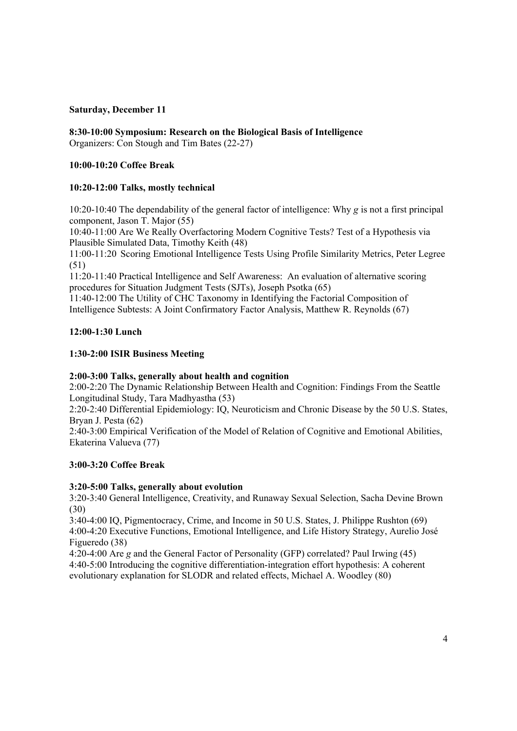# **Saturday, December 11**

**8:30-10:00 Symposium: Research on the Biological Basis of Intelligence** Organizers: Con Stough and Tim Bates (22-27)

# **10:00-10:20 Coffee Break**

# **10:20-12:00 Talks, mostly technical**

10:20-10:40 The dependability of the general factor of intelligence: Why *g* is not a first principal component, Jason T. Major (55)

10:40-11:00 Are We Really Overfactoring Modern Cognitive Tests? Test of a Hypothesis via Plausible Simulated Data, Timothy Keith (48)

11:00-11:20 Scoring Emotional Intelligence Tests Using Profile Similarity Metrics, Peter Legree (51)

11:20-11:40 Practical Intelligence and Self Awareness: An evaluation of alternative scoring procedures for Situation Judgment Tests (SJTs), Joseph Psotka (65)

11:40-12:00 The Utility of CHC Taxonomy in Identifying the Factorial Composition of Intelligence Subtests: A Joint Confirmatory Factor Analysis, Matthew R. Reynolds (67)

# **12:00-1:30 Lunch**

# **1:30-2:00 ISIR Business Meeting**

## **2:00-3:00 Talks, generally about health and cognition**

2:00-2:20 The Dynamic Relationship Between Health and Cognition: Findings From the Seattle Longitudinal Study, Tara Madhyastha (53)

2:20-2:40 Differential Epidemiology: IQ, Neuroticism and Chronic Disease by the 50 U.S. States, Bryan J. Pesta (62)

2:40-3:00 Empirical Verification of the Model of Relation of Cognitive and Emotional Abilities, Ekaterina Valueva (77)

# **3:00-3:20 Coffee Break**

## **3:20-5:00 Talks, generally about evolution**

3:20-3:40 General Intelligence, Creativity, and Runaway Sexual Selection, Sacha Devine Brown (30)

3:40-4:00 IQ, Pigmentocracy, Crime, and Income in 50 U.S. States, J. Philippe Rushton (69) 4:00-4:20 Executive Functions, Emotional Intelligence, and Life History Strategy, Aurelio José Figueredo (38)

4:20-4:00 Are *g* and the General Factor of Personality (GFP) correlated? Paul Irwing (45) 4:40-5:00 Introducing the cognitive differentiation-integration effort hypothesis: A coherent evolutionary explanation for SLODR and related effects, Michael A. Woodley (80)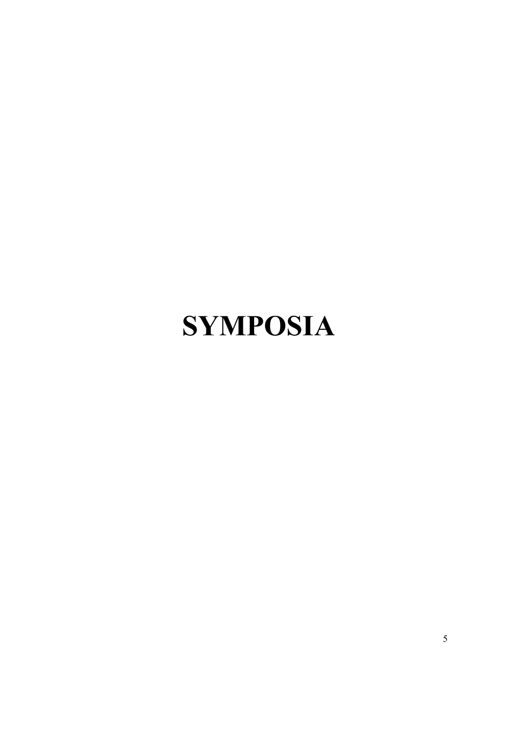# **SYMPOSIA**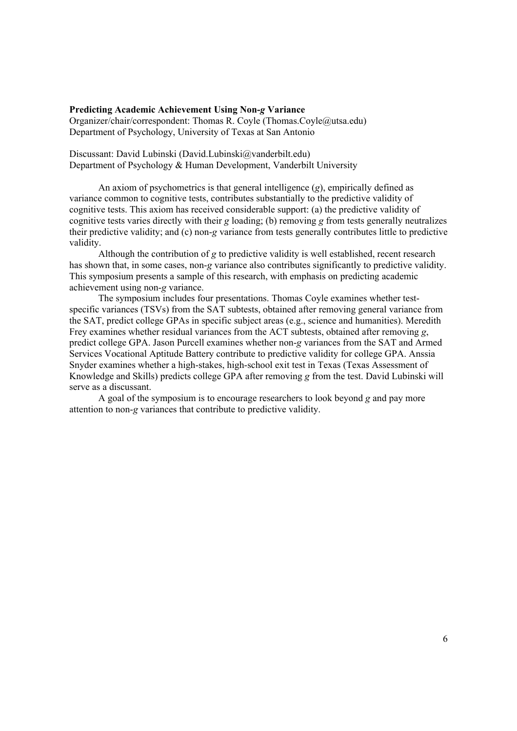#### **Predicting Academic Achievement Using Non-***g* **Variance**

Organizer/chair/correspondent: Thomas R. Coyle (Thomas.Coyle@utsa.edu) Department of Psychology, University of Texas at San Antonio

Discussant: David Lubinski (David.Lubinski@vanderbilt.edu) Department of Psychology & Human Development, Vanderbilt University

An axiom of psychometrics is that general intelligence (*g*), empirically defined as variance common to cognitive tests, contributes substantially to the predictive validity of cognitive tests. This axiom has received considerable support: (a) the predictive validity of cognitive tests varies directly with their *g* loading; (b) removing *g* from tests generally neutralizes their predictive validity; and (c) non-*g* variance from tests generally contributes little to predictive validity.

Although the contribution of *g* to predictive validity is well established, recent research has shown that, in some cases, non-*g* variance also contributes significantly to predictive validity. This symposium presents a sample of this research, with emphasis on predicting academic achievement using non-*g* variance.

The symposium includes four presentations. Thomas Coyle examines whether testspecific variances (TSVs) from the SAT subtests, obtained after removing general variance from the SAT, predict college GPAs in specific subject areas (e.g., science and humanities). Meredith Frey examines whether residual variances from the ACT subtests, obtained after removing *g*, predict college GPA. Jason Purcell examines whether non-*g* variances from the SAT and Armed Services Vocational Aptitude Battery contribute to predictive validity for college GPA. Anssia Snyder examines whether a high-stakes, high-school exit test in Texas (Texas Assessment of Knowledge and Skills) predicts college GPA after removing *g* from the test. David Lubinski will serve as a discussant.

A goal of the symposium is to encourage researchers to look beyond *g* and pay more attention to non-*g* variances that contribute to predictive validity.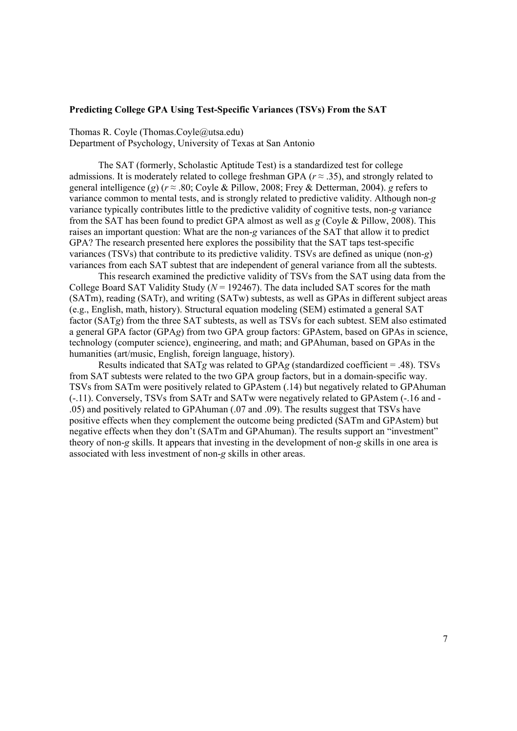## **Predicting College GPA Using Test-Specific Variances (TSVs) From the SAT**

Thomas R. Coyle (Thomas.Coyle@utsa.edu)

Department of Psychology, University of Texas at San Antonio

The SAT (formerly, Scholastic Aptitude Test) is a standardized test for college admissions. It is moderately related to college freshman GPA ( $r \approx .35$ ), and strongly related to general intelligence (*g*) ( $r \approx .80$ ; Coyle & Pillow, 2008; Frey & Detterman, 2004). *g* refers to variance common to mental tests, and is strongly related to predictive validity. Although non-*g* variance typically contributes little to the predictive validity of cognitive tests, non-*g* variance from the SAT has been found to predict GPA almost as well as *g* (Coyle & Pillow, 2008). This raises an important question: What are the non-*g* variances of the SAT that allow it to predict GPA? The research presented here explores the possibility that the SAT taps test-specific variances (TSVs) that contribute to its predictive validity. TSVs are defined as unique (non-*g*) variances from each SAT subtest that are independent of general variance from all the subtests.

This research examined the predictive validity of TSVs from the SAT using data from the College Board SAT Validity Study ( $N = 192467$ ). The data included SAT scores for the math (SATm), reading (SATr), and writing (SATw) subtests, as well as GPAs in different subject areas (e.g., English, math, history). Structural equation modeling (SEM) estimated a general SAT factor (SAT*g*) from the three SAT subtests, as well as TSVs for each subtest. SEM also estimated a general GPA factor (GPA*g*) from two GPA group factors: GPAstem, based on GPAs in science, technology (computer science), engineering, and math; and GPAhuman, based on GPAs in the humanities (art/music, English, foreign language, history).

Results indicated that SAT*g* was related to GPA*g* (standardized coefficient = .48). TSVs from SAT subtests were related to the two GPA group factors, but in a domain-specific way. TSVs from SATm were positively related to GPAstem (.14) but negatively related to GPAhuman (-.11). Conversely, TSVs from SATr and SATw were negatively related to GPAstem (-.16 and - .05) and positively related to GPAhuman (.07 and .09). The results suggest that TSVs have positive effects when they complement the outcome being predicted (SATm and GPAstem) but negative effects when they don't (SATm and GPAhuman). The results support an "investment" theory of non-*g* skills. It appears that investing in the development of non-*g* skills in one area is associated with less investment of non-*g* skills in other areas.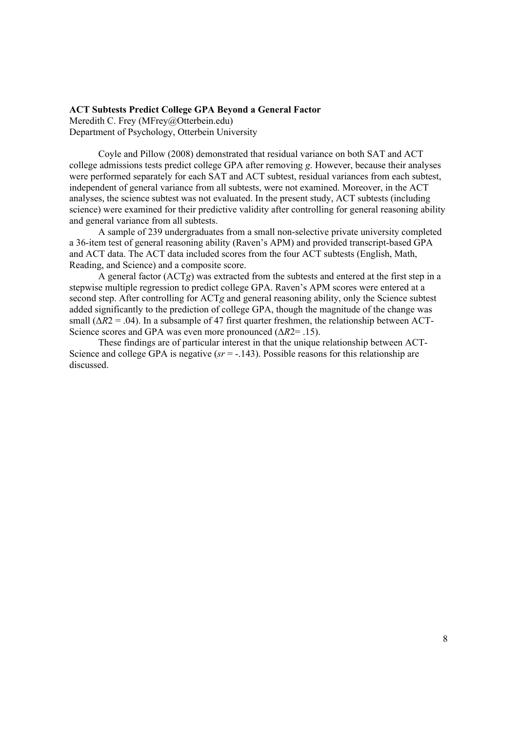#### **ACT Subtests Predict College GPA Beyond a General Factor**

Meredith C. Frey (MFrey@Otterbein.edu) Department of Psychology, Otterbein University

Coyle and Pillow (2008) demonstrated that residual variance on both SAT and ACT college admissions tests predict college GPA after removing *g*. However, because their analyses were performed separately for each SAT and ACT subtest, residual variances from each subtest, independent of general variance from all subtests, were not examined. Moreover, in the ACT analyses, the science subtest was not evaluated. In the present study, ACT subtests (including science) were examined for their predictive validity after controlling for general reasoning ability and general variance from all subtests.

A sample of 239 undergraduates from a small non-selective private university completed a 36-item test of general reasoning ability (Raven's APM) and provided transcript-based GPA and ACT data. The ACT data included scores from the four ACT subtests (English, Math, Reading, and Science) and a composite score.

A general factor (ACT*g*) was extracted from the subtests and entered at the first step in a stepwise multiple regression to predict college GPA. Raven's APM scores were entered at a second step. After controlling for ACT*g* and general reasoning ability, only the Science subtest added significantly to the prediction of college GPA, though the magnitude of the change was small  $(\Delta R2 = .04)$ . In a subsample of 47 first quarter freshmen, the relationship between ACT-Science scores and GPA was even more pronounced (Δ*R*2= .15).

These findings are of particular interest in that the unique relationship between ACT-Science and college GPA is negative ( $sr = -143$ ). Possible reasons for this relationship are discussed.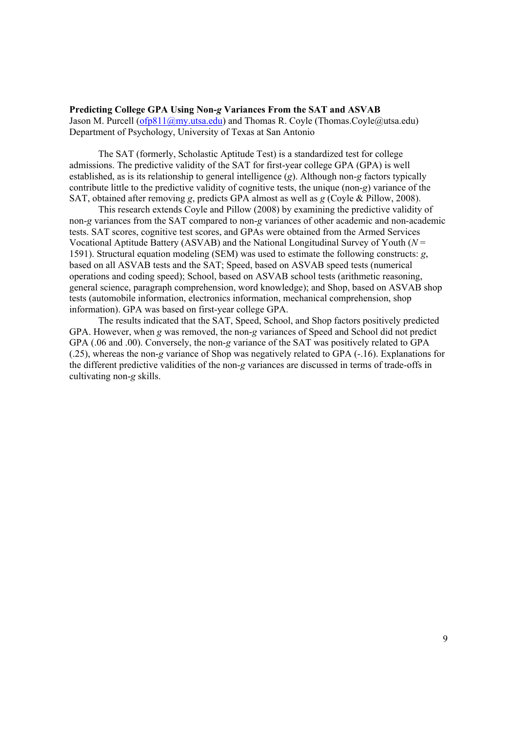#### **Predicting College GPA Using Non-***g* **Variances From the SAT and ASVAB**

Jason M. Purcell (ofp811@my.utsa.edu) and Thomas R. Coyle (Thomas.Coyle@utsa.edu) Department of Psychology, University of Texas at San Antonio

The SAT (formerly, Scholastic Aptitude Test) is a standardized test for college admissions. The predictive validity of the SAT for first-year college GPA (GPA) is well established, as is its relationship to general intelligence (*g*). Although non-*g* factors typically contribute little to the predictive validity of cognitive tests, the unique (non-*g*) variance of the SAT, obtained after removing *g*, predicts GPA almost as well as *g* (Coyle & Pillow, 2008).

This research extends Coyle and Pillow (2008) by examining the predictive validity of non-*g* variances from the SAT compared to non-*g* variances of other academic and non-academic tests. SAT scores, cognitive test scores, and GPAs were obtained from the Armed Services Vocational Aptitude Battery (ASVAB) and the National Longitudinal Survey of Youth (*N* = 1591). Structural equation modeling (SEM) was used to estimate the following constructs: *g*, based on all ASVAB tests and the SAT; Speed, based on ASVAB speed tests (numerical operations and coding speed); School, based on ASVAB school tests (arithmetic reasoning, general science, paragraph comprehension, word knowledge); and Shop, based on ASVAB shop tests (automobile information, electronics information, mechanical comprehension, shop information). GPA was based on first-year college GPA.

The results indicated that the SAT, Speed, School, and Shop factors positively predicted GPA. However, when *g* was removed, the non-*g* variances of Speed and School did not predict GPA (.06 and .00). Conversely, the non-*g* variance of the SAT was positively related to GPA (.25), whereas the non-*g* variance of Shop was negatively related to GPA (-.16). Explanations for the different predictive validities of the non-*g* variances are discussed in terms of trade-offs in cultivating non-*g* skills.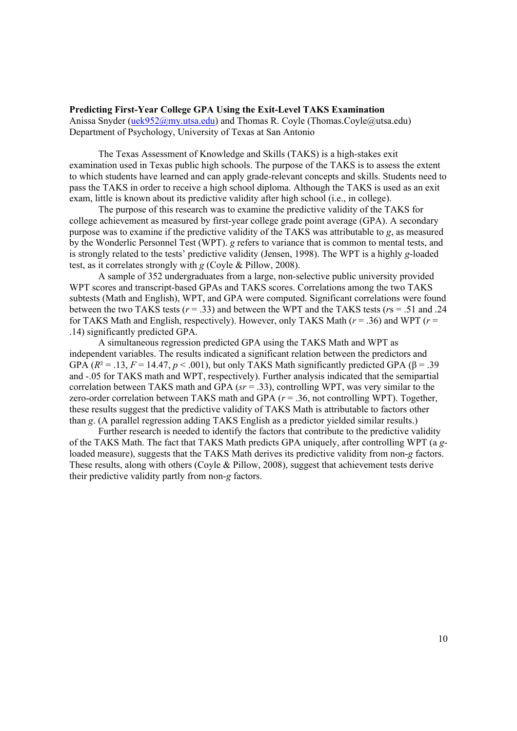#### **Predicting First-Year College GPA Using the Exit-Level TAKS Examination**

Anissa Snyder (uek952@my.utsa.edu) and Thomas R. Coyle (Thomas.Coyle@utsa.edu) Department of Psychology, University of Texas at San Antonio

The Texas Assessment of Knowledge and Skills (TAKS) is a high-stakes exit examination used in Texas public high schools. The purpose of the TAKS is to assess the extent to which students have learned and can apply grade-relevant concepts and skills. Students need to pass the TAKS in order to receive a high school diploma. Although the TAKS is used as an exit exam, little is known about its predictive validity after high school (i.e., in college).

The purpose of this research was to examine the predictive validity of the TAKS for college achievement as measured by first-year college grade point average (GPA). A secondary purpose was to examine if the predictive validity of the TAKS was attributable to *g*, as measured by the Wonderlic Personnel Test (WPT). *g* refers to variance that is common to mental tests, and is strongly related to the tests' predictive validity (Jensen, 1998). The WPT is a highly *g*-loaded test, as it correlates strongly with *g* (Coyle & Pillow, 2008).

A sample of 352 undergraduates from a large, non-selective public university provided WPT scores and transcript-based GPAs and TAKS scores. Correlations among the two TAKS subtests (Math and English), WPT, and GPA were computed. Significant correlations were found between the two TAKS tests  $(r = .33)$  and between the WPT and the TAKS tests  $(r_s = .51$  and .24 for TAKS Math and English, respectively). However, only TAKS Math  $(r = .36)$  and WPT  $(r = .36)$ .14) significantly predicted GPA.

A simultaneous regression predicted GPA using the TAKS Math and WPT as independent variables. The results indicated a significant relation between the predictors and GPA  $(R^2 = .13, F = 14.47, p < .001)$ , but only TAKS Math significantly predicted GPA  $(\beta = .39)$ and -.05 for TAKS math and WPT, respectively). Further analysis indicated that the semipartial correlation between TAKS math and GPA (*sr* = .33), controlling WPT, was very similar to the zero-order correlation between TAKS math and GPA (*r* = .36, not controlling WPT). Together, these results suggest that the predictive validity of TAKS Math is attributable to factors other than *g*. (A parallel regression adding TAKS English as a predictor yielded similar results.)

Further research is needed to identify the factors that contribute to the predictive validity of the TAKS Math. The fact that TAKS Math predicts GPA uniquely, after controlling WPT (a *g*loaded measure), suggests that the TAKS Math derives its predictive validity from non-*g* factors. These results, along with others (Coyle & Pillow, 2008), suggest that achievement tests derive their predictive validity partly from non-*g* factors.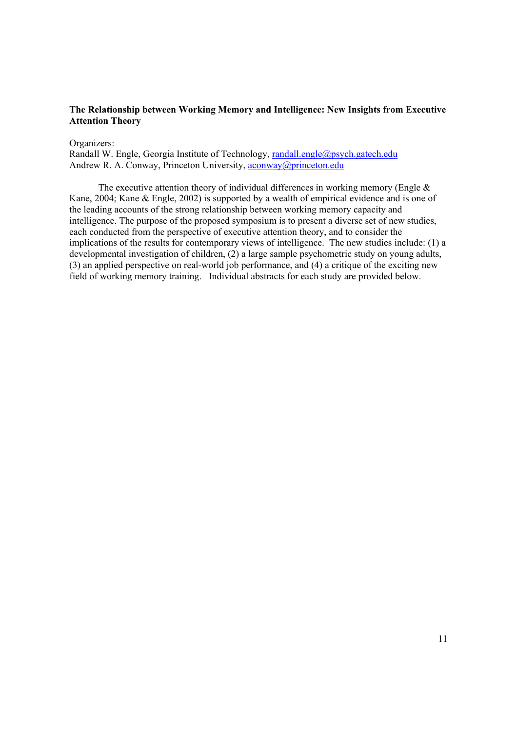# **The Relationship between Working Memory and Intelligence: New Insights from Executive Attention Theory**

#### Organizers:

Randall W. Engle, Georgia Institute of Technology, randall.engle@psych.gatech.edu Andrew R. A. Conway, Princeton University, aconway@princeton.edu

The executive attention theory of individual differences in working memory (Engle  $\&$ Kane, 2004; Kane & Engle, 2002) is supported by a wealth of empirical evidence and is one of the leading accounts of the strong relationship between working memory capacity and intelligence. The purpose of the proposed symposium is to present a diverse set of new studies, each conducted from the perspective of executive attention theory, and to consider the implications of the results for contemporary views of intelligence. The new studies include: (1) a developmental investigation of children, (2) a large sample psychometric study on young adults, (3) an applied perspective on real-world job performance, and (4) a critique of the exciting new field of working memory training. Individual abstracts for each study are provided below.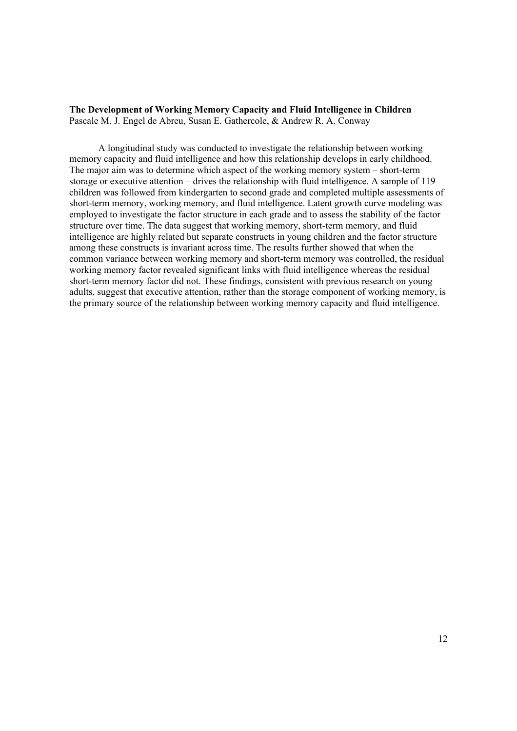#### **The Development of Working Memory Capacity and Fluid Intelligence in Children** Pascale M. J. Engel de Abreu, Susan E. Gathercole, & Andrew R. A. Conway

A longitudinal study was conducted to investigate the relationship between working memory capacity and fluid intelligence and how this relationship develops in early childhood. The major aim was to determine which aspect of the working memory system – short-term storage or executive attention – drives the relationship with fluid intelligence. A sample of 119 children was followed from kindergarten to second grade and completed multiple assessments of short-term memory, working memory, and fluid intelligence. Latent growth curve modeling was employed to investigate the factor structure in each grade and to assess the stability of the factor structure over time. The data suggest that working memory, short-term memory, and fluid intelligence are highly related but separate constructs in young children and the factor structure among these constructs is invariant across time. The results further showed that when the common variance between working memory and short-term memory was controlled, the residual working memory factor revealed significant links with fluid intelligence whereas the residual short-term memory factor did not. These findings, consistent with previous research on young adults, suggest that executive attention, rather than the storage component of working memory, is the primary source of the relationship between working memory capacity and fluid intelligence.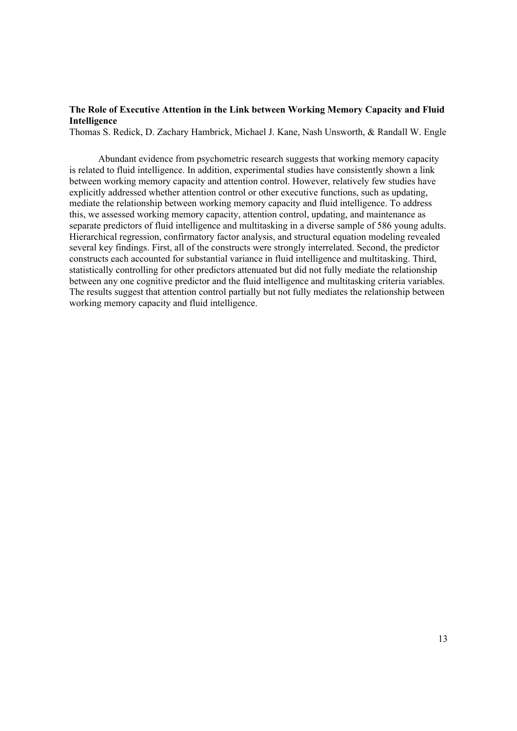# **The Role of Executive Attention in the Link between Working Memory Capacity and Fluid Intelligence**

Thomas S. Redick, D. Zachary Hambrick, Michael J. Kane, Nash Unsworth, & Randall W. Engle

Abundant evidence from psychometric research suggests that working memory capacity is related to fluid intelligence. In addition, experimental studies have consistently shown a link between working memory capacity and attention control. However, relatively few studies have explicitly addressed whether attention control or other executive functions, such as updating, mediate the relationship between working memory capacity and fluid intelligence. To address this, we assessed working memory capacity, attention control, updating, and maintenance as separate predictors of fluid intelligence and multitasking in a diverse sample of 586 young adults. Hierarchical regression, confirmatory factor analysis, and structural equation modeling revealed several key findings. First, all of the constructs were strongly interrelated. Second, the predictor constructs each accounted for substantial variance in fluid intelligence and multitasking. Third, statistically controlling for other predictors attenuated but did not fully mediate the relationship between any one cognitive predictor and the fluid intelligence and multitasking criteria variables. The results suggest that attention control partially but not fully mediates the relationship between working memory capacity and fluid intelligence.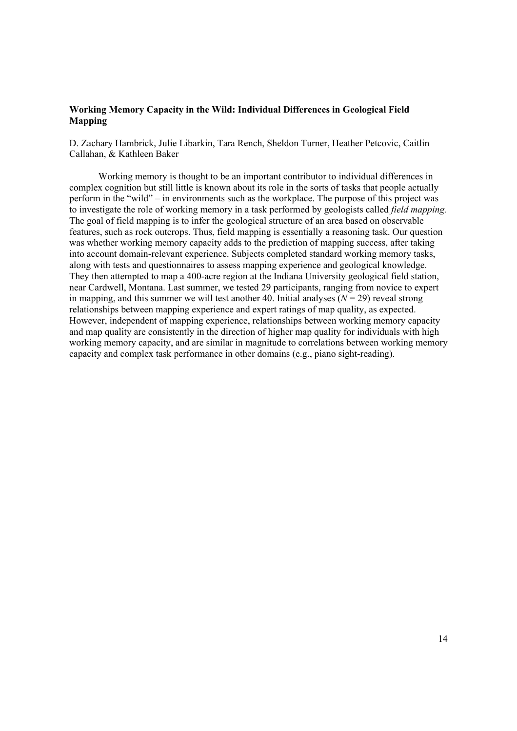# **Working Memory Capacity in the Wild: Individual Differences in Geological Field Mapping**

D. Zachary Hambrick, Julie Libarkin, Tara Rench, Sheldon Turner, Heather Petcovic, Caitlin Callahan, & Kathleen Baker

Working memory is thought to be an important contributor to individual differences in complex cognition but still little is known about its role in the sorts of tasks that people actually perform in the "wild" – in environments such as the workplace. The purpose of this project was to investigate the role of working memory in a task performed by geologists called *field mapping.* The goal of field mapping is to infer the geological structure of an area based on observable features, such as rock outcrops. Thus, field mapping is essentially a reasoning task. Our question was whether working memory capacity adds to the prediction of mapping success, after taking into account domain-relevant experience. Subjects completed standard working memory tasks, along with tests and questionnaires to assess mapping experience and geological knowledge. They then attempted to map a 400-acre region at the Indiana University geological field station, near Cardwell, Montana. Last summer, we tested 29 participants, ranging from novice to expert in mapping, and this summer we will test another 40. Initial analyses  $(N = 29)$  reveal strong relationships between mapping experience and expert ratings of map quality, as expected. However, independent of mapping experience, relationships between working memory capacity and map quality are consistently in the direction of higher map quality for individuals with high working memory capacity, and are similar in magnitude to correlations between working memory capacity and complex task performance in other domains (e.g., piano sight-reading).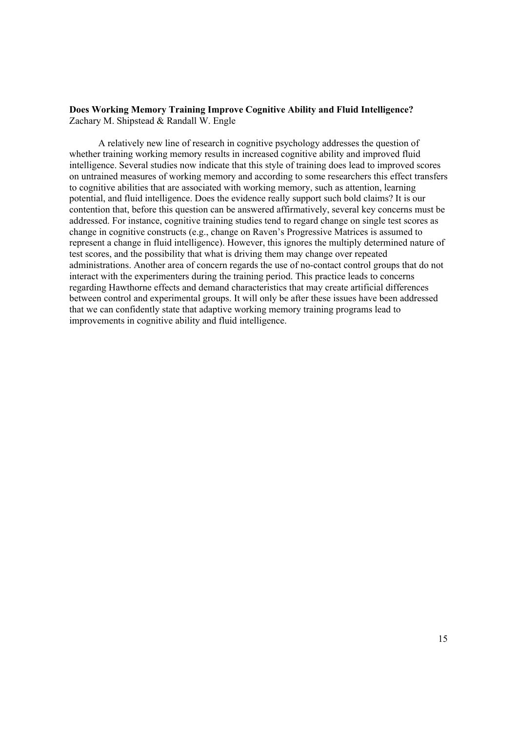## **Does Working Memory Training Improve Cognitive Ability and Fluid Intelligence?** Zachary M. Shipstead & Randall W. Engle

A relatively new line of research in cognitive psychology addresses the question of whether training working memory results in increased cognitive ability and improved fluid intelligence. Several studies now indicate that this style of training does lead to improved scores on untrained measures of working memory and according to some researchers this effect transfers to cognitive abilities that are associated with working memory, such as attention, learning potential, and fluid intelligence. Does the evidence really support such bold claims? It is our contention that, before this question can be answered affirmatively, several key concerns must be addressed. For instance, cognitive training studies tend to regard change on single test scores as change in cognitive constructs (e.g., change on Raven's Progressive Matrices is assumed to represent a change in fluid intelligence). However, this ignores the multiply determined nature of test scores, and the possibility that what is driving them may change over repeated administrations. Another area of concern regards the use of no-contact control groups that do not interact with the experimenters during the training period. This practice leads to concerns regarding Hawthorne effects and demand characteristics that may create artificial differences between control and experimental groups. It will only be after these issues have been addressed that we can confidently state that adaptive working memory training programs lead to improvements in cognitive ability and fluid intelligence.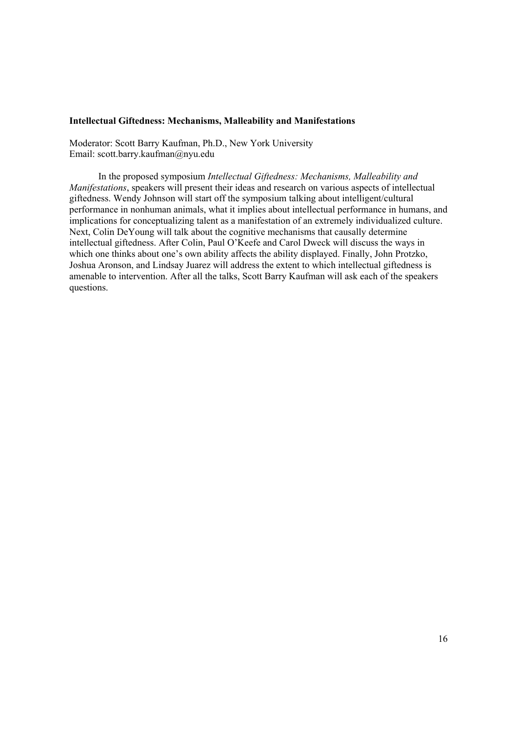## **Intellectual Giftedness: Mechanisms, Malleability and Manifestations**

Moderator: Scott Barry Kaufman, Ph.D., New York University Email: scott.barry.kaufman@nyu.edu

In the proposed symposium *Intellectual Giftedness: Mechanisms, Malleability and Manifestations*, speakers will present their ideas and research on various aspects of intellectual giftedness. Wendy Johnson will start off the symposium talking about intelligent/cultural performance in nonhuman animals, what it implies about intellectual performance in humans, and implications for conceptualizing talent as a manifestation of an extremely individualized culture. Next, Colin DeYoung will talk about the cognitive mechanisms that causally determine intellectual giftedness. After Colin, Paul O'Keefe and Carol Dweck will discuss the ways in which one thinks about one's own ability affects the ability displayed. Finally, John Protzko, Joshua Aronson, and Lindsay Juarez will address the extent to which intellectual giftedness is amenable to intervention. After all the talks, Scott Barry Kaufman will ask each of the speakers questions.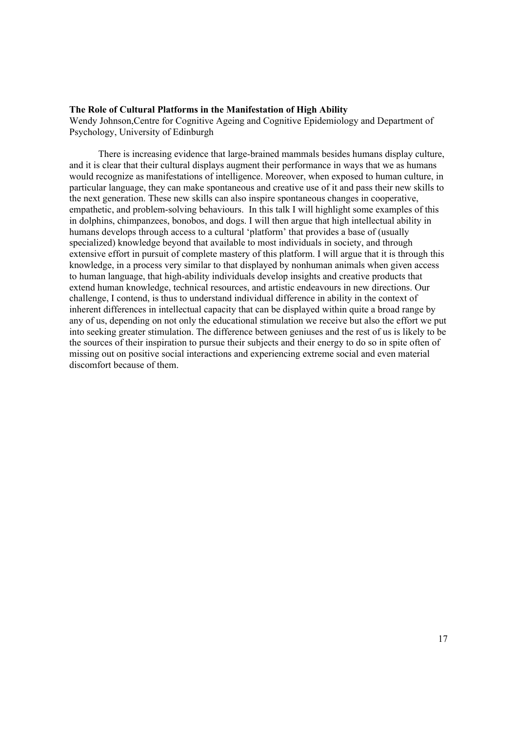#### **The Role of Cultural Platforms in the Manifestation of High Ability**

Wendy Johnson,Centre for Cognitive Ageing and Cognitive Epidemiology and Department of Psychology, University of Edinburgh

There is increasing evidence that large-brained mammals besides humans display culture, and it is clear that their cultural displays augment their performance in ways that we as humans would recognize as manifestations of intelligence. Moreover, when exposed to human culture, in particular language, they can make spontaneous and creative use of it and pass their new skills to the next generation. These new skills can also inspire spontaneous changes in cooperative, empathetic, and problem-solving behaviours. In this talk I will highlight some examples of this in dolphins, chimpanzees, bonobos, and dogs. I will then argue that high intellectual ability in humans develops through access to a cultural 'platform' that provides a base of (usually specialized) knowledge beyond that available to most individuals in society, and through extensive effort in pursuit of complete mastery of this platform. I will argue that it is through this knowledge, in a process very similar to that displayed by nonhuman animals when given access to human language, that high-ability individuals develop insights and creative products that extend human knowledge, technical resources, and artistic endeavours in new directions. Our challenge, I contend, is thus to understand individual difference in ability in the context of inherent differences in intellectual capacity that can be displayed within quite a broad range by any of us, depending on not only the educational stimulation we receive but also the effort we put into seeking greater stimulation. The difference between geniuses and the rest of us is likely to be the sources of their inspiration to pursue their subjects and their energy to do so in spite often of missing out on positive social interactions and experiencing extreme social and even material discomfort because of them.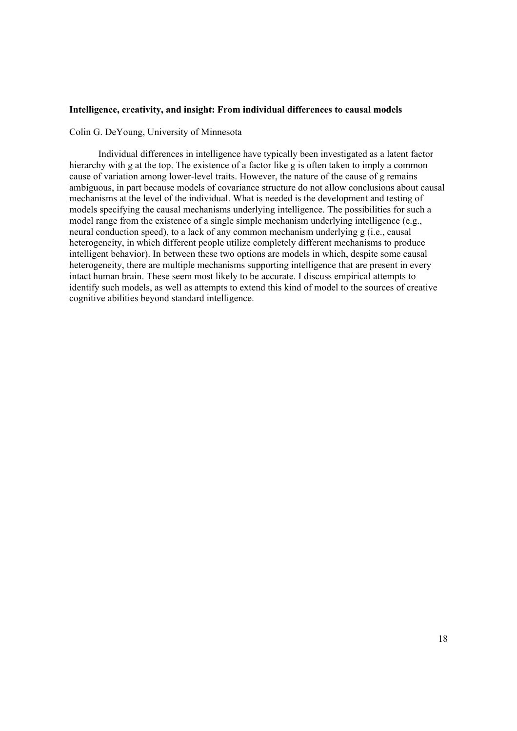#### **Intelligence, creativity, and insight: From individual differences to causal models**

Colin G. DeYoung, University of Minnesota

Individual differences in intelligence have typically been investigated as a latent factor hierarchy with g at the top. The existence of a factor like g is often taken to imply a common cause of variation among lower-level traits. However, the nature of the cause of g remains ambiguous, in part because models of covariance structure do not allow conclusions about causal mechanisms at the level of the individual. What is needed is the development and testing of models specifying the causal mechanisms underlying intelligence. The possibilities for such a model range from the existence of a single simple mechanism underlying intelligence (e.g., neural conduction speed), to a lack of any common mechanism underlying g (i.e., causal heterogeneity, in which different people utilize completely different mechanisms to produce intelligent behavior). In between these two options are models in which, despite some causal heterogeneity, there are multiple mechanisms supporting intelligence that are present in every intact human brain. These seem most likely to be accurate. I discuss empirical attempts to identify such models, as well as attempts to extend this kind of model to the sources of creative cognitive abilities beyond standard intelligence.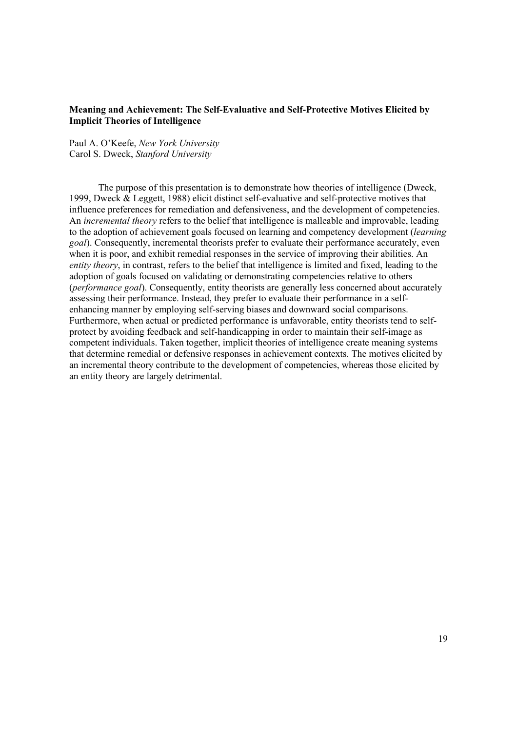# **Meaning and Achievement: The Self-Evaluative and Self-Protective Motives Elicited by Implicit Theories of Intelligence**

Paul A. O'Keefe, *New York University* Carol S. Dweck, *Stanford University*

The purpose of this presentation is to demonstrate how theories of intelligence (Dweck, 1999, Dweck & Leggett, 1988) elicit distinct self-evaluative and self-protective motives that influence preferences for remediation and defensiveness, and the development of competencies. An *incremental theory* refers to the belief that intelligence is malleable and improvable, leading to the adoption of achievement goals focused on learning and competency development (*learning goal*). Consequently, incremental theorists prefer to evaluate their performance accurately, even when it is poor, and exhibit remedial responses in the service of improving their abilities. An *entity theory*, in contrast, refers to the belief that intelligence is limited and fixed, leading to the adoption of goals focused on validating or demonstrating competencies relative to others (*performance goal*). Consequently, entity theorists are generally less concerned about accurately assessing their performance. Instead, they prefer to evaluate their performance in a selfenhancing manner by employing self-serving biases and downward social comparisons. Furthermore, when actual or predicted performance is unfavorable, entity theorists tend to selfprotect by avoiding feedback and self-handicapping in order to maintain their self-image as competent individuals. Taken together, implicit theories of intelligence create meaning systems that determine remedial or defensive responses in achievement contexts. The motives elicited by an incremental theory contribute to the development of competencies, whereas those elicited by an entity theory are largely detrimental.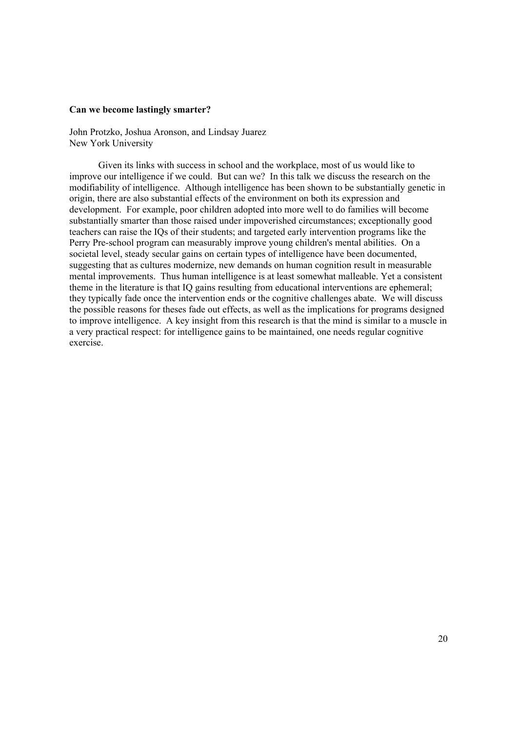## **Can we become lastingly smarter?**

John Protzko, Joshua Aronson, and Lindsay Juarez New York University

Given its links with success in school and the workplace, most of us would like to improve our intelligence if we could. But can we? In this talk we discuss the research on the modifiability of intelligence. Although intelligence has been shown to be substantially genetic in origin, there are also substantial effects of the environment on both its expression and development. For example, poor children adopted into more well to do families will become substantially smarter than those raised under impoverished circumstances; exceptionally good teachers can raise the IQs of their students; and targeted early intervention programs like the Perry Pre-school program can measurably improve young children's mental abilities. On a societal level, steady secular gains on certain types of intelligence have been documented, suggesting that as cultures modernize, new demands on human cognition result in measurable mental improvements. Thus human intelligence is at least somewhat malleable. Yet a consistent theme in the literature is that IQ gains resulting from educational interventions are ephemeral; they typically fade once the intervention ends or the cognitive challenges abate. We will discuss the possible reasons for theses fade out effects, as well as the implications for programs designed to improve intelligence. A key insight from this research is that the mind is similar to a muscle in a very practical respect: for intelligence gains to be maintained, one needs regular cognitive exercise.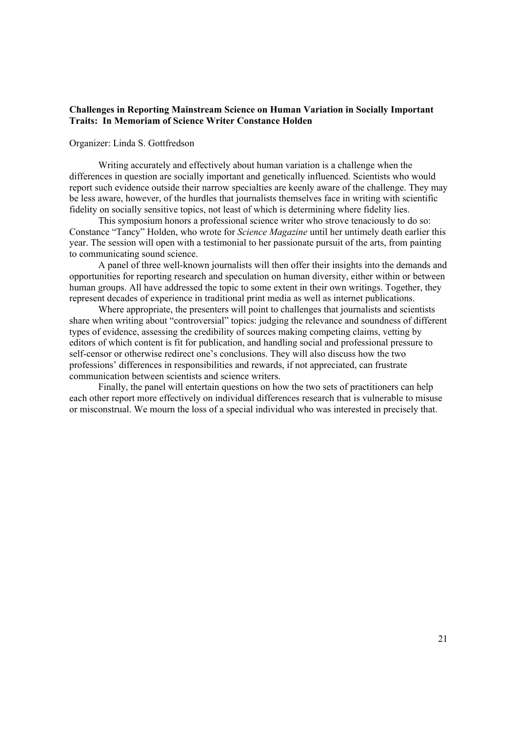## **Challenges in Reporting Mainstream Science on Human Variation in Socially Important Traits: In Memoriam of Science Writer Constance Holden**

#### Organizer: Linda S. Gottfredson

Writing accurately and effectively about human variation is a challenge when the differences in question are socially important and genetically influenced. Scientists who would report such evidence outside their narrow specialties are keenly aware of the challenge. They may be less aware, however, of the hurdles that journalists themselves face in writing with scientific fidelity on socially sensitive topics, not least of which is determining where fidelity lies.

This symposium honors a professional science writer who strove tenaciously to do so: Constance "Tancy" Holden, who wrote for *Science Magazine* until her untimely death earlier this year. The session will open with a testimonial to her passionate pursuit of the arts, from painting to communicating sound science.

A panel of three well-known journalists will then offer their insights into the demands and opportunities for reporting research and speculation on human diversity, either within or between human groups. All have addressed the topic to some extent in their own writings. Together, they represent decades of experience in traditional print media as well as internet publications.

Where appropriate, the presenters will point to challenges that journalists and scientists share when writing about "controversial" topics: judging the relevance and soundness of different types of evidence, assessing the credibility of sources making competing claims, vetting by editors of which content is fit for publication, and handling social and professional pressure to self-censor or otherwise redirect one's conclusions. They will also discuss how the two professions' differences in responsibilities and rewards, if not appreciated, can frustrate communication between scientists and science writers.

Finally, the panel will entertain questions on how the two sets of practitioners can help each other report more effectively on individual differences research that is vulnerable to misuse or misconstrual. We mourn the loss of a special individual who was interested in precisely that.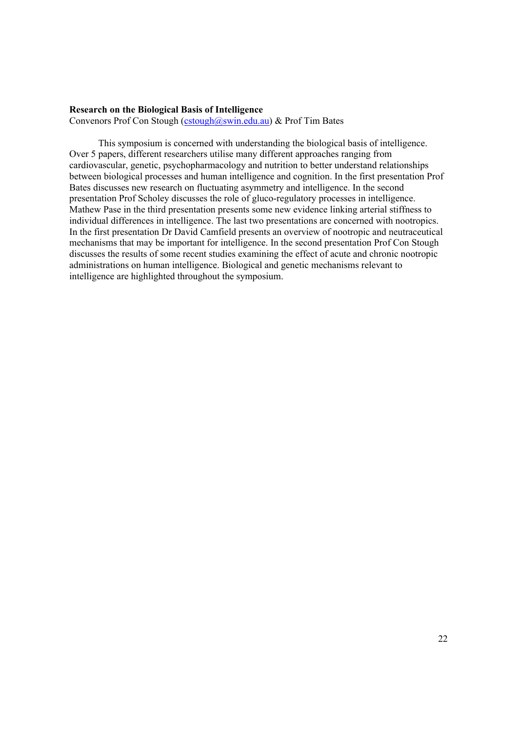#### **Research on the Biological Basis of Intelligence**

Convenors Prof Con Stough (cstough@swin.edu.au) & Prof Tim Bates

This symposium is concerned with understanding the biological basis of intelligence. Over 5 papers, different researchers utilise many different approaches ranging from cardiovascular, genetic, psychopharmacology and nutrition to better understand relationships between biological processes and human intelligence and cognition. In the first presentation Prof Bates discusses new research on fluctuating asymmetry and intelligence. In the second presentation Prof Scholey discusses the role of gluco-regulatory processes in intelligence. Mathew Pase in the third presentation presents some new evidence linking arterial stiffness to individual differences in intelligence. The last two presentations are concerned with nootropics. In the first presentation Dr David Camfield presents an overview of nootropic and neutraceutical mechanisms that may be important for intelligence. In the second presentation Prof Con Stough discusses the results of some recent studies examining the effect of acute and chronic nootropic administrations on human intelligence. Biological and genetic mechanisms relevant to intelligence are highlighted throughout the symposium.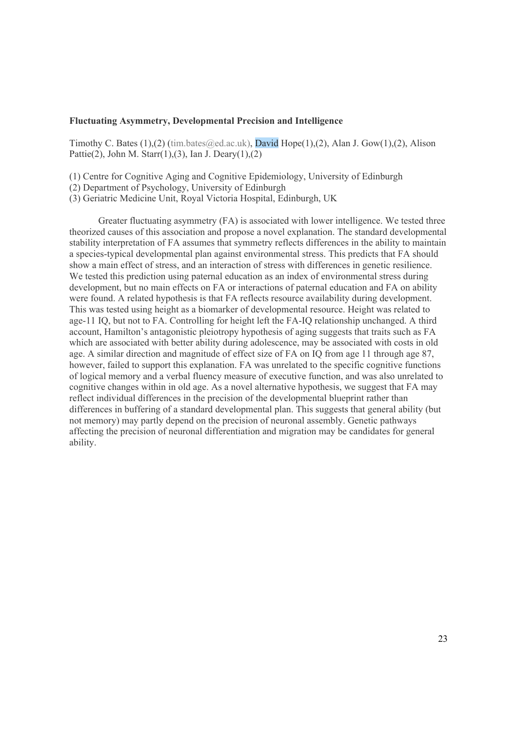## **Fluctuating Asymmetry, Developmental Precision and Intelligence**

Timothy C. Bates (1),(2) (tim.bates  $Q$ ed.ac.uk), David Hope(1),(2), Alan J. Gow(1),(2), Alison Pattie(2), John M. Starr(1),(3), Ian J. Deary(1),(2)

(1) Centre for Cognitive Aging and Cognitive Epidemiology, University of Edinburgh

(2) Department of Psychology, University of Edinburgh

(3) Geriatric Medicine Unit, Royal Victoria Hospital, Edinburgh, UK

 Greater fluctuating asymmetry (FA) is associated with lower intelligence. We tested three theorized causes of this association and propose a novel explanation. The standard developmental stability interpretation of FA assumes that symmetry reflects differences in the ability to maintain a species-typical developmental plan against environmental stress. This predicts that FA should show a main effect of stress, and an interaction of stress with differences in genetic resilience. We tested this prediction using paternal education as an index of environmental stress during development, but no main effects on FA or interactions of paternal education and FA on ability were found. A related hypothesis is that FA reflects resource availability during development. This was tested using height as a biomarker of developmental resource. Height was related to age-11 IQ, but not to FA. Controlling for height left the FA-IQ relationship unchanged. A third account, Hamilton's antagonistic pleiotropy hypothesis of aging suggests that traits such as FA which are associated with better ability during adolescence, may be associated with costs in old age. A similar direction and magnitude of effect size of FA on IQ from age 11 through age 87, however, failed to support this explanation. FA was unrelated to the specific cognitive functions of logical memory and a verbal fluency measure of executive function, and was also unrelated to cognitive changes within in old age. As a novel alternative hypothesis, we suggest that FA may reflect individual differences in the precision of the developmental blueprint rather than differences in buffering of a standard developmental plan. This suggests that general ability (but not memory) may partly depend on the precision of neuronal assembly. Genetic pathways affecting the precision of neuronal differentiation and migration may be candidates for general ability.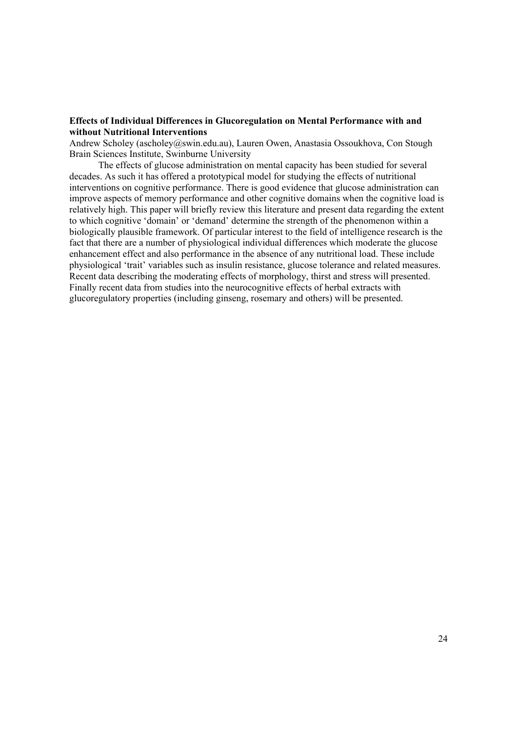## **Effects of Individual Differences in Glucoregulation on Mental Performance with and without Nutritional Interventions**

Andrew Scholey (ascholey@swin.edu.au), Lauren Owen, Anastasia Ossoukhova, Con Stough Brain Sciences Institute, Swinburne University

The effects of glucose administration on mental capacity has been studied for several decades. As such it has offered a prototypical model for studying the effects of nutritional interventions on cognitive performance. There is good evidence that glucose administration can improve aspects of memory performance and other cognitive domains when the cognitive load is relatively high. This paper will briefly review this literature and present data regarding the extent to which cognitive 'domain' or 'demand' determine the strength of the phenomenon within a biologically plausible framework. Of particular interest to the field of intelligence research is the fact that there are a number of physiological individual differences which moderate the glucose enhancement effect and also performance in the absence of any nutritional load. These include physiological 'trait' variables such as insulin resistance, glucose tolerance and related measures. Recent data describing the moderating effects of morphology, thirst and stress will presented. Finally recent data from studies into the neurocognitive effects of herbal extracts with glucoregulatory properties (including ginseng, rosemary and others) will be presented.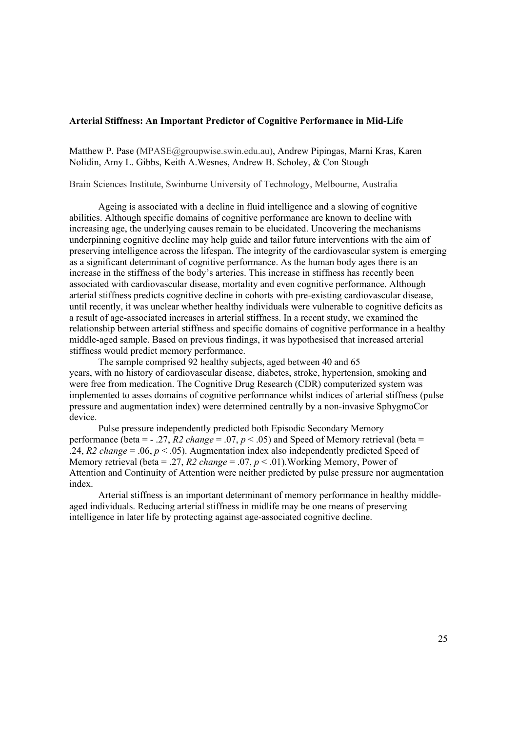### **Arterial Stiffness: An Important Predictor of Cognitive Performance in Mid-Life**

Matthew P. Pase (MPASE@groupwise.swin.edu.au), Andrew Pipingas, Marni Kras, Karen Nolidin, Amy L. Gibbs, Keith A.Wesnes, Andrew B. Scholey, & Con Stough

Brain Sciences Institute, Swinburne University of Technology, Melbourne, Australia

Ageing is associated with a decline in fluid intelligence and a slowing of cognitive abilities. Although specific domains of cognitive performance are known to decline with increasing age, the underlying causes remain to be elucidated. Uncovering the mechanisms underpinning cognitive decline may help guide and tailor future interventions with the aim of preserving intelligence across the lifespan. The integrity of the cardiovascular system is emerging as a significant determinant of cognitive performance. As the human body ages there is an increase in the stiffness of the body's arteries. This increase in stiffness has recently been associated with cardiovascular disease, mortality and even cognitive performance. Although arterial stiffness predicts cognitive decline in cohorts with pre-existing cardiovascular disease, until recently, it was unclear whether healthy individuals were vulnerable to cognitive deficits as a result of age-associated increases in arterial stiffness. In a recent study, we examined the relationship between arterial stiffness and specific domains of cognitive performance in a healthy middle-aged sample. Based on previous findings, it was hypothesised that increased arterial stiffness would predict memory performance.

The sample comprised 92 healthy subjects, aged between 40 and 65 years, with no history of cardiovascular disease, diabetes, stroke, hypertension, smoking and were free from medication. The Cognitive Drug Research (CDR) computerized system was implemented to asses domains of cognitive performance whilst indices of arterial stiffness (pulse pressure and augmentation index) were determined centrally by a non-invasive SphygmoCor device.

Pulse pressure independently predicted both Episodic Secondary Memory performance (beta =  $-$  .27, *R2 change* = .07,  $p < .05$ ) and Speed of Memory retrieval (beta = .24,  $R2$  *change* = .06,  $p < .05$ ). Augmentation index also independently predicted Speed of Memory retrieval (beta = .27,  $R2$  change = .07,  $p < .01$ ). Working Memory, Power of Attention and Continuity of Attention were neither predicted by pulse pressure nor augmentation index.

Arterial stiffness is an important determinant of memory performance in healthy middleaged individuals. Reducing arterial stiffness in midlife may be one means of preserving intelligence in later life by protecting against age-associated cognitive decline.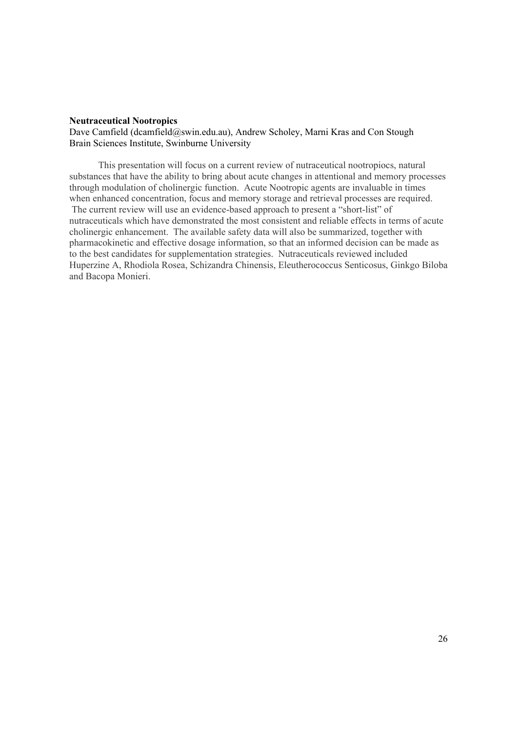#### **Neutraceutical Nootropics**

Dave Camfield (dcamfield@swin.edu.au), Andrew Scholey, Marni Kras and Con Stough Brain Sciences Institute, Swinburne University

This presentation will focus on a current review of nutraceutical nootropiocs, natural substances that have the ability to bring about acute changes in attentional and memory processes through modulation of cholinergic function. Acute Nootropic agents are invaluable in times when enhanced concentration, focus and memory storage and retrieval processes are required. The current review will use an evidence-based approach to present a "short-list" of nutraceuticals which have demonstrated the most consistent and reliable effects in terms of acute cholinergic enhancement. The available safety data will also be summarized, together with pharmacokinetic and effective dosage information, so that an informed decision can be made as to the best candidates for supplementation strategies. Nutraceuticals reviewed included Huperzine A, Rhodiola Rosea, Schizandra Chinensis, Eleutherococcus Senticosus, Ginkgo Biloba and Bacopa Monieri.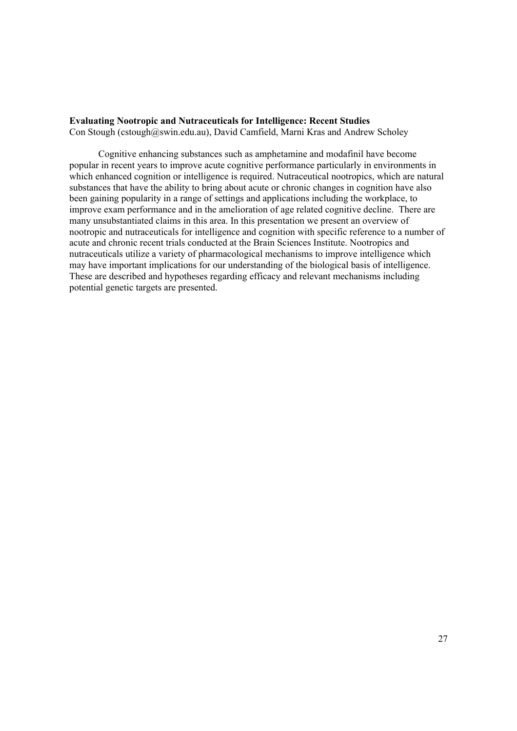# **Evaluating Nootropic and Nutraceuticals for Intelligence: Recent Studies**

Con Stough (cstough@swin.edu.au), David Camfield, Marni Kras and Andrew Scholey

Cognitive enhancing substances such as amphetamine and modafinil have become popular in recent years to improve acute cognitive performance particularly in environments in which enhanced cognition or intelligence is required. Nutraceutical nootropics, which are natural substances that have the ability to bring about acute or chronic changes in cognition have also been gaining popularity in a range of settings and applications including the workplace, to improve exam performance and in the amelioration of age related cognitive decline. There are many unsubstantiated claims in this area. In this presentation we present an overview of nootropic and nutraceuticals for intelligence and cognition with specific reference to a number of acute and chronic recent trials conducted at the Brain Sciences Institute. Nootropics and nutraceuticals utilize a variety of pharmacological mechanisms to improve intelligence which may have important implications for our understanding of the biological basis of intelligence. These are described and hypotheses regarding efficacy and relevant mechanisms including potential genetic targets are presented.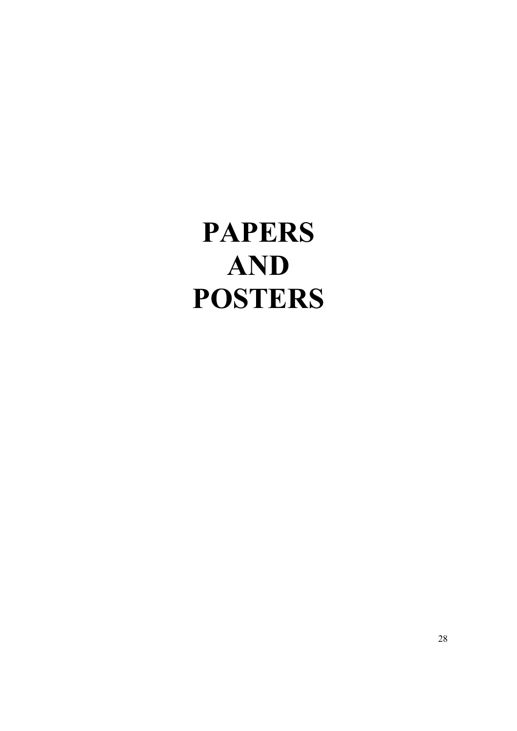**PAPERS AND POSTERS**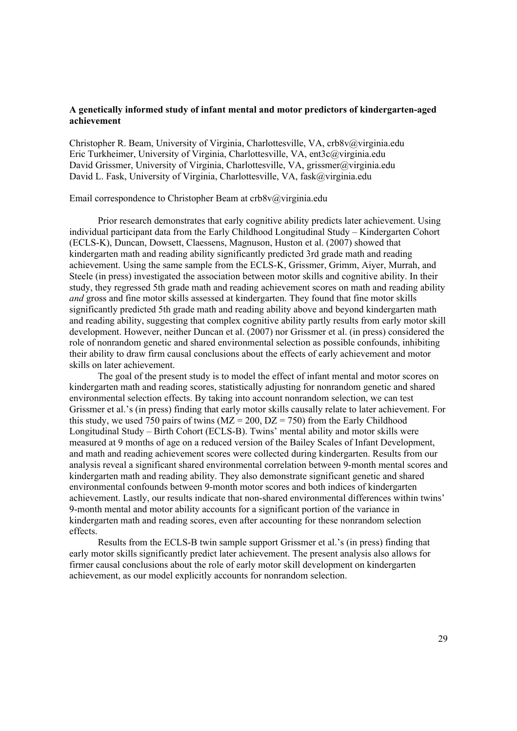## **A genetically informed study of infant mental and motor predictors of kindergarten-aged achievement**

Christopher R. Beam, University of Virginia, Charlottesville, VA, crb8v@virginia.edu Eric Turkheimer, University of Virginia, Charlottesville, VA, ent3c@virginia.edu David Grissmer, University of Virginia, Charlottesville, VA, grissmer@virginia.edu David L. Fask, University of Virginia, Charlottesville, VA, fask@virginia.edu

## Email correspondence to Christopher Beam at crb8v@virginia.edu

Prior research demonstrates that early cognitive ability predicts later achievement. Using individual participant data from the Early Childhood Longitudinal Study – Kindergarten Cohort (ECLS-K), Duncan, Dowsett, Claessens, Magnuson, Huston et al. (2007) showed that kindergarten math and reading ability significantly predicted 3rd grade math and reading achievement. Using the same sample from the ECLS-K, Grissmer, Grimm, Aiyer, Murrah, and Steele (in press) investigated the association between motor skills and cognitive ability. In their study, they regressed 5th grade math and reading achievement scores on math and reading ability *and* gross and fine motor skills assessed at kindergarten. They found that fine motor skills significantly predicted 5th grade math and reading ability above and beyond kindergarten math and reading ability, suggesting that complex cognitive ability partly results from early motor skill development. However, neither Duncan et al. (2007) nor Grissmer et al. (in press) considered the role of nonrandom genetic and shared environmental selection as possible confounds, inhibiting their ability to draw firm causal conclusions about the effects of early achievement and motor skills on later achievement.

The goal of the present study is to model the effect of infant mental and motor scores on kindergarten math and reading scores, statistically adjusting for nonrandom genetic and shared environmental selection effects. By taking into account nonrandom selection, we can test Grissmer et al.'s (in press) finding that early motor skills causally relate to later achievement. For this study, we used 750 pairs of twins ( $MZ = 200$ ,  $DZ = 750$ ) from the Early Childhood Longitudinal Study – Birth Cohort (ECLS-B). Twins' mental ability and motor skills were measured at 9 months of age on a reduced version of the Bailey Scales of Infant Development, and math and reading achievement scores were collected during kindergarten. Results from our analysis reveal a significant shared environmental correlation between 9-month mental scores and kindergarten math and reading ability. They also demonstrate significant genetic and shared environmental confounds between 9-month motor scores and both indices of kindergarten achievement. Lastly, our results indicate that non-shared environmental differences within twins' 9-month mental and motor ability accounts for a significant portion of the variance in kindergarten math and reading scores, even after accounting for these nonrandom selection effects.

Results from the ECLS-B twin sample support Grissmer et al.'s (in press) finding that early motor skills significantly predict later achievement. The present analysis also allows for firmer causal conclusions about the role of early motor skill development on kindergarten achievement, as our model explicitly accounts for nonrandom selection.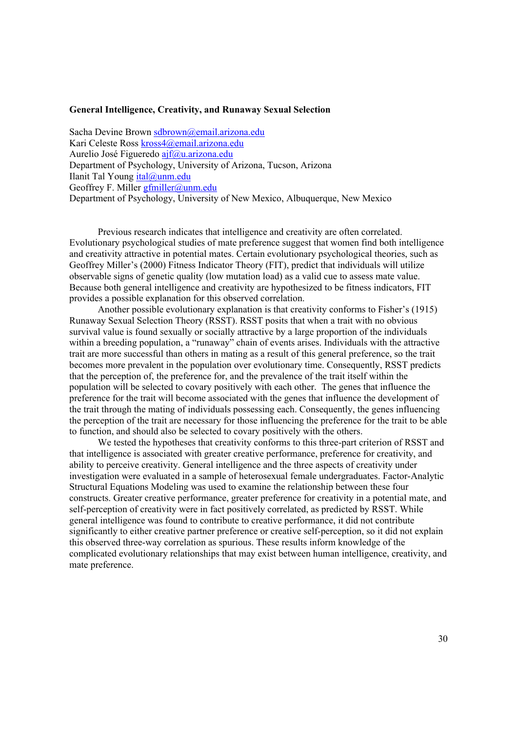## **General Intelligence, Creativity, and Runaway Sexual Selection**

Sacha Devine Brown sdbrown@email.arizona.edu Kari Celeste Ross kross4@email.arizona.edu Aurelio José Figueredo ajf@u.arizona.edu Department of Psychology, University of Arizona, Tucson, Arizona Ilanit Tal Young ital@unm.edu Geoffrey F. Miller gfmiller@unm.edu Department of Psychology, University of New Mexico, Albuquerque, New Mexico

Previous research indicates that intelligence and creativity are often correlated. Evolutionary psychological studies of mate preference suggest that women find both intelligence and creativity attractive in potential mates. Certain evolutionary psychological theories, such as Geoffrey Miller's (2000) Fitness Indicator Theory (FIT), predict that individuals will utilize observable signs of genetic quality (low mutation load) as a valid cue to assess mate value. Because both general intelligence and creativity are hypothesized to be fitness indicators, FIT provides a possible explanation for this observed correlation.

Another possible evolutionary explanation is that creativity conforms to Fisher's (1915) Runaway Sexual Selection Theory (RSST). RSST posits that when a trait with no obvious survival value is found sexually or socially attractive by a large proportion of the individuals within a breeding population, a "runaway" chain of events arises. Individuals with the attractive trait are more successful than others in mating as a result of this general preference, so the trait becomes more prevalent in the population over evolutionary time. Consequently, RSST predicts that the perception of, the preference for, and the prevalence of the trait itself within the population will be selected to covary positively with each other. The genes that influence the preference for the trait will become associated with the genes that influence the development of the trait through the mating of individuals possessing each. Consequently, the genes influencing the perception of the trait are necessary for those influencing the preference for the trait to be able to function, and should also be selected to covary positively with the others.

We tested the hypotheses that creativity conforms to this three-part criterion of RSST and that intelligence is associated with greater creative performance, preference for creativity, and ability to perceive creativity. General intelligence and the three aspects of creativity under investigation were evaluated in a sample of heterosexual female undergraduates. Factor-Analytic Structural Equations Modeling was used to examine the relationship between these four constructs. Greater creative performance, greater preference for creativity in a potential mate, and self-perception of creativity were in fact positively correlated, as predicted by RSST. While general intelligence was found to contribute to creative performance, it did not contribute significantly to either creative partner preference or creative self-perception, so it did not explain this observed three-way correlation as spurious. These results inform knowledge of the complicated evolutionary relationships that may exist between human intelligence, creativity, and mate preference.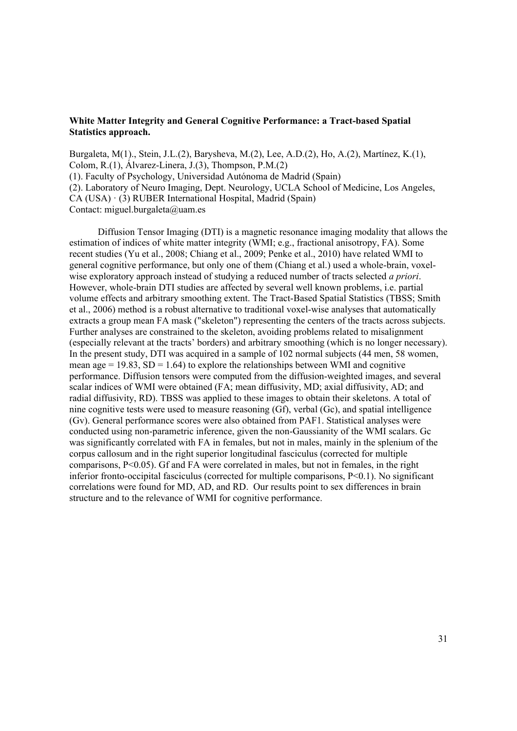## **White Matter Integrity and General Cognitive Performance: a Tract-based Spatial Statistics approach.**

Burgaleta, M(1)., Stein, J.L.(2), Barysheva, M.(2), Lee, A.D.(2), Ho, A.(2), Martínez, K.(1), Colom, R.(1), Álvarez-Linera, J.(3), Thompson, P.M.(2) (1). Faculty of Psychology, Universidad Autónoma de Madrid (Spain) (2). Laboratory of Neuro Imaging, Dept. Neurology, UCLA School of Medicine, Los Angeles, CA (USA) · (3) RUBER International Hospital, Madrid (Spain) Contact: miguel.burgaleta@uam.es

Diffusion Tensor Imaging (DTI) is a magnetic resonance imaging modality that allows the estimation of indices of white matter integrity (WMI; e.g., fractional anisotropy, FA). Some recent studies (Yu et al., 2008; Chiang et al., 2009; Penke et al., 2010) have related WMI to general cognitive performance, but only one of them (Chiang et al.) used a whole-brain, voxelwise exploratory approach instead of studying a reduced number of tracts selected *a priori*. However, whole-brain DTI studies are affected by several well known problems, i.e. partial volume effects and arbitrary smoothing extent. The Tract-Based Spatial Statistics (TBSS; Smith et al., 2006) method is a robust alternative to traditional voxel-wise analyses that automatically extracts a group mean FA mask ("skeleton") representing the centers of the tracts across subjects. Further analyses are constrained to the skeleton, avoiding problems related to misalignment (especially relevant at the tracts' borders) and arbitrary smoothing (which is no longer necessary). In the present study, DTI was acquired in a sample of 102 normal subjects (44 men, 58 women, mean age  $= 19.83$ , SD  $= 1.64$ ) to explore the relationships between WMI and cognitive performance. Diffusion tensors were computed from the diffusion-weighted images, and several scalar indices of WMI were obtained (FA; mean diffusivity, MD; axial diffusivity, AD; and radial diffusivity, RD). TBSS was applied to these images to obtain their skeletons. A total of nine cognitive tests were used to measure reasoning (Gf), verbal (Gc), and spatial intelligence (Gv). General performance scores were also obtained from PAF1. Statistical analyses were conducted using non-parametric inference, given the non-Gaussianity of the WMI scalars. Gc was significantly correlated with FA in females, but not in males, mainly in the splenium of the corpus callosum and in the right superior longitudinal fasciculus (corrected for multiple comparisons,  $P \leq 0.05$ ). Gf and FA were correlated in males, but not in females, in the right inferior fronto-occipital fasciculus (corrected for multiple comparisons, P<0.1). No significant correlations were found for MD, AD, and RD. Our results point to sex differences in brain structure and to the relevance of WMI for cognitive performance.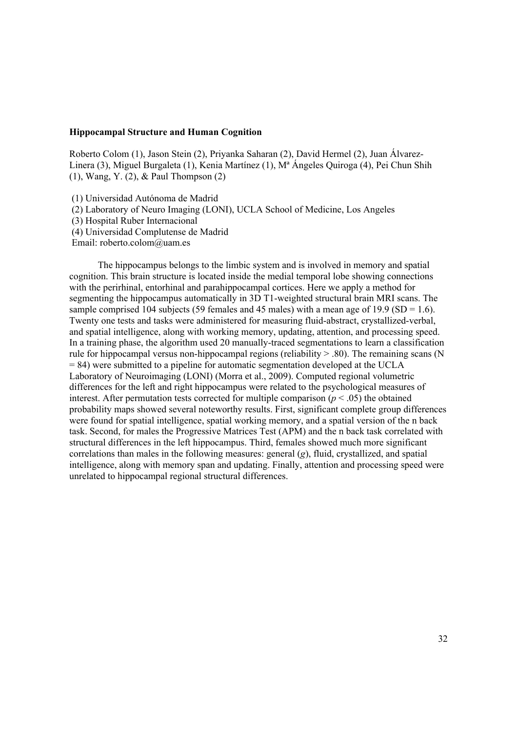## **Hippocampal Structure and Human Cognition**

Roberto Colom (1), Jason Stein (2), Priyanka Saharan (2), David Hermel (2), Juan Álvarez-Linera (3), Miguel Burgaleta (1), Kenia Martínez (1), Mª Ángeles Quiroga (4), Pei Chun Shih (1), Wang, Y. (2), & Paul Thompson (2)

(1) Universidad Autónoma de Madrid

(2) Laboratory of Neuro Imaging (LONI), UCLA School of Medicine, Los Angeles

(3) Hospital Ruber Internacional

(4) Universidad Complutense de Madrid

Email: roberto.colom@uam.es

The hippocampus belongs to the limbic system and is involved in memory and spatial cognition. This brain structure is located inside the medial temporal lobe showing connections with the perirhinal, entorhinal and parahippocampal cortices. Here we apply a method for segmenting the hippocampus automatically in 3D T1-weighted structural brain MRI scans. The sample comprised 104 subjects (59 females and 45 males) with a mean age of 19.9 (SD = 1.6). Twenty one tests and tasks were administered for measuring fluid-abstract, crystallized-verbal, and spatial intelligence, along with working memory, updating, attention, and processing speed. In a training phase, the algorithm used 20 manually-traced segmentations to learn a classification rule for hippocampal versus non-hippocampal regions (reliability  $> 0.80$ ). The remaining scans (N = 84) were submitted to a pipeline for automatic segmentation developed at the UCLA Laboratory of Neuroimaging (LONI) (Morra et al., 2009). Computed regional volumetric differences for the left and right hippocampus were related to the psychological measures of interest. After permutation tests corrected for multiple comparison  $(p < .05)$  the obtained probability maps showed several noteworthy results. First, significant complete group differences were found for spatial intelligence, spatial working memory, and a spatial version of the n back task. Second, for males the Progressive Matrices Test (APM) and the n back task correlated with structural differences in the left hippocampus. Third, females showed much more significant correlations than males in the following measures: general (*g*), fluid, crystallized, and spatial intelligence, along with memory span and updating. Finally, attention and processing speed were unrelated to hippocampal regional structural differences.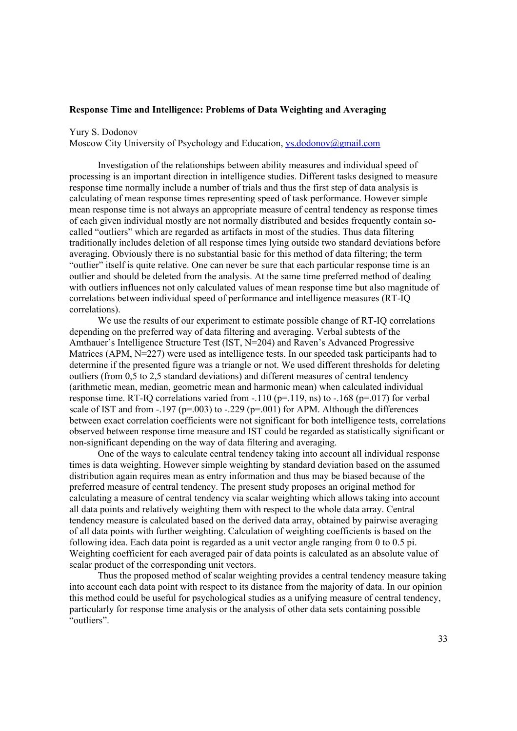#### **Response Time and Intelligence: Problems of Data Weighting and Averaging**

Yury S. Dodonov

Moscow City University of Psychology and Education, ys.dodonov@gmail.com

Investigation of the relationships between ability measures and individual speed of processing is an important direction in intelligence studies. Different tasks designed to measure response time normally include a number of trials and thus the first step of data analysis is calculating of mean response times representing speed of task performance. However simple mean response time is not always an appropriate measure of central tendency as response times of each given individual mostly are not normally distributed and besides frequently contain socalled "outliers" which are regarded as artifacts in most of the studies. Thus data filtering traditionally includes deletion of all response times lying outside two standard deviations before averaging. Obviously there is no substantial basic for this method of data filtering; the term "outlier" itself is quite relative. One can never be sure that each particular response time is an outlier and should be deleted from the analysis. At the same time preferred method of dealing with outliers influences not only calculated values of mean response time but also magnitude of correlations between individual speed of performance and intelligence measures (RT-IQ correlations).

We use the results of our experiment to estimate possible change of RT-IO correlations depending on the preferred way of data filtering and averaging. Verbal subtests of the Amthauer's Intelligence Structure Test (IST, N=204) and Raven's Advanced Progressive Matrices (APM, N=227) were used as intelligence tests. In our speeded task participants had to determine if the presented figure was a triangle or not. We used different thresholds for deleting outliers (from 0,5 to 2,5 standard deviations) and different measures of central tendency (arithmetic mean, median, geometric mean and harmonic mean) when calculated individual response time. RT-IQ correlations varied from  $-.110$  (p=.119, ns) to  $-.168$  (p=.017) for verbal scale of IST and from  $-.197$  (p=.003) to  $-.229$  (p=.001) for APM. Although the differences between exact correlation coefficients were not significant for both intelligence tests, correlations observed between response time measure and IST could be regarded as statistically significant or non-significant depending on the way of data filtering and averaging.

One of the ways to calculate central tendency taking into account all individual response times is data weighting. However simple weighting by standard deviation based on the assumed distribution again requires mean as entry information and thus may be biased because of the preferred measure of central tendency. The present study proposes an original method for calculating a measure of central tendency via scalar weighting which allows taking into account all data points and relatively weighting them with respect to the whole data array. Central tendency measure is calculated based on the derived data array, obtained by pairwise averaging of all data points with further weighting. Calculation of weighting coefficients is based on the following idea. Each data point is regarded as a unit vector angle ranging from 0 to 0.5 pi. Weighting coefficient for each averaged pair of data points is calculated as an absolute value of scalar product of the corresponding unit vectors.

Thus the proposed method of scalar weighting provides a central tendency measure taking into account each data point with respect to its distance from the majority of data. In our opinion this method could be useful for psychological studies as a unifying measure of central tendency, particularly for response time analysis or the analysis of other data sets containing possible "outliers".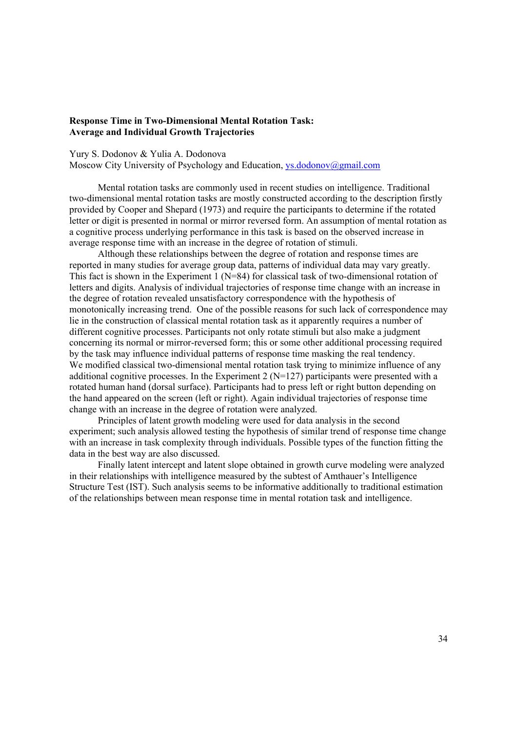## **Response Time in Two-Dimensional Mental Rotation Task: Average and Individual Growth Trajectories**

#### Yury S. Dodonov & Yulia A. Dodonova

Moscow City University of Psychology and Education, ys.dodonov@gmail.com

Mental rotation tasks are commonly used in recent studies on intelligence. Traditional two-dimensional mental rotation tasks are mostly constructed according to the description firstly provided by Cooper and Shepard (1973) and require the participants to determine if the rotated letter or digit is presented in normal or mirror reversed form. An assumption of mental rotation as a cognitive process underlying performance in this task is based on the observed increase in average response time with an increase in the degree of rotation of stimuli.

Although these relationships between the degree of rotation and response times are reported in many studies for average group data, patterns of individual data may vary greatly. This fact is shown in the Experiment 1 (N=84) for classical task of two-dimensional rotation of letters and digits. Analysis of individual trajectories of response time change with an increase in the degree of rotation revealed unsatisfactory correspondence with the hypothesis of monotonically increasing trend. One of the possible reasons for such lack of correspondence may lie in the construction of classical mental rotation task as it apparently requires a number of different cognitive processes. Participants not only rotate stimuli but also make a judgment concerning its normal or mirror-reversed form; this or some other additional processing required by the task may influence individual patterns of response time masking the real tendency. We modified classical two-dimensional mental rotation task trying to minimize influence of any additional cognitive processes. In the Experiment 2 ( $N=127$ ) participants were presented with a rotated human hand (dorsal surface). Participants had to press left or right button depending on the hand appeared on the screen (left or right). Again individual trajectories of response time change with an increase in the degree of rotation were analyzed.

Principles of latent growth modeling were used for data analysis in the second experiment; such analysis allowed testing the hypothesis of similar trend of response time change with an increase in task complexity through individuals. Possible types of the function fitting the data in the best way are also discussed.

Finally latent intercept and latent slope obtained in growth curve modeling were analyzed in their relationships with intelligence measured by the subtest of Amthauer's Intelligence Structure Test (IST). Such analysis seems to be informative additionally to traditional estimation of the relationships between mean response time in mental rotation task and intelligence.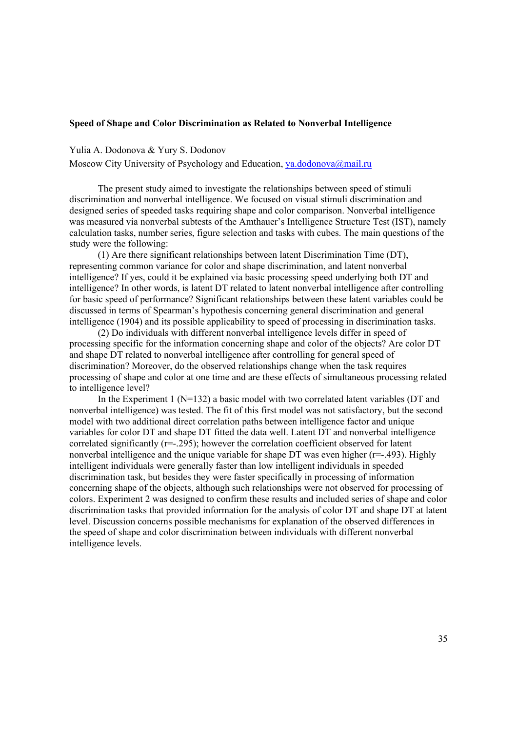## **Speed of Shape and Color Discrimination as Related to Nonverbal Intelligence**

#### Yulia A. Dodonova & Yury S. Dodonov

Moscow City University of Psychology and Education, ya.dodonova@mail.ru

The present study aimed to investigate the relationships between speed of stimuli discrimination and nonverbal intelligence. We focused on visual stimuli discrimination and designed series of speeded tasks requiring shape and color comparison. Nonverbal intelligence was measured via nonverbal subtests of the Amthauer's Intelligence Structure Test (IST), namely calculation tasks, number series, figure selection and tasks with cubes. The main questions of the study were the following:

(1) Are there significant relationships between latent Discrimination Time (DT), representing common variance for color and shape discrimination, and latent nonverbal intelligence? If yes, could it be explained via basic processing speed underlying both DT and intelligence? In other words, is latent DT related to latent nonverbal intelligence after controlling for basic speed of performance? Significant relationships between these latent variables could be discussed in terms of Spearman's hypothesis concerning general discrimination and general intelligence (1904) and its possible applicability to speed of processing in discrimination tasks.

(2) Do individuals with different nonverbal intelligence levels differ in speed of processing specific for the information concerning shape and color of the objects? Are color DT and shape DT related to nonverbal intelligence after controlling for general speed of discrimination? Moreover, do the observed relationships change when the task requires processing of shape and color at one time and are these effects of simultaneous processing related to intelligence level?

In the Experiment 1 ( $N=132$ ) a basic model with two correlated latent variables (DT and nonverbal intelligence) was tested. The fit of this first model was not satisfactory, but the second model with two additional direct correlation paths between intelligence factor and unique variables for color DT and shape DT fitted the data well. Latent DT and nonverbal intelligence correlated significantly (r=-.295); however the correlation coefficient observed for latent nonverbal intelligence and the unique variable for shape DT was even higher (r=-.493). Highly intelligent individuals were generally faster than low intelligent individuals in speeded discrimination task, but besides they were faster specifically in processing of information concerning shape of the objects, although such relationships were not observed for processing of colors. Experiment 2 was designed to confirm these results and included series of shape and color discrimination tasks that provided information for the analysis of color DT and shape DT at latent level. Discussion concerns possible mechanisms for explanation of the observed differences in the speed of shape and color discrimination between individuals with different nonverbal intelligence levels.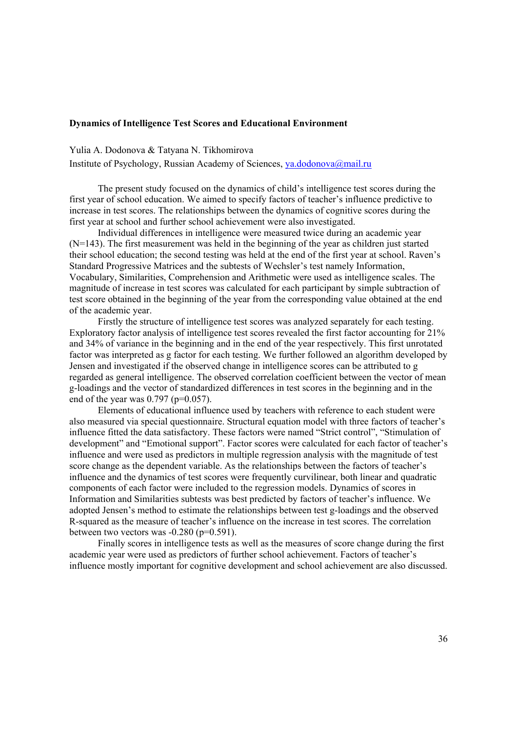# **Dynamics of Intelligence Test Scores and Educational Environment**

Yulia A. Dodonova & Tatyana N. Tikhomirova

Institute of Psychology, Russian Academy of Sciences, ya.dodonova@mail.ru

The present study focused on the dynamics of child's intelligence test scores during the first year of school education. We aimed to specify factors of teacher's influence predictive to increase in test scores. The relationships between the dynamics of cognitive scores during the first year at school and further school achievement were also investigated.

Individual differences in intelligence were measured twice during an academic year (N=143). The first measurement was held in the beginning of the year as children just started their school education; the second testing was held at the end of the first year at school. Raven's Standard Progressive Matrices and the subtests of Wechsler's test namely Information, Vocabulary, Similarities, Comprehension and Arithmetic were used as intelligence scales. The magnitude of increase in test scores was calculated for each participant by simple subtraction of test score obtained in the beginning of the year from the corresponding value obtained at the end of the academic year.

Firstly the structure of intelligence test scores was analyzed separately for each testing. Exploratory factor analysis of intelligence test scores revealed the first factor accounting for 21% and 34% of variance in the beginning and in the end of the year respectively. This first unrotated factor was interpreted as g factor for each testing. We further followed an algorithm developed by Jensen and investigated if the observed change in intelligence scores can be attributed to g regarded as general intelligence. The observed correlation coefficient between the vector of mean g-loadings and the vector of standardized differences in test scores in the beginning and in the end of the year was  $0.797$  (p= $0.057$ ).

Elements of educational influence used by teachers with reference to each student were also measured via special questionnaire. Structural equation model with three factors of teacher's influence fitted the data satisfactory. These factors were named "Strict control", "Stimulation of development" and "Emotional support". Factor scores were calculated for each factor of teacher's influence and were used as predictors in multiple regression analysis with the magnitude of test score change as the dependent variable. As the relationships between the factors of teacher's influence and the dynamics of test scores were frequently curvilinear, both linear and quadratic components of each factor were included to the regression models. Dynamics of scores in Information and Similarities subtests was best predicted by factors of teacher's influence. We adopted Jensen's method to estimate the relationships between test g-loadings and the observed R-squared as the measure of teacher's influence on the increase in test scores. The correlation between two vectors was  $-0.280$  ( $p=0.591$ ).

Finally scores in intelligence tests as well as the measures of score change during the first academic year were used as predictors of further school achievement. Factors of teacher's influence mostly important for cognitive development and school achievement are also discussed.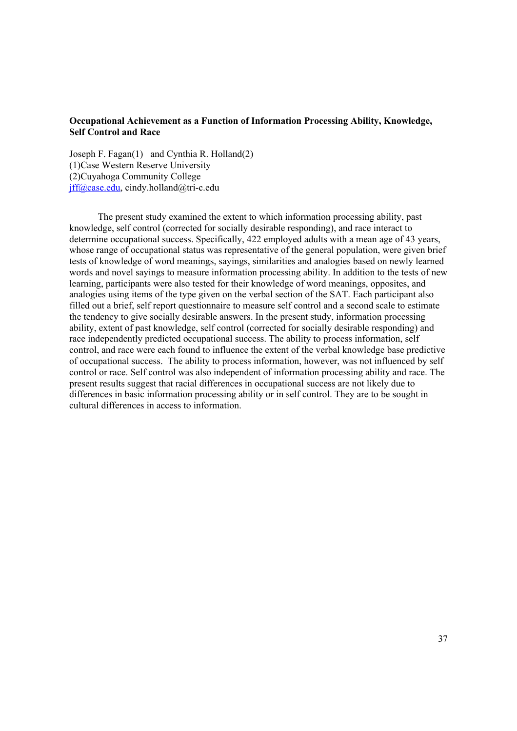## **Occupational Achievement as a Function of Information Processing Ability, Knowledge, Self Control and Race**

Joseph F. Fagan(1) and Cynthia R. Holland(2) (1)Case Western Reserve University (2)Cuyahoga Community College jff@case.edu, cindy.holland@tri-c.edu

The present study examined the extent to which information processing ability, past knowledge, self control (corrected for socially desirable responding), and race interact to determine occupational success. Specifically, 422 employed adults with a mean age of 43 years, whose range of occupational status was representative of the general population, were given brief tests of knowledge of word meanings, sayings, similarities and analogies based on newly learned words and novel sayings to measure information processing ability. In addition to the tests of new learning, participants were also tested for their knowledge of word meanings, opposites, and analogies using items of the type given on the verbal section of the SAT. Each participant also filled out a brief, self report questionnaire to measure self control and a second scale to estimate the tendency to give socially desirable answers. In the present study, information processing ability, extent of past knowledge, self control (corrected for socially desirable responding) and race independently predicted occupational success. The ability to process information, self control, and race were each found to influence the extent of the verbal knowledge base predictive of occupational success. The ability to process information, however, was not influenced by self control or race. Self control was also independent of information processing ability and race. The present results suggest that racial differences in occupational success are not likely due to differences in basic information processing ability or in self control. They are to be sought in cultural differences in access to information.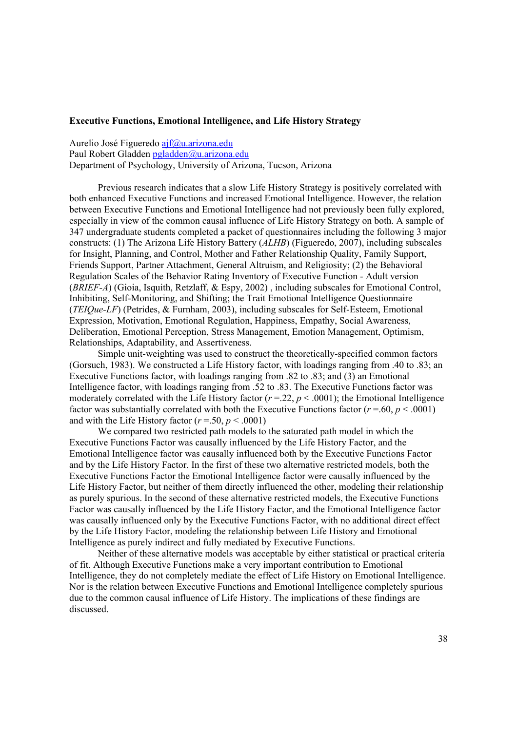### **Executive Functions, Emotional Intelligence, and Life History Strategy**

Aurelio José Figueredo ajf@u.arizona.edu Paul Robert Gladden pgladden@u.arizona.edu Department of Psychology, University of Arizona, Tucson, Arizona

Previous research indicates that a slow Life History Strategy is positively correlated with both enhanced Executive Functions and increased Emotional Intelligence. However, the relation between Executive Functions and Emotional Intelligence had not previously been fully explored, especially in view of the common causal influence of Life History Strategy on both. A sample of 347 undergraduate students completed a packet of questionnaires including the following 3 major constructs: (1) The Arizona Life History Battery (*ALHB*) (Figueredo, 2007), including subscales for Insight, Planning, and Control, Mother and Father Relationship Quality, Family Support, Friends Support, Partner Attachment, General Altruism, and Religiosity; (2) the Behavioral Regulation Scales of the Behavior Rating Inventory of Executive Function - Adult version (*BRIEF-A*) (Gioia, Isquith, Retzlaff, & Espy, 2002) , including subscales for Emotional Control, Inhibiting, Self-Monitoring, and Shifting; the Trait Emotional Intelligence Questionnaire (*TEIQue-LF*) (Petrides, & Furnham, 2003), including subscales for Self-Esteem, Emotional Expression, Motivation, Emotional Regulation, Happiness, Empathy, Social Awareness, Deliberation, Emotional Perception, Stress Management, Emotion Management, Optimism, Relationships, Adaptability, and Assertiveness.

Simple unit-weighting was used to construct the theoretically-specified common factors (Gorsuch, 1983). We constructed a Life History factor, with loadings ranging from .40 to .83; an Executive Functions factor, with loadings ranging from .82 to .83; and (3) an Emotional Intelligence factor, with loadings ranging from .52 to .83. The Executive Functions factor was moderately correlated with the Life History factor  $(r = 22, p < .0001)$ ; the Emotional Intelligence factor was substantially correlated with both the Executive Functions factor  $(r = .60, p < .0001)$ and with the Life History factor  $(r = .50, p < .0001)$ 

We compared two restricted path models to the saturated path model in which the Executive Functions Factor was causally influenced by the Life History Factor, and the Emotional Intelligence factor was causally influenced both by the Executive Functions Factor and by the Life History Factor. In the first of these two alternative restricted models, both the Executive Functions Factor the Emotional Intelligence factor were causally influenced by the Life History Factor, but neither of them directly influenced the other, modeling their relationship as purely spurious. In the second of these alternative restricted models, the Executive Functions Factor was causally influenced by the Life History Factor, and the Emotional Intelligence factor was causally influenced only by the Executive Functions Factor, with no additional direct effect by the Life History Factor, modeling the relationship between Life History and Emotional Intelligence as purely indirect and fully mediated by Executive Functions.

Neither of these alternative models was acceptable by either statistical or practical criteria of fit. Although Executive Functions make a very important contribution to Emotional Intelligence, they do not completely mediate the effect of Life History on Emotional Intelligence. Nor is the relation between Executive Functions and Emotional Intelligence completely spurious due to the common causal influence of Life History. The implications of these findings are discussed.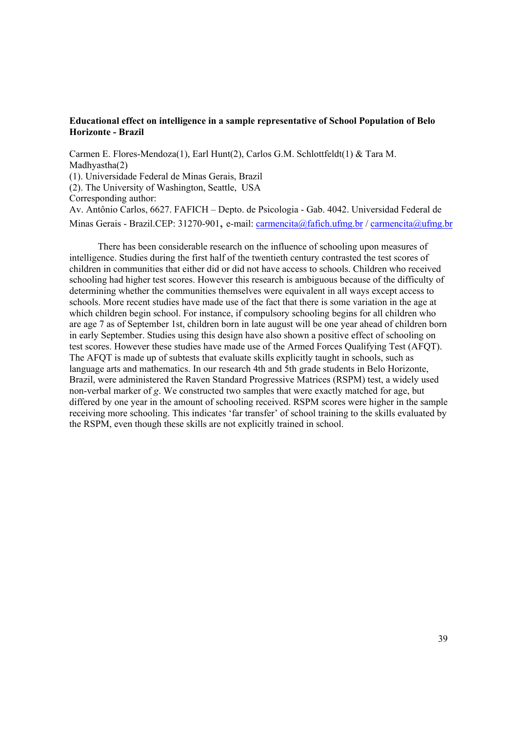## **Educational effect on intelligence in a sample representative of School Population of Belo Horizonte - Brazil**

Carmen E. Flores-Mendoza(1), Earl Hunt(2), Carlos G.M. Schlottfeldt(1) & Tara M. Madhyastha(2) (1). Universidade Federal de Minas Gerais, Brazil (2). The University of Washington, Seattle, USA Corresponding author: Av. Antônio Carlos, 6627. FAFICH – Depto. de Psicologia - Gab. 4042. Universidad Federal de Minas Gerais - Brazil.CEP: 31270-901, e-mail: carmencita@fafich.ufmg.br / carmencita@ufmg.br

There has been considerable research on the influence of schooling upon measures of intelligence. Studies during the first half of the twentieth century contrasted the test scores of children in communities that either did or did not have access to schools. Children who received schooling had higher test scores. However this research is ambiguous because of the difficulty of determining whether the communities themselves were equivalent in all ways except access to schools. More recent studies have made use of the fact that there is some variation in the age at which children begin school. For instance, if compulsory schooling begins for all children who are age 7 as of September 1st, children born in late august will be one year ahead of children born in early September. Studies using this design have also shown a positive effect of schooling on test scores. However these studies have made use of the Armed Forces Qualifying Test (AFQT). The AFQT is made up of subtests that evaluate skills explicitly taught in schools, such as language arts and mathematics. In our research 4th and 5th grade students in Belo Horizonte, Brazil, were administered the Raven Standard Progressive Matrices (RSPM) test, a widely used non-verbal marker of *g*. We constructed two samples that were exactly matched for age, but differed by one year in the amount of schooling received. RSPM scores were higher in the sample receiving more schooling. This indicates 'far transfer' of school training to the skills evaluated by the RSPM, even though these skills are not explicitly trained in school.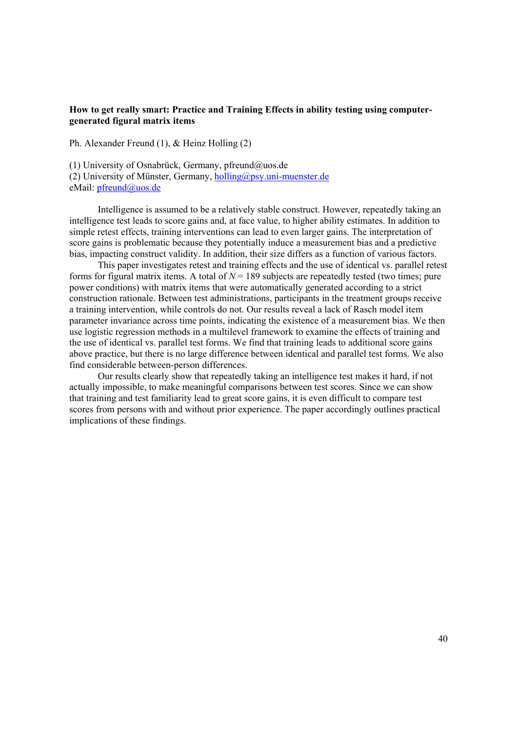## **How to get really smart: Practice and Training Effects in ability testing using computergenerated figural matrix items**

Ph. Alexander Freund (1), & Heinz Holling (2)

(1) University of Osnabrück, Germany, pfreund@uos.de

(2) University of Münster, Germany,  $holling@psy.uni-muenster.de$ 

eMail: pfreund@uos.de

Intelligence is assumed to be a relatively stable construct. However, repeatedly taking an intelligence test leads to score gains and, at face value, to higher ability estimates. In addition to simple retest effects, training interventions can lead to even larger gains. The interpretation of score gains is problematic because they potentially induce a measurement bias and a predictive bias, impacting construct validity. In addition, their size differs as a function of various factors.

This paper investigates retest and training effects and the use of identical vs. parallel retest forms for figural matrix items. A total of  $N = 189$  subjects are repeatedly tested (two times; pure power conditions) with matrix items that were automatically generated according to a strict construction rationale. Between test administrations, participants in the treatment groups receive a training intervention, while controls do not. Our results reveal a lack of Rasch model item parameter invariance across time points, indicating the existence of a measurement bias. We then use logistic regression methods in a multilevel framework to examine the effects of training and the use of identical vs. parallel test forms. We find that training leads to additional score gains above practice, but there is no large difference between identical and parallel test forms. We also find considerable between-person differences.

Our results clearly show that repeatedly taking an intelligence test makes it hard, if not actually impossible, to make meaningful comparisons between test scores. Since we can show that training and test familiarity lead to great score gains, it is even difficult to compare test scores from persons with and without prior experience. The paper accordingly outlines practical implications of these findings.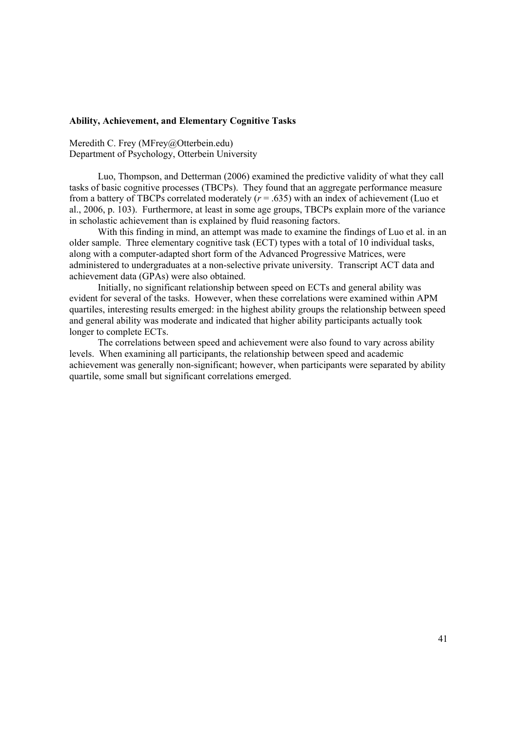## **Ability, Achievement, and Elementary Cognitive Tasks**

Meredith C. Frey (MFrey@Otterbein.edu) Department of Psychology, Otterbein University

Luo, Thompson, and Detterman (2006) examined the predictive validity of what they call tasks of basic cognitive processes (TBCPs). They found that an aggregate performance measure from a battery of TBCPs correlated moderately  $(r = .635)$  with an index of achievement (Luo et al., 2006, p. 103). Furthermore, at least in some age groups, TBCPs explain more of the variance in scholastic achievement than is explained by fluid reasoning factors.

With this finding in mind, an attempt was made to examine the findings of Luo et al. in an older sample. Three elementary cognitive task (ECT) types with a total of 10 individual tasks, along with a computer-adapted short form of the Advanced Progressive Matrices, were administered to undergraduates at a non-selective private university. Transcript ACT data and achievement data (GPAs) were also obtained.

Initially, no significant relationship between speed on ECTs and general ability was evident for several of the tasks. However, when these correlations were examined within APM quartiles, interesting results emerged: in the highest ability groups the relationship between speed and general ability was moderate and indicated that higher ability participants actually took longer to complete ECTs.

The correlations between speed and achievement were also found to vary across ability levels. When examining all participants, the relationship between speed and academic achievement was generally non-significant; however, when participants were separated by ability quartile, some small but significant correlations emerged.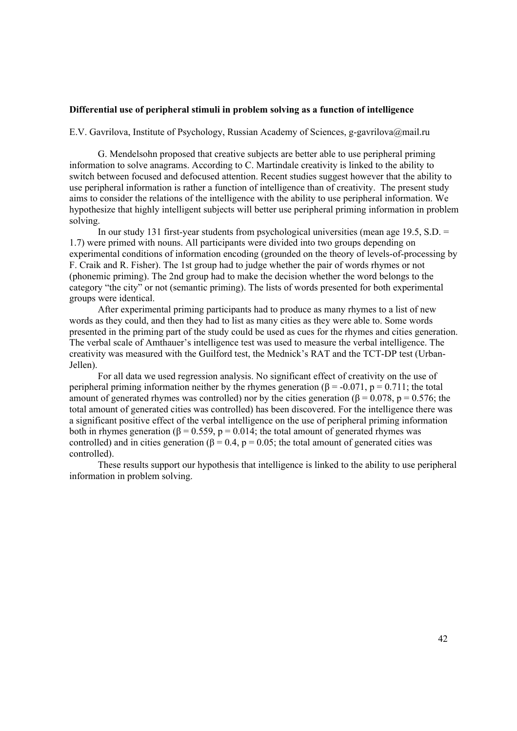### **Differential use of peripheral stimuli in problem solving as a function of intelligence**

E.V. Gavrilova, Institute of Psychology, Russian Academy of Sciences, g-gavrilova@mail.ru

G. Mendelsohn proposed that creative subjects are better able to use peripheral priming information to solve anagrams. According to C. Martindale creativity is linked to the ability to switch between focused and defocused attention. Recent studies suggest however that the ability to use peripheral information is rather a function of intelligence than of creativity. The present study aims to consider the relations of the intelligence with the ability to use peripheral information. We hypothesize that highly intelligent subjects will better use peripheral priming information in problem solving.

In our study 131 first-year students from psychological universities (mean age 19.5, S.D. = 1.7) were primed with nouns. All participants were divided into two groups depending on experimental conditions of information encoding (grounded on the theory of levels-of-processing by F. Craik and R. Fisher). The 1st group had to judge whether the pair of words rhymes or not (phonemic priming). The 2nd group had to make the decision whether the word belongs to the category "the city" or not (semantic priming). The lists of words presented for both experimental groups were identical.

After experimental priming participants had to produce as many rhymes to a list of new words as they could, and then they had to list as many cities as they were able to. Some words presented in the priming part of the study could be used as cues for the rhymes and cities generation. The verbal scale of Amthauer's intelligence test was used to measure the verbal intelligence. The creativity was measured with the Guilford test, the Mednick's RAT and the TCT-DP test (Urban-Jellen).

 For all data we used regression analysis. No significant effect of creativity on the use of peripheral priming information neither by the rhymes generation ( $\beta$  = -0.071, p = 0.711; the total amount of generated rhymes was controlled) nor by the cities generation ( $\beta$  = 0.078, p = 0.576; the total amount of generated cities was controlled) has been discovered. For the intelligence there was a significant positive effect of the verbal intelligence on the use of peripheral priming information both in rhymes generation ( $\beta$  = 0.559, p = 0.014; the total amount of generated rhymes was controlled) and in cities generation ( $\beta = 0.4$ ,  $p = 0.05$ ; the total amount of generated cities was controlled).

These results support our hypothesis that intelligence is linked to the ability to use peripheral information in problem solving.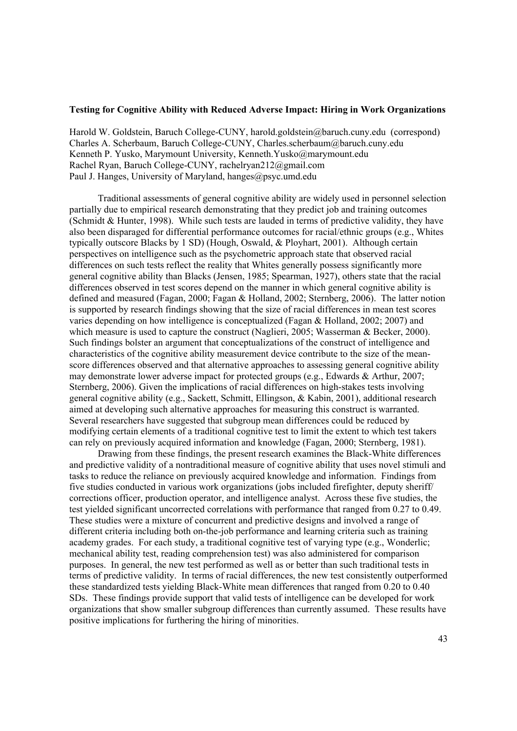#### **Testing for Cognitive Ability with Reduced Adverse Impact: Hiring in Work Organizations**

Harold W. Goldstein, Baruch College-CUNY, harold.goldstein@baruch.cuny.edu (correspond) Charles A. Scherbaum, Baruch College-CUNY, Charles.scherbaum@baruch.cuny.edu Kenneth P. Yusko, Marymount University, Kenneth.Yusko@marymount.edu Rachel Ryan, Baruch College-CUNY, rachelryan212@gmail.com Paul J. Hanges, University of Maryland, hanges@psyc.umd.edu

Traditional assessments of general cognitive ability are widely used in personnel selection partially due to empirical research demonstrating that they predict job and training outcomes (Schmidt & Hunter, 1998). While such tests are lauded in terms of predictive validity, they have also been disparaged for differential performance outcomes for racial/ethnic groups (e.g., Whites typically outscore Blacks by 1 SD) (Hough, Oswald, & Ployhart, 2001). Although certain perspectives on intelligence such as the psychometric approach state that observed racial differences on such tests reflect the reality that Whites generally possess significantly more general cognitive ability than Blacks (Jensen, 1985; Spearman, 1927), others state that the racial differences observed in test scores depend on the manner in which general cognitive ability is defined and measured (Fagan, 2000; Fagan & Holland, 2002; Sternberg, 2006). The latter notion is supported by research findings showing that the size of racial differences in mean test scores varies depending on how intelligence is conceptualized (Fagan & Holland, 2002; 2007) and which measure is used to capture the construct (Naglieri, 2005; Wasserman & Becker, 2000). Such findings bolster an argument that conceptualizations of the construct of intelligence and characteristics of the cognitive ability measurement device contribute to the size of the meanscore differences observed and that alternative approaches to assessing general cognitive ability may demonstrate lower adverse impact for protected groups (e.g., Edwards & Arthur, 2007; Sternberg, 2006). Given the implications of racial differences on high-stakes tests involving general cognitive ability (e.g., Sackett, Schmitt, Ellingson, & Kabin, 2001), additional research aimed at developing such alternative approaches for measuring this construct is warranted. Several researchers have suggested that subgroup mean differences could be reduced by modifying certain elements of a traditional cognitive test to limit the extent to which test takers can rely on previously acquired information and knowledge (Fagan, 2000; Sternberg, 1981).

Drawing from these findings, the present research examines the Black-White differences and predictive validity of a nontraditional measure of cognitive ability that uses novel stimuli and tasks to reduce the reliance on previously acquired knowledge and information. Findings from five studies conducted in various work organizations (jobs included firefighter, deputy sheriff/ corrections officer, production operator, and intelligence analyst. Across these five studies, the test yielded significant uncorrected correlations with performance that ranged from 0.27 to 0.49. These studies were a mixture of concurrent and predictive designs and involved a range of different criteria including both on-the-job performance and learning criteria such as training academy grades. For each study, a traditional cognitive test of varying type (e.g., Wonderlic; mechanical ability test, reading comprehension test) was also administered for comparison purposes. In general, the new test performed as well as or better than such traditional tests in terms of predictive validity. In terms of racial differences, the new test consistently outperformed these standardized tests yielding Black-White mean differences that ranged from 0.20 to 0.40 SDs. These findings provide support that valid tests of intelligence can be developed for work organizations that show smaller subgroup differences than currently assumed. These results have positive implications for furthering the hiring of minorities.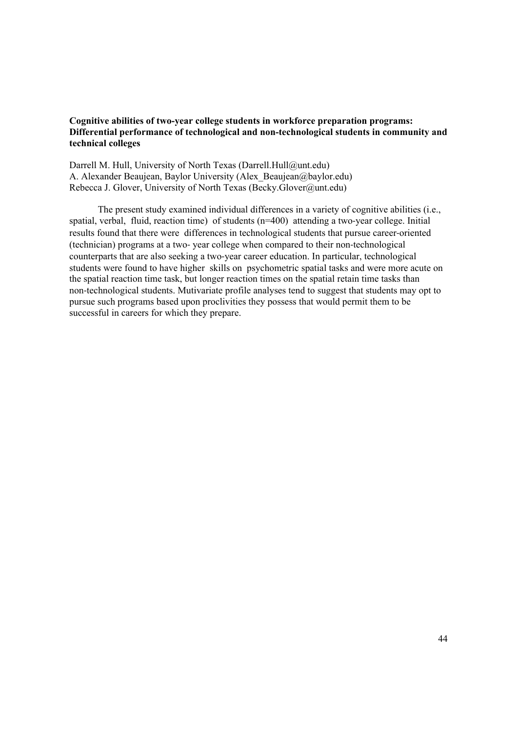## **Cognitive abilities of two-year college students in workforce preparation programs: Differential performance of technological and non-technological students in community and technical colleges**

Darrell M. Hull, University of North Texas (Darrell.Hull@unt.edu) A. Alexander Beaujean, Baylor University (Alex\_Beaujean@baylor.edu) Rebecca J. Glover, University of North Texas (Becky.Glover@unt.edu)

The present study examined individual differences in a variety of cognitive abilities (i.e., spatial, verbal, fluid, reaction time) of students (n=400) attending a two-year college. Initial results found that there were differences in technological students that pursue career-oriented (technician) programs at a two- year college when compared to their non-technological counterparts that are also seeking a two-year career education. In particular, technological students were found to have higher skills on psychometric spatial tasks and were more acute on the spatial reaction time task, but longer reaction times on the spatial retain time tasks than non-technological students. Mutivariate profile analyses tend to suggest that students may opt to pursue such programs based upon proclivities they possess that would permit them to be successful in careers for which they prepare.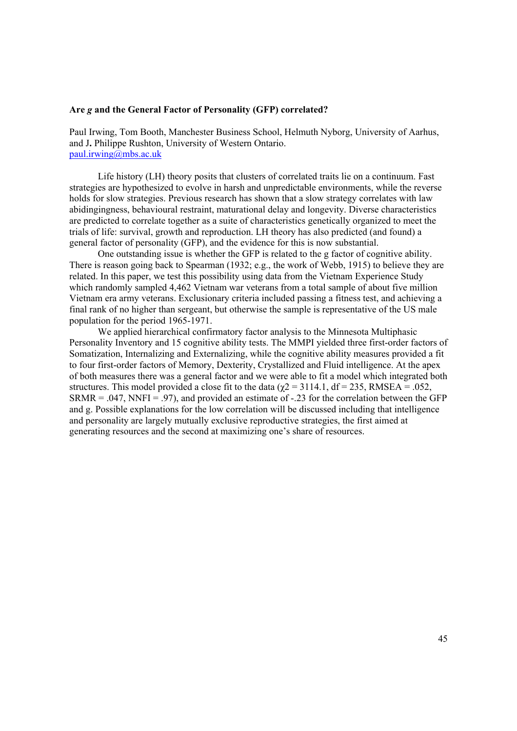#### **Are** *g* **and the General Factor of Personality (GFP) correlated?**

Paul Irwing, Tom Booth, Manchester Business School, Helmuth Nyborg, University of Aarhus, and J**.** Philippe Rushton, University of Western Ontario. paul.irwing@mbs.ac.uk

Life history (LH) theory posits that clusters of correlated traits lie on a continuum. Fast strategies are hypothesized to evolve in harsh and unpredictable environments, while the reverse holds for slow strategies. Previous research has shown that a slow strategy correlates with law abidingingness, behavioural restraint, maturational delay and longevity. Diverse characteristics are predicted to correlate together as a suite of characteristics genetically organized to meet the trials of life: survival, growth and reproduction. LH theory has also predicted (and found) a general factor of personality (GFP), and the evidence for this is now substantial.

One outstanding issue is whether the GFP is related to the g factor of cognitive ability. There is reason going back to Spearman (1932; e.g., the work of Webb, 1915) to believe they are related. In this paper, we test this possibility using data from the Vietnam Experience Study which randomly sampled 4,462 Vietnam war veterans from a total sample of about five million Vietnam era army veterans. Exclusionary criteria included passing a fitness test, and achieving a final rank of no higher than sergeant, but otherwise the sample is representative of the US male population for the period 1965-1971.

We applied hierarchical confirmatory factor analysis to the Minnesota Multiphasic Personality Inventory and 15 cognitive ability tests. The MMPI yielded three first-order factors of Somatization, Internalizing and Externalizing, while the cognitive ability measures provided a fit to four first-order factors of Memory, Dexterity, Crystallized and Fluid intelligence. At the apex of both measures there was a general factor and we were able to fit a model which integrated both structures. This model provided a close fit to the data ( $\chi$ 2 = 3114.1, df = 235, RMSEA = .052,  $SRMR = .047$ ,  $NNFI = .97$ ), and provided an estimate of  $-.23$  for the correlation between the GFP and g. Possible explanations for the low correlation will be discussed including that intelligence and personality are largely mutually exclusive reproductive strategies, the first aimed at generating resources and the second at maximizing one's share of resources.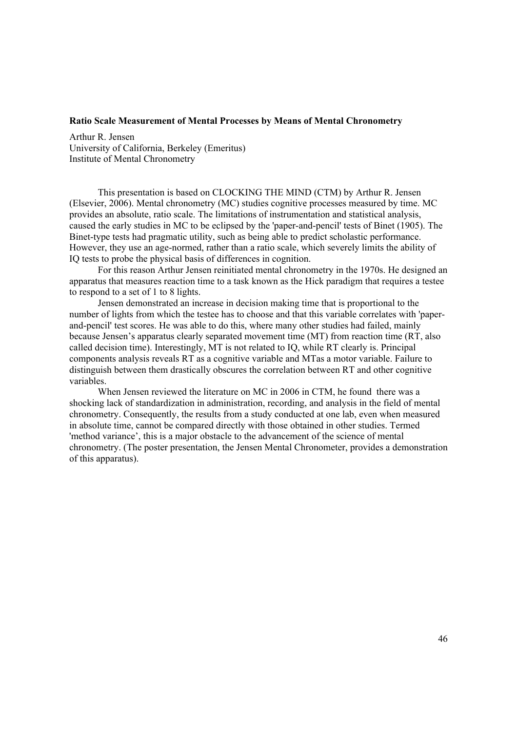#### **Ratio Scale Measurement of Mental Processes by Means of Mental Chronometry**

Arthur R. Jensen University of California, Berkeley (Emeritus) Institute of Mental Chronometry

This presentation is based on CLOCKING THE MIND (CTM) by Arthur R. Jensen (Elsevier, 2006). Mental chronometry (MC) studies cognitive processes measured by time. MC provides an absolute, ratio scale. The limitations of instrumentation and statistical analysis, caused the early studies in MC to be eclipsed by the 'paper-and-pencil' tests of Binet (1905). The Binet-type tests had pragmatic utility, such as being able to predict scholastic performance. However, they use an age-normed, rather than a ratio scale, which severely limits the ability of IQ tests to probe the physical basis of differences in cognition.

For this reason Arthur Jensen reinitiated mental chronometry in the 1970s. He designed an apparatus that measures reaction time to a task known as the Hick paradigm that requires a testee to respond to a set of 1 to 8 lights.

Jensen demonstrated an increase in decision making time that is proportional to the number of lights from which the testee has to choose and that this variable correlates with 'paperand-pencil' test scores. He was able to do this, where many other studies had failed, mainly because Jensen's apparatus clearly separated movement time (MT) from reaction time (RT, also called decision time). Interestingly, MT is not related to IQ, while RT clearly is. Principal components analysis reveals RT as a cognitive variable and MTas a motor variable. Failure to distinguish between them drastically obscures the correlation between RT and other cognitive variables.

When Jensen reviewed the literature on MC in 2006 in CTM, he found there was a shocking lack of standardization in administration, recording, and analysis in the field of mental chronometry. Consequently, the results from a study conducted at one lab, even when measured in absolute time, cannot be compared directly with those obtained in other studies. Termed 'method variance', this is a major obstacle to the advancement of the science of mental chronometry. (The poster presentation, the Jensen Mental Chronometer, provides a demonstration of this apparatus).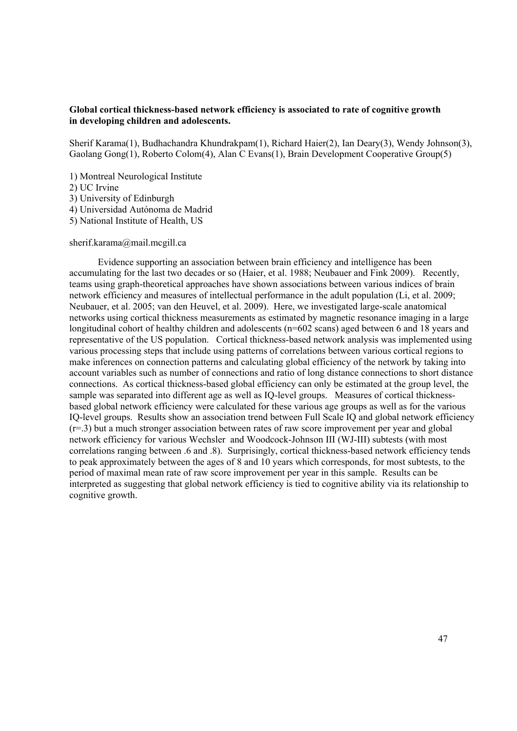## **Global cortical thickness-based network efficiency is associated to rate of cognitive growth in developing children and adolescents.**

Sherif Karama(1), Budhachandra Khundrakpam(1), Richard Haier(2), Ian Deary(3), Wendy Johnson(3), Gaolang Gong(1), Roberto Colom(4), Alan C Evans(1), Brain Development Cooperative Group(5)

- 1) Montreal Neurological Institute
- 2) UC Irvine
- 3) University of Edinburgh
- 4) Universidad Autónoma de Madrid
- 5) National Institute of Health, US

### sherif.karama@mail.mcgill.ca

Evidence supporting an association between brain efficiency and intelligence has been accumulating for the last two decades or so (Haier, et al. 1988; Neubauer and Fink 2009). Recently, teams using graph-theoretical approaches have shown associations between various indices of brain network efficiency and measures of intellectual performance in the adult population (Li, et al. 2009; Neubauer, et al. 2005; van den Heuvel, et al. 2009). Here, we investigated large-scale anatomical networks using cortical thickness measurements as estimated by magnetic resonance imaging in a large longitudinal cohort of healthy children and adolescents (n=602 scans) aged between 6 and 18 years and representative of the US population. Cortical thickness-based network analysis was implemented using various processing steps that include using patterns of correlations between various cortical regions to make inferences on connection patterns and calculating global efficiency of the network by taking into account variables such as number of connections and ratio of long distance connections to short distance connections. As cortical thickness-based global efficiency can only be estimated at the group level, the sample was separated into different age as well as IQ-level groups. Measures of cortical thicknessbased global network efficiency were calculated for these various age groups as well as for the various IQ-level groups. Results show an association trend between Full Scale IQ and global network efficiency  $(r=0.3)$  but a much stronger association between rates of raw score improvement per year and global network efficiency for various Wechsler and Woodcock-Johnson III (WJ-III) subtests (with most correlations ranging between .6 and .8). Surprisingly, cortical thickness-based network efficiency tends to peak approximately between the ages of 8 and 10 years which corresponds, for most subtests, to the period of maximal mean rate of raw score improvement per year in this sample. Results can be interpreted as suggesting that global network efficiency is tied to cognitive ability via its relationship to cognitive growth.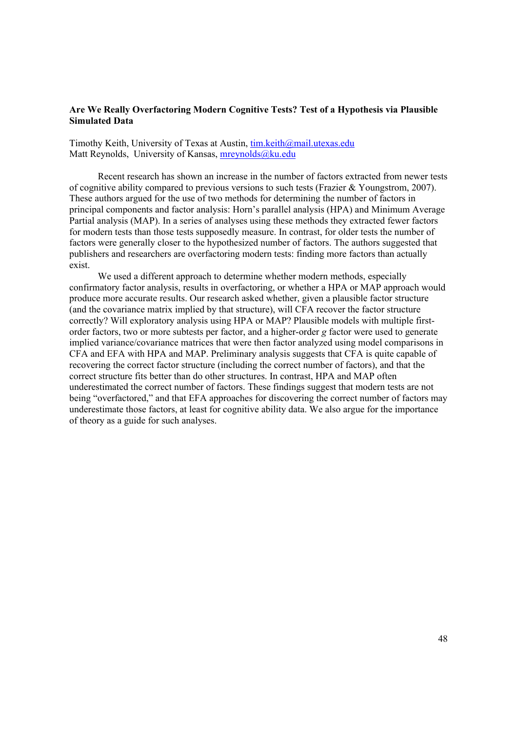## **Are We Really Overfactoring Modern Cognitive Tests? Test of a Hypothesis via Plausible Simulated Data**

Timothy Keith, University of Texas at Austin, tim.keith@mail.utexas.edu Matt Reynolds, University of Kansas, mreynolds@ku.edu

Recent research has shown an increase in the number of factors extracted from newer tests of cognitive ability compared to previous versions to such tests (Frazier & Youngstrom, 2007). These authors argued for the use of two methods for determining the number of factors in principal components and factor analysis: Horn's parallel analysis (HPA) and Minimum Average Partial analysis (MAP). In a series of analyses using these methods they extracted fewer factors for modern tests than those tests supposedly measure. In contrast, for older tests the number of factors were generally closer to the hypothesized number of factors. The authors suggested that publishers and researchers are overfactoring modern tests: finding more factors than actually exist.

We used a different approach to determine whether modern methods, especially confirmatory factor analysis, results in overfactoring, or whether a HPA or MAP approach would produce more accurate results. Our research asked whether, given a plausible factor structure (and the covariance matrix implied by that structure), will CFA recover the factor structure correctly? Will exploratory analysis using HPA or MAP? Plausible models with multiple firstorder factors, two or more subtests per factor, and a higher-order *g* factor were used to generate implied variance/covariance matrices that were then factor analyzed using model comparisons in CFA and EFA with HPA and MAP. Preliminary analysis suggests that CFA is quite capable of recovering the correct factor structure (including the correct number of factors), and that the correct structure fits better than do other structures. In contrast, HPA and MAP often underestimated the correct number of factors. These findings suggest that modern tests are not being "overfactored," and that EFA approaches for discovering the correct number of factors may underestimate those factors, at least for cognitive ability data. We also argue for the importance of theory as a guide for such analyses.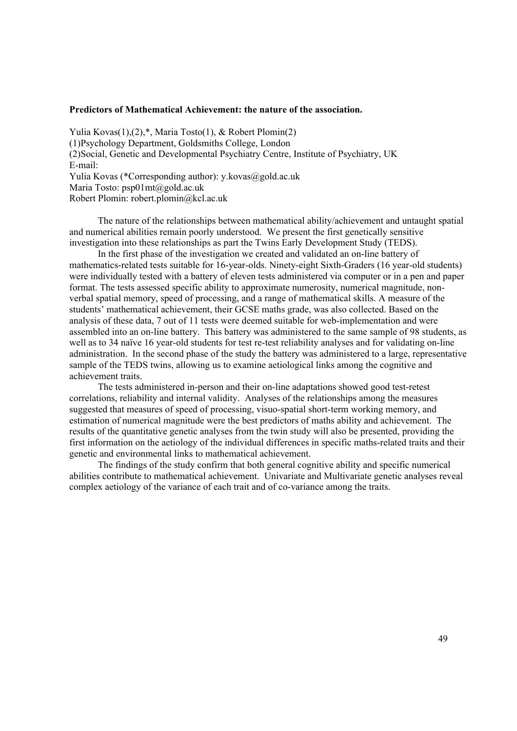#### **Predictors of Mathematical Achievement: the nature of the association.**

Yulia Kovas(1),(2),\*, Maria Tosto(1), & Robert Plomin(2) (1)Psychology Department, Goldsmiths College, London (2)Social, Genetic and Developmental Psychiatry Centre, Institute of Psychiatry, UK E-mail: Yulia Kovas (\*Corresponding author): y.kovas@gold.ac.uk Maria Tosto: psp01mt@gold.ac.uk Robert Plomin: robert.plomin@kcl.ac.uk

The nature of the relationships between mathematical ability/achievement and untaught spatial and numerical abilities remain poorly understood. We present the first genetically sensitive investigation into these relationships as part the Twins Early Development Study (TEDS).

In the first phase of the investigation we created and validated an on-line battery of mathematics-related tests suitable for 16-year-olds. Ninety-eight Sixth-Graders (16 year-old students) were individually tested with a battery of eleven tests administered via computer or in a pen and paper format. The tests assessed specific ability to approximate numerosity, numerical magnitude, nonverbal spatial memory, speed of processing, and a range of mathematical skills. A measure of the students' mathematical achievement, their GCSE maths grade, was also collected. Based on the analysis of these data, 7 out of 11 tests were deemed suitable for web-implementation and were assembled into an on-line battery. This battery was administered to the same sample of 98 students, as well as to 34 naïve 16 year-old students for test re-test reliability analyses and for validating on-line administration. In the second phase of the study the battery was administered to a large, representative sample of the TEDS twins, allowing us to examine aetiological links among the cognitive and achievement traits.

The tests administered in-person and their on-line adaptations showed good test-retest correlations, reliability and internal validity. Analyses of the relationships among the measures suggested that measures of speed of processing, visuo-spatial short-term working memory, and estimation of numerical magnitude were the best predictors of maths ability and achievement. The results of the quantitative genetic analyses from the twin study will also be presented, providing the first information on the aetiology of the individual differences in specific maths-related traits and their genetic and environmental links to mathematical achievement.

The findings of the study confirm that both general cognitive ability and specific numerical abilities contribute to mathematical achievement. Univariate and Multivariate genetic analyses reveal complex aetiology of the variance of each trait and of co-variance among the traits.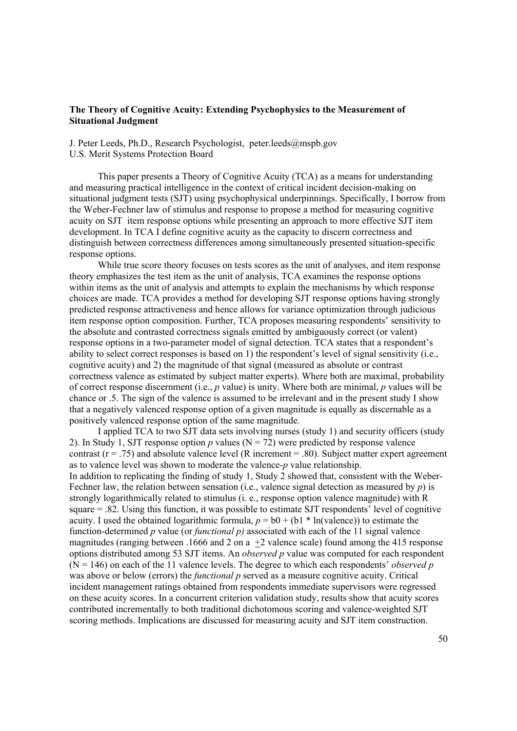### **The Theory of Cognitive Acuity: Extending Psychophysics to the Measurement of Situational Judgment**

J. Peter Leeds, Ph.D., Research Psychologist, peter.leeds@mspb.gov U.S. Merit Systems Protection Board

This paper presents a Theory of Cognitive Acuity (TCA) as a means for understanding and measuring practical intelligence in the context of critical incident decision-making on situational judgment tests (SJT) using psychophysical underpinnings. Specifically, I borrow from the Weber-Fechner law of stimulus and response to propose a method for measuring cognitive acuity on SJT item response options while presenting an approach to more effective SJT item development. In TCA I define cognitive acuity as the capacity to discern correctness and distinguish between correctness differences among simultaneously presented situation-specific response options.

While true score theory focuses on tests scores as the unit of analyses, and item response theory emphasizes the test item as the unit of analysis, TCA examines the response options within items as the unit of analysis and attempts to explain the mechanisms by which response choices are made. TCA provides a method for developing SJT response options having strongly predicted response attractiveness and hence allows for variance optimization through judicious item response option composition. Further, TCA proposes measuring respondents' sensitivity to the absolute and contrasted correctness signals emitted by ambiguously correct (or valent) response options in a two-parameter model of signal detection. TCA states that a respondent's ability to select correct responses is based on 1) the respondent's level of signal sensitivity (i.e., cognitive acuity) and 2) the magnitude of that signal (measured as absolute or contrast correctness valence as estimated by subject matter experts). Where both are maximal, probability of correct response discernment (i.e., *p* value) is unity. Where both are minimal, *p* values will be chance or .5. The sign of the valence is assumed to be irrelevant and in the present study I show that a negatively valenced response option of a given magnitude is equally as discernable as a positively valenced response option of the same magnitude.

I applied TCA to two SJT data sets involving nurses (study 1) and security officers (study 2). In Study 1, SJT response option *p* values ( $N = 72$ ) were predicted by response valence contrast ( $r = .75$ ) and absolute valence level (R increment = .80). Subject matter expert agreement as to valence level was shown to moderate the valence-*p* value relationship. In addition to replicating the finding of study 1, Study 2 showed that, consistent with the Weber-Fechner law, the relation between sensation (i.e., valence signal detection as measured by *p*) is strongly logarithmically related to stimulus (i. e., response option valence magnitude) with R square = .82. Using this function, it was possible to estimate SJT respondents' level of cognitive acuity. I used the obtained logarithmic formula,  $p = b0 + (b1 * ln(\text{valence}))$  to estimate the function-determined *p* value (or *functional p)* associated with each of the 11 signal valence magnitudes (ranging between .1666 and 2 on a  $+2$  valence scale) found among the 415 response options distributed among 53 SJT items. An *observed p* value was computed for each respondent  $(N = 146)$  on each of the 11 valence levels. The degree to which each respondents' *observed p* was above or below (errors) the *functional p* served as a measure cognitive acuity. Critical incident management ratings obtained from respondents immediate supervisors were regressed on these acuity scores. In a concurrent criterion validation study, results show that acuity scores contributed incrementally to both traditional dichotomous scoring and valence-weighted SJT scoring methods. Implications are discussed for measuring acuity and SJT item construction.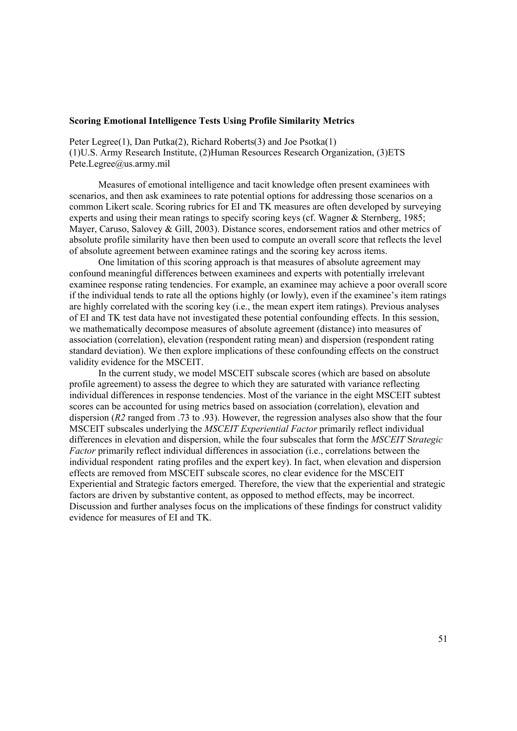#### **Scoring Emotional Intelligence Tests Using Profile Similarity Metrics**

Peter Legree(1), Dan Putka(2), Richard Roberts(3) and Joe Psotka(1) (1)U.S. Army Research Institute, (2)Human Resources Research Organization, (3)ETS Pete.Legree@us.army.mil

Measures of emotional intelligence and tacit knowledge often present examinees with scenarios, and then ask examinees to rate potential options for addressing those scenarios on a common Likert scale. Scoring rubrics for EI and TK measures are often developed by surveying experts and using their mean ratings to specify scoring keys (cf. Wagner & Sternberg, 1985; Mayer, Caruso, Salovey & Gill, 2003). Distance scores, endorsement ratios and other metrics of absolute profile similarity have then been used to compute an overall score that reflects the level of absolute agreement between examinee ratings and the scoring key across items.

One limitation of this scoring approach is that measures of absolute agreement may confound meaningful differences between examinees and experts with potentially irrelevant examinee response rating tendencies. For example, an examinee may achieve a poor overall score if the individual tends to rate all the options highly (or lowly), even if the examinee's item ratings are highly correlated with the scoring key (i.e., the mean expert item ratings). Previous analyses of EI and TK test data have not investigated these potential confounding effects. In this session, we mathematically decompose measures of absolute agreement (distance) into measures of association (correlation), elevation (respondent rating mean) and dispersion (respondent rating standard deviation). We then explore implications of these confounding effects on the construct validity evidence for the MSCEIT.

In the current study, we model MSCEIT subscale scores (which are based on absolute profile agreement) to assess the degree to which they are saturated with variance reflecting individual differences in response tendencies. Most of the variance in the eight MSCEIT subtest scores can be accounted for using metrics based on association (correlation), elevation and dispersion (*R2* ranged from .73 to .93). However, the regression analyses also show that the four MSCEIT subscales underlying the *MSCEIT Experiential Factor* primarily reflect individual differences in elevation and dispersion, while the four subscales that form the *MSCEIT* S*trategic Factor* primarily reflect individual differences in association (i.e., correlations between the individual respondent rating profiles and the expert key). In fact, when elevation and dispersion effects are removed from MSCEIT subscale scores, no clear evidence for the MSCEIT Experiential and Strategic factors emerged. Therefore, the view that the experiential and strategic factors are driven by substantive content, as opposed to method effects, may be incorrect. Discussion and further analyses focus on the implications of these findings for construct validity evidence for measures of EI and TK.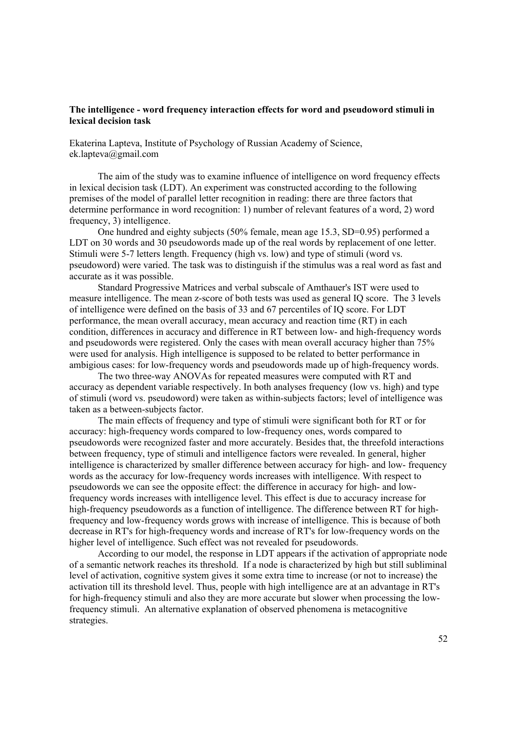## **The intelligence - word frequency interaction effects for word and pseudoword stimuli in lexical decision task**

Ekaterina Lapteva, Institute of Psychology of Russian Academy of Science, ek.lapteva@gmail.com

The aim of the study was to examine influence of intelligence on word frequency effects in lexical decision task (LDT). An experiment was constructed according to the following premises of the model of parallel letter recognition in reading: there are three factors that determine performance in word recognition: 1) number of relevant features of a word, 2) word frequency, 3) intelligence.

One hundred and eighty subjects (50% female, mean age 15.3, SD=0.95) performed a LDT on 30 words and 30 pseudowords made up of the real words by replacement of one letter. Stimuli were 5-7 letters length. Frequency (high vs. low) and type of stimuli (word vs. pseudoword) were varied. The task was to distinguish if the stimulus was a real word as fast and accurate as it was possible.

Standard Progressive Matrices and verbal subscale of Amthauer's IST were used to measure intelligence. The mean z-score of both tests was used as general IQ score. The 3 levels of intelligence were defined on the basis of 33 and 67 percentiles of IQ score. For LDT performance, the mean overall accuracy, mean accuracy and reaction time (RT) in each condition, differences in accuracy and difference in RT between low- and high-frequency words and pseudowords were registered. Only the cases with mean overall accuracy higher than 75% were used for analysis. High intelligence is supposed to be related to better performance in ambigious cases: for low-frequency words and pseudowords made up of high-frequency words.

The two three-way ANOVAs for repeated measures were computed with RT and accuracy as dependent variable respectively. In both analyses frequency (low vs. high) and type of stimuli (word vs. pseudoword) were taken as within-subjects factors; level of intelligence was taken as a between-subjects factor.

The main effects of frequency and type of stimuli were significant both for RT or for accuracy: high-frequency words compared to low-frequency ones, words compared to pseudowords were recognized faster and more accurately. Besides that, the threefold interactions between frequency, type of stimuli and intelligence factors were revealed. In general, higher intelligence is characterized by smaller difference between accuracy for high- and low- frequency words as the accuracy for low-frequency words increases with intelligence. With respect to pseudowords we can see the opposite effect: the difference in accuracy for high- and lowfrequency words increases with intelligence level. This effect is due to accuracy increase for high-frequency pseudowords as a function of intelligence. The difference between RT for highfrequency and low-frequency words grows with increase of intelligence. This is because of both decrease in RT's for high-frequency words and increase of RT's for low-frequency words on the higher level of intelligence. Such effect was not revealed for pseudowords.

According to our model, the response in LDT appears if the activation of appropriate node of a semantic network reaches its threshold. If a node is characterized by high but still subliminal level of activation, cognitive system gives it some extra time to increase (or not to increase) the activation till its threshold level. Thus, people with high intelligence are at an advantage in RT's for high-frequency stimuli and also they are more accurate but slower when processing the lowfrequency stimuli. An alternative explanation of observed phenomena is metacognitive strategies.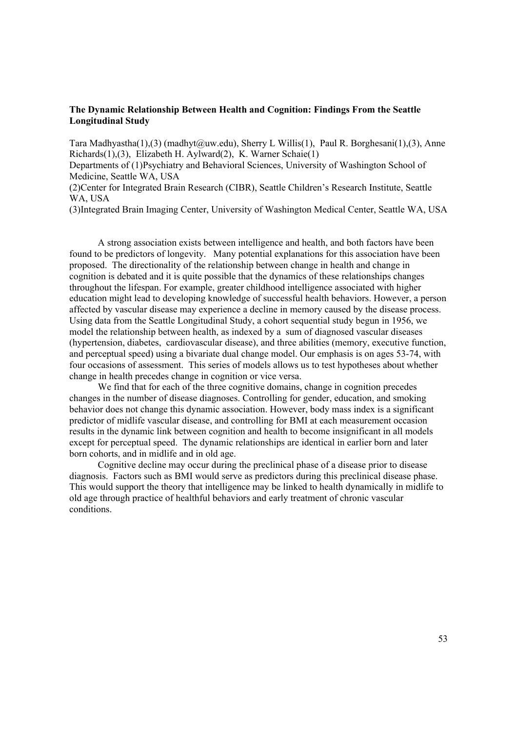## **The Dynamic Relationship Between Health and Cognition: Findings From the Seattle Longitudinal Study**

Tara Madhyastha(1),(3) (madhyt@uw.edu), Sherry L Willis(1), Paul R. Borghesani(1),(3), Anne Richards(1),(3), Elizabeth H. Aylward(2), K. Warner Schaie(1)

Departments of (1)Psychiatry and Behavioral Sciences, University of Washington School of Medicine, Seattle WA, USA

(2)Center for Integrated Brain Research (CIBR), Seattle Children's Research Institute, Seattle WA, USA

(3)Integrated Brain Imaging Center, University of Washington Medical Center, Seattle WA, USA

A strong association exists between intelligence and health, and both factors have been found to be predictors of longevity. Many potential explanations for this association have been proposed. The directionality of the relationship between change in health and change in cognition is debated and it is quite possible that the dynamics of these relationships changes throughout the lifespan. For example, greater childhood intelligence associated with higher education might lead to developing knowledge of successful health behaviors. However, a person affected by vascular disease may experience a decline in memory caused by the disease process. Using data from the Seattle Longitudinal Study, a cohort sequential study begun in 1956, we model the relationship between health, as indexed by a sum of diagnosed vascular diseases (hypertension, diabetes, cardiovascular disease), and three abilities (memory, executive function, and perceptual speed) using a bivariate dual change model. Our emphasis is on ages 53-74, with four occasions of assessment. This series of models allows us to test hypotheses about whether change in health precedes change in cognition or vice versa.

We find that for each of the three cognitive domains, change in cognition precedes changes in the number of disease diagnoses. Controlling for gender, education, and smoking behavior does not change this dynamic association. However, body mass index is a significant predictor of midlife vascular disease, and controlling for BMI at each measurement occasion results in the dynamic link between cognition and health to become insignificant in all models except for perceptual speed. The dynamic relationships are identical in earlier born and later born cohorts, and in midlife and in old age.

Cognitive decline may occur during the preclinical phase of a disease prior to disease diagnosis. Factors such as BMI would serve as predictors during this preclinical disease phase. This would support the theory that intelligence may be linked to health dynamically in midlife to old age through practice of healthful behaviors and early treatment of chronic vascular conditions.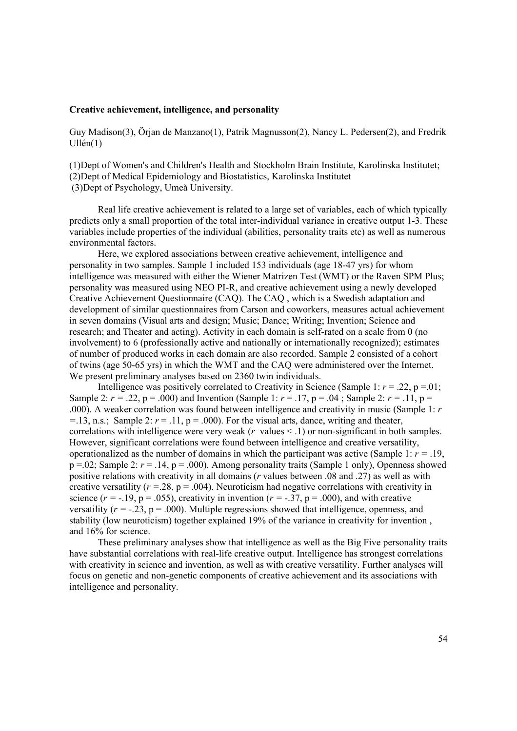### **Creative achievement, intelligence, and personality**

Guy Madison(3), Örjan de Manzano(1), Patrik Magnusson(2), Nancy L. Pedersen(2), and Fredrik Ullén(1)

(1)Dept of Women's and Children's Health and Stockholm Brain Institute, Karolinska Institutet; (2)Dept of Medical Epidemiology and Biostatistics, Karolinska Institutet (3)Dept of Psychology, Umeå University.

Real life creative achievement is related to a large set of variables, each of which typically predicts only a small proportion of the total inter-individual variance in creative output 1-3. These variables include properties of the individual (abilities, personality traits etc) as well as numerous environmental factors.

Here, we explored associations between creative achievement, intelligence and personality in two samples. Sample 1 included 153 individuals (age 18-47 yrs) for whom intelligence was measured with either the Wiener Matrizen Test (WMT) or the Raven SPM Plus; personality was measured using NEO PI-R, and creative achievement using a newly developed Creative Achievement Questionnaire (CAQ). The CAQ , which is a Swedish adaptation and development of similar questionnaires from Carson and coworkers, measures actual achievement in seven domains (Visual arts and design; Music; Dance; Writing; Invention; Science and research; and Theater and acting). Activity in each domain is self-rated on a scale from 0 (no involvement) to 6 (professionally active and nationally or internationally recognized); estimates of number of produced works in each domain are also recorded. Sample 2 consisted of a cohort of twins (age 50-65 yrs) in which the WMT and the CAQ were administered over the Internet. We present preliminary analyses based on 2360 twin individuals.

Intelligence was positively correlated to Creativity in Science (Sample 1:  $r = .22$ ,  $p = .01$ ; Sample 2:  $r = .22$ ,  $p = .000$ ) and Invention (Sample 1:  $r = .17$ ,  $p = .04$ ; Sample 2:  $r = .11$ ,  $p =$ .000). A weaker correlation was found between intelligence and creativity in music (Sample 1: *r*   $=$ .13, n.s.; Sample 2:  $r = .11$ ,  $p = .000$ ). For the visual arts, dance, writing and theater, correlations with intelligence were very weak (*r* values < .1) or non-significant in both samples. However, significant correlations were found between intelligence and creative versatility, operationalized as the number of domains in which the participant was active (Sample 1: *r =* .19,  $p = 0.02$ ; Sample 2:  $r = 0.14$ ,  $p = 0.000$ ). Among personality traits (Sample 1 only), Openness showed positive relations with creativity in all domains (*r* values between .08 and .27) as well as with creative versatility  $(r = 28, p = .004)$ . Neuroticism had negative correlations with creativity in science ( $r = -.19$ ,  $p = .055$ ), creativity in invention ( $r = -.37$ ,  $p = .000$ ), and with creative versatility  $(r = -0.23, p = 0.00)$ . Multiple regressions showed that intelligence, openness, and stability (low neuroticism) together explained 19% of the variance in creativity for invention , and 16% for science.

These preliminary analyses show that intelligence as well as the Big Five personality traits have substantial correlations with real-life creative output. Intelligence has strongest correlations with creativity in science and invention, as well as with creative versatility. Further analyses will focus on genetic and non-genetic components of creative achievement and its associations with intelligence and personality.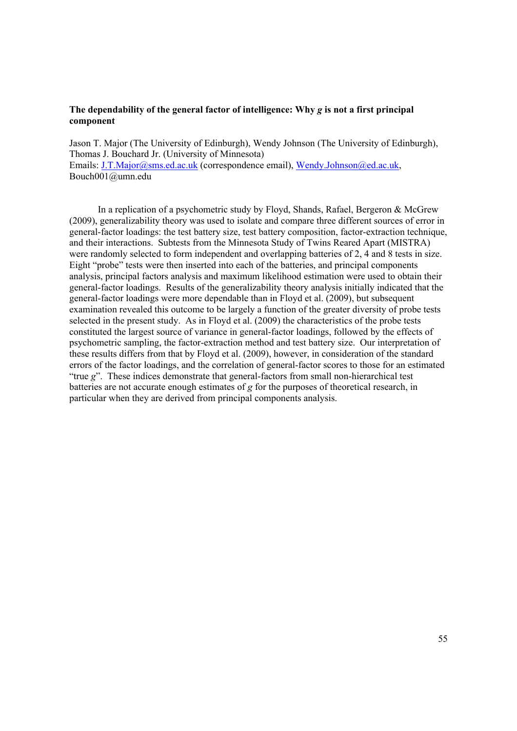## **The dependability of the general factor of intelligence: Why** *g* **is not a first principal component**

Jason T. Major (The University of Edinburgh), Wendy Johnson (The University of Edinburgh), Thomas J. Bouchard Jr. (University of Minnesota) Emails: J.T.Major@sms.ed.ac.uk (correspondence email), Wendy.Johnson@ed.ac.uk, Bouch001@umn.edu

In a replication of a psychometric study by Floyd, Shands, Rafael, Bergeron & McGrew (2009), generalizability theory was used to isolate and compare three different sources of error in general-factor loadings: the test battery size, test battery composition, factor-extraction technique, and their interactions. Subtests from the Minnesota Study of Twins Reared Apart (MISTRA) were randomly selected to form independent and overlapping batteries of 2, 4 and 8 tests in size. Eight "probe" tests were then inserted into each of the batteries, and principal components analysis, principal factors analysis and maximum likelihood estimation were used to obtain their general-factor loadings. Results of the generalizability theory analysis initially indicated that the general-factor loadings were more dependable than in Floyd et al. (2009), but subsequent examination revealed this outcome to be largely a function of the greater diversity of probe tests selected in the present study. As in Floyd et al. (2009) the characteristics of the probe tests constituted the largest source of variance in general-factor loadings, followed by the effects of psychometric sampling, the factor-extraction method and test battery size. Our interpretation of these results differs from that by Floyd et al. (2009), however, in consideration of the standard errors of the factor loadings, and the correlation of general-factor scores to those for an estimated "true *g*". These indices demonstrate that general-factors from small non-hierarchical test batteries are not accurate enough estimates of *g* for the purposes of theoretical research, in particular when they are derived from principal components analysis.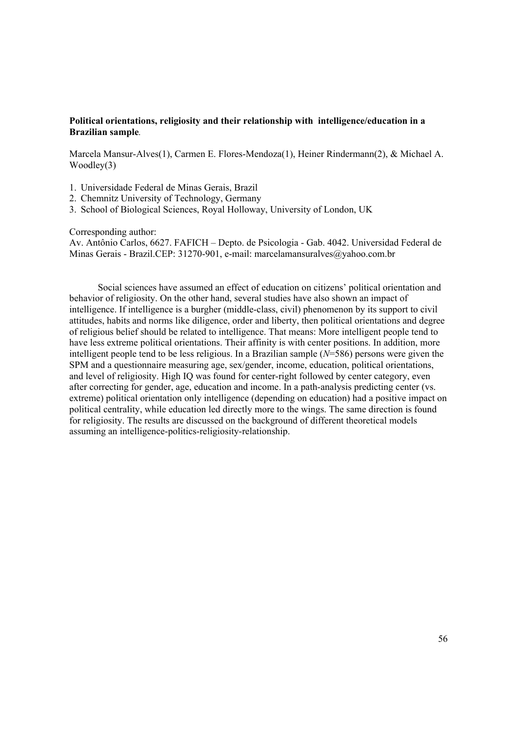# **Political orientations, religiosity and their relationship with intelligence/education in a Brazilian sample***.*

Marcela Mansur-Alves(1), Carmen E. Flores-Mendoza(1), Heiner Rindermann(2), & Michael A. Woodley(3)

- 1. Universidade Federal de Minas Gerais, Brazil
- 2. Chemnitz University of Technology, Germany
- 3. School of Biological Sciences, Royal Holloway, University of London, UK

Corresponding author:

Av. Antônio Carlos, 6627. FAFICH – Depto. de Psicologia - Gab. 4042. Universidad Federal de Minas Gerais - Brazil.CEP: 31270-901, e-mail: marcelamansuralves@yahoo.com.br

Social sciences have assumed an effect of education on citizens' political orientation and behavior of religiosity. On the other hand, several studies have also shown an impact of intelligence. If intelligence is a burgher (middle-class, civil) phenomenon by its support to civil attitudes, habits and norms like diligence, order and liberty, then political orientations and degree of religious belief should be related to intelligence. That means: More intelligent people tend to have less extreme political orientations. Their affinity is with center positions. In addition, more intelligent people tend to be less religious. In a Brazilian sample (*N*=586) persons were given the SPM and a questionnaire measuring age, sex/gender, income, education, political orientations, and level of religiosity. High IQ was found for center-right followed by center category, even after correcting for gender, age, education and income. In a path-analysis predicting center (vs. extreme) political orientation only intelligence (depending on education) had a positive impact on political centrality, while education led directly more to the wings. The same direction is found for religiosity. The results are discussed on the background of different theoretical models assuming an intelligence-politics-religiosity-relationship.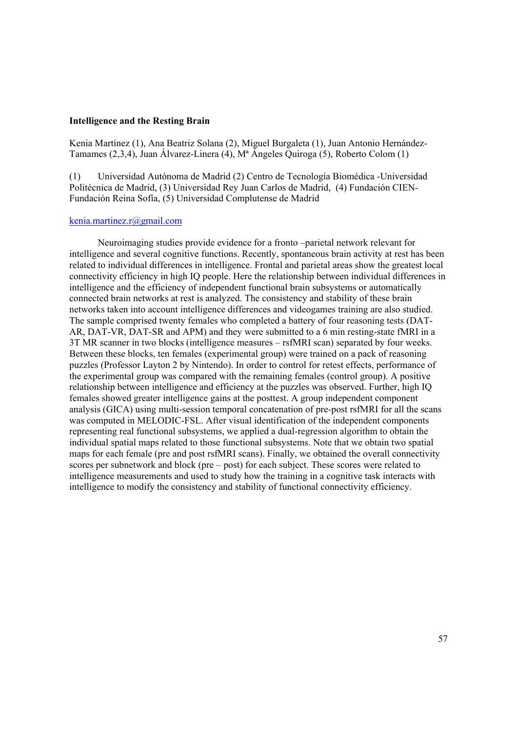#### **Intelligence and the Resting Brain**

Kenia Martínez (1), Ana Beatriz Solana (2), Miguel Burgaleta (1), Juan Antonio Hernández-Tamames (2,3,4), Juan Álvarez-Linera (4), Mª Ángeles Quiroga (5), Roberto Colom (1)

(1) Universidad Autónoma de Madrid (2) Centro de Tecnología Biomédica -Universidad Politécnica de Madrid, (3) Universidad Rey Juan Carlos de Madrid, (4) Fundación CIEN-Fundación Reina Sofía, (5) Universidad Complutense de Madrid

#### kenia.martinez.r@gmail.com

Neuroimaging studies provide evidence for a fronto –parietal network relevant for intelligence and several cognitive functions. Recently, spontaneous brain activity at rest has been related to individual differences in intelligence. Frontal and parietal areas show the greatest local connectivity efficiency in high IQ people. Here the relationship between individual differences in intelligence and the efficiency of independent functional brain subsystems or automatically connected brain networks at rest is analyzed. The consistency and stability of these brain networks taken into account intelligence differences and videogames training are also studied. The sample comprised twenty females who completed a battery of four reasoning tests (DAT-AR, DAT-VR, DAT-SR and APM) and they were submitted to a 6 min resting-state fMRI in a 3T MR scanner in two blocks (intelligence measures – rsfMRI scan) separated by four weeks. Between these blocks, ten females (experimental group) were trained on a pack of reasoning puzzles (Professor Layton 2 by Nintendo). In order to control for retest effects, performance of the experimental group was compared with the remaining females (control group). A positive relationship between intelligence and efficiency at the puzzles was observed. Further, high IQ females showed greater intelligence gains at the posttest. A group independent component analysis (GICA) using multi-session temporal concatenation of pre-post rsfMRI for all the scans was computed in MELODIC-FSL. After visual identification of the independent components representing real functional subsystems, we applied a dual-regression algorithm to obtain the individual spatial maps related to those functional subsystems. Note that we obtain two spatial maps for each female (pre and post rsfMRI scans). Finally, we obtained the overall connectivity scores per subnetwork and block (pre – post) for each subject. These scores were related to intelligence measurements and used to study how the training in a cognitive task interacts with intelligence to modify the consistency and stability of functional connectivity efficiency.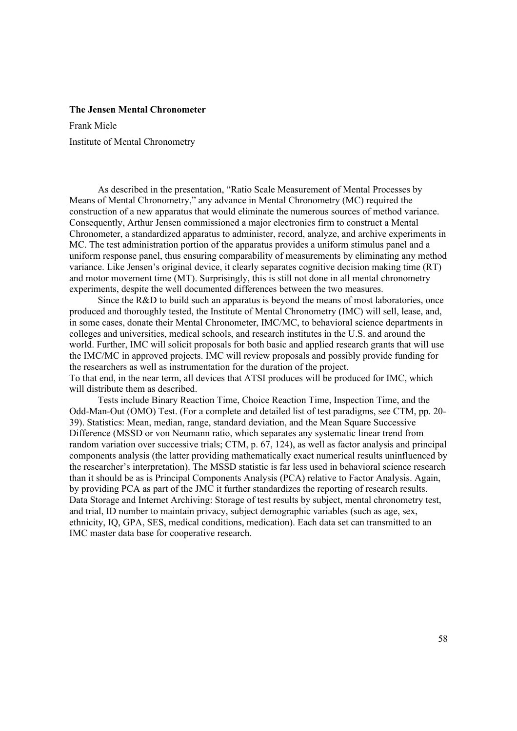#### **The Jensen Mental Chronometer**

Frank Miele Institute of Mental Chronometry

As described in the presentation, "Ratio Scale Measurement of Mental Processes by Means of Mental Chronometry," any advance in Mental Chronometry (MC) required the construction of a new apparatus that would eliminate the numerous sources of method variance. Consequently, Arthur Jensen commissioned a major electronics firm to construct a Mental Chronometer, a standardized apparatus to administer, record, analyze, and archive experiments in MC. The test administration portion of the apparatus provides a uniform stimulus panel and a uniform response panel, thus ensuring comparability of measurements by eliminating any method variance. Like Jensen's original device, it clearly separates cognitive decision making time (RT) and motor movement time (MT). Surprisingly, this is still not done in all mental chronometry experiments, despite the well documented differences between the two measures.

Since the R&D to build such an apparatus is beyond the means of most laboratories, once produced and thoroughly tested, the Institute of Mental Chronometry (IMC) will sell, lease, and, in some cases, donate their Mental Chronometer, IMC/MC, to behavioral science departments in colleges and universities, medical schools, and research institutes in the U.S. and around the world. Further, IMC will solicit proposals for both basic and applied research grants that will use the IMC/MC in approved projects. IMC will review proposals and possibly provide funding for the researchers as well as instrumentation for the duration of the project. To that end, in the near term, all devices that ATSI produces will be produced for IMC, which will distribute them as described.

Tests include Binary Reaction Time, Choice Reaction Time, Inspection Time, and the Odd-Man-Out (OMO) Test. (For a complete and detailed list of test paradigms, see CTM, pp. 20- 39). Statistics: Mean, median, range, standard deviation, and the Mean Square Successive Difference (MSSD or von Neumann ratio, which separates any systematic linear trend from random variation over successive trials; CTM, p. 67, 124), as well as factor analysis and principal components analysis (the latter providing mathematically exact numerical results uninfluenced by the researcher's interpretation). The MSSD statistic is far less used in behavioral science research than it should be as is Principal Components Analysis (PCA) relative to Factor Analysis. Again, by providing PCA as part of the JMC it further standardizes the reporting of research results. Data Storage and Internet Archiving: Storage of test results by subject, mental chronometry test, and trial, ID number to maintain privacy, subject demographic variables (such as age, sex, ethnicity, IQ, GPA, SES, medical conditions, medication). Each data set can transmitted to an IMC master data base for cooperative research.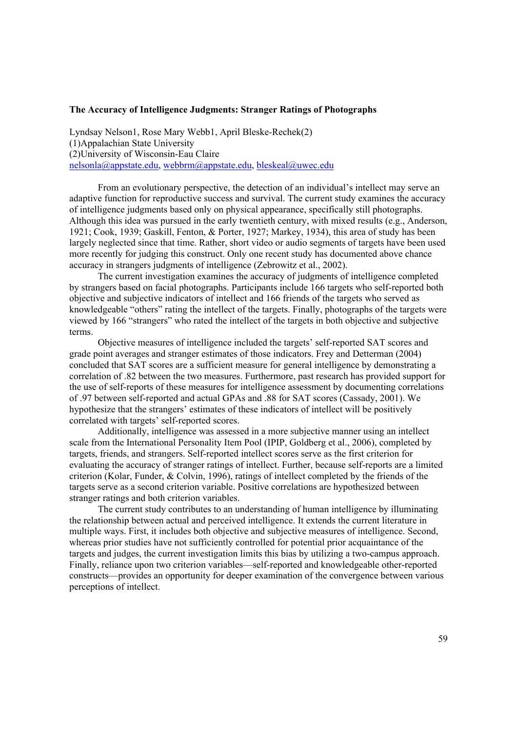#### **The Accuracy of Intelligence Judgments: Stranger Ratings of Photographs**

Lyndsay Nelson1, Rose Mary Webb1, April Bleske-Rechek(2) (1)Appalachian State University (2)University of Wisconsin-Eau Claire nelsonla@appstate.edu, webbrm@appstate.edu, bleskeal@uwec.edu

From an evolutionary perspective, the detection of an individual's intellect may serve an adaptive function for reproductive success and survival. The current study examines the accuracy of intelligence judgments based only on physical appearance, specifically still photographs. Although this idea was pursued in the early twentieth century, with mixed results (e.g., Anderson, 1921; Cook, 1939; Gaskill, Fenton, & Porter, 1927; Markey, 1934), this area of study has been largely neglected since that time. Rather, short video or audio segments of targets have been used more recently for judging this construct. Only one recent study has documented above chance accuracy in strangers judgments of intelligence (Zebrowitz et al., 2002).

The current investigation examines the accuracy of judgments of intelligence completed by strangers based on facial photographs. Participants include 166 targets who self-reported both objective and subjective indicators of intellect and 166 friends of the targets who served as knowledgeable "others" rating the intellect of the targets. Finally, photographs of the targets were viewed by 166 "strangers" who rated the intellect of the targets in both objective and subjective terms.

Objective measures of intelligence included the targets' self-reported SAT scores and grade point averages and stranger estimates of those indicators. Frey and Detterman (2004) concluded that SAT scores are a sufficient measure for general intelligence by demonstrating a correlation of .82 between the two measures. Furthermore, past research has provided support for the use of self-reports of these measures for intelligence assessment by documenting correlations of .97 between self-reported and actual GPAs and .88 for SAT scores (Cassady, 2001). We hypothesize that the strangers' estimates of these indicators of intellect will be positively correlated with targets' self-reported scores.

Additionally, intelligence was assessed in a more subjective manner using an intellect scale from the International Personality Item Pool (IPIP, Goldberg et al., 2006), completed by targets, friends, and strangers. Self-reported intellect scores serve as the first criterion for evaluating the accuracy of stranger ratings of intellect. Further, because self-reports are a limited criterion (Kolar, Funder, & Colvin, 1996), ratings of intellect completed by the friends of the targets serve as a second criterion variable. Positive correlations are hypothesized between stranger ratings and both criterion variables.

The current study contributes to an understanding of human intelligence by illuminating the relationship between actual and perceived intelligence. It extends the current literature in multiple ways. First, it includes both objective and subjective measures of intelligence. Second, whereas prior studies have not sufficiently controlled for potential prior acquaintance of the targets and judges, the current investigation limits this bias by utilizing a two-campus approach. Finally, reliance upon two criterion variables—self-reported and knowledgeable other-reported constructs—provides an opportunity for deeper examination of the convergence between various perceptions of intellect.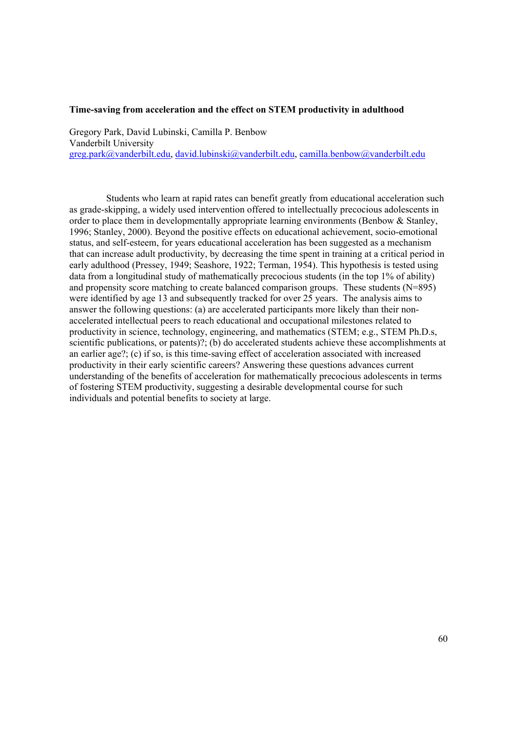#### **Time-saving from acceleration and the effect on STEM productivity in adulthood**

Gregory Park, David Lubinski, Camilla P. Benbow Vanderbilt University greg.park@vanderbilt.edu, david.lubinski@vanderbilt.edu, camilla.benbow@vanderbilt.edu

Students who learn at rapid rates can benefit greatly from educational acceleration such as grade-skipping, a widely used intervention offered to intellectually precocious adolescents in order to place them in developmentally appropriate learning environments (Benbow & Stanley, 1996; Stanley, 2000). Beyond the positive effects on educational achievement, socio-emotional status, and self-esteem, for years educational acceleration has been suggested as a mechanism that can increase adult productivity, by decreasing the time spent in training at a critical period in early adulthood (Pressey, 1949; Seashore, 1922; Terman, 1954). This hypothesis is tested using data from a longitudinal study of mathematically precocious students (in the top 1% of ability) and propensity score matching to create balanced comparison groups. These students (N=895) were identified by age 13 and subsequently tracked for over 25 years. The analysis aims to answer the following questions: (a) are accelerated participants more likely than their nonaccelerated intellectual peers to reach educational and occupational milestones related to productivity in science, technology, engineering, and mathematics (STEM; e.g., STEM Ph.D.s, scientific publications, or patents)?; (b) do accelerated students achieve these accomplishments at an earlier age?; (c) if so, is this time-saving effect of acceleration associated with increased productivity in their early scientific careers? Answering these questions advances current understanding of the benefits of acceleration for mathematically precocious adolescents in terms of fostering STEM productivity, suggesting a desirable developmental course for such individuals and potential benefits to society at large.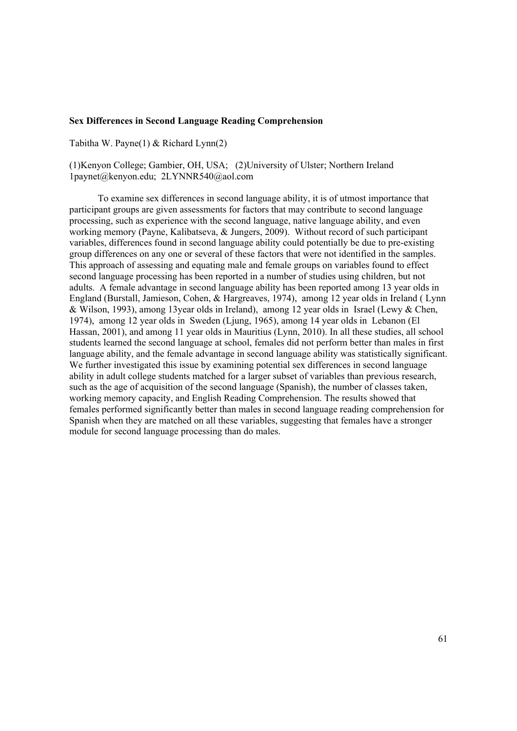### **Sex Differences in Second Language Reading Comprehension**

Tabitha W. Payne(1) & Richard Lynn(2)

(1)Kenyon College; Gambier, OH, USA; (2)University of Ulster; Northern Ireland 1paynet@kenyon.edu; 2LYNNR540@aol.com

To examine sex differences in second language ability, it is of utmost importance that participant groups are given assessments for factors that may contribute to second language processing, such as experience with the second language, native language ability, and even working memory (Payne, Kalibatseva, & Jungers, 2009). Without record of such participant variables, differences found in second language ability could potentially be due to pre-existing group differences on any one or several of these factors that were not identified in the samples. This approach of assessing and equating male and female groups on variables found to effect second language processing has been reported in a number of studies using children, but not adults. A female advantage in second language ability has been reported among 13 year olds in England (Burstall, Jamieson, Cohen, & Hargreaves, 1974), among 12 year olds in Ireland ( Lynn & Wilson, 1993), among 13year olds in Ireland), among 12 year olds in Israel (Lewy & Chen, 1974), among 12 year olds in Sweden (Ljung, 1965), among 14 year olds in Lebanon (El Hassan, 2001), and among 11 year olds in Mauritius (Lynn, 2010). In all these studies, all school students learned the second language at school, females did not perform better than males in first language ability, and the female advantage in second language ability was statistically significant. We further investigated this issue by examining potential sex differences in second language ability in adult college students matched for a larger subset of variables than previous research, such as the age of acquisition of the second language (Spanish), the number of classes taken, working memory capacity, and English Reading Comprehension. The results showed that females performed significantly better than males in second language reading comprehension for Spanish when they are matched on all these variables, suggesting that females have a stronger module for second language processing than do males.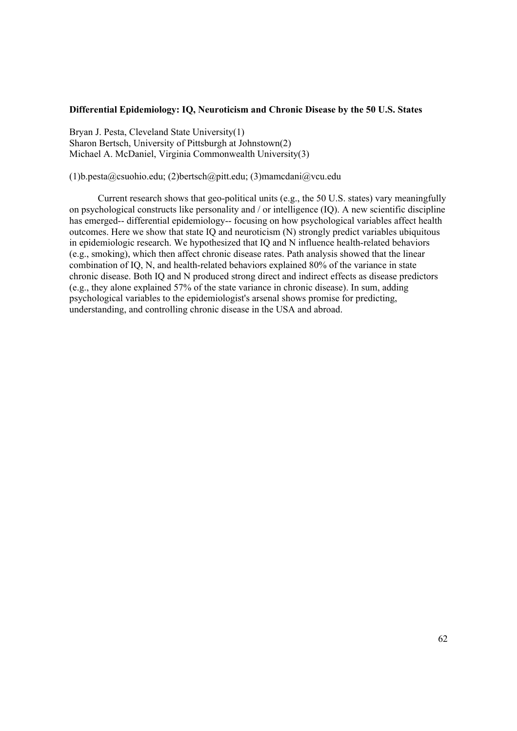#### **Differential Epidemiology: IQ, Neuroticism and Chronic Disease by the 50 U.S. States**

Bryan J. Pesta, Cleveland State University(1) Sharon Bertsch, University of Pittsburgh at Johnstown(2) Michael A. McDaniel, Virginia Commonwealth University(3)

(1)b.pesta@csuohio.edu; (2)bertsch@pitt.edu; (3)mamcdani@vcu.edu

Current research shows that geo-political units (e.g., the 50 U.S. states) vary meaningfully on psychological constructs like personality and / or intelligence (IQ). A new scientific discipline has emerged-- differential epidemiology-- focusing on how psychological variables affect health outcomes. Here we show that state IQ and neuroticism (N) strongly predict variables ubiquitous in epidemiologic research. We hypothesized that IQ and N influence health-related behaviors (e.g., smoking), which then affect chronic disease rates. Path analysis showed that the linear combination of IQ, N, and health-related behaviors explained 80% of the variance in state chronic disease. Both IQ and N produced strong direct and indirect effects as disease predictors (e.g., they alone explained 57% of the state variance in chronic disease). In sum, adding psychological variables to the epidemiologist's arsenal shows promise for predicting, understanding, and controlling chronic disease in the USA and abroad.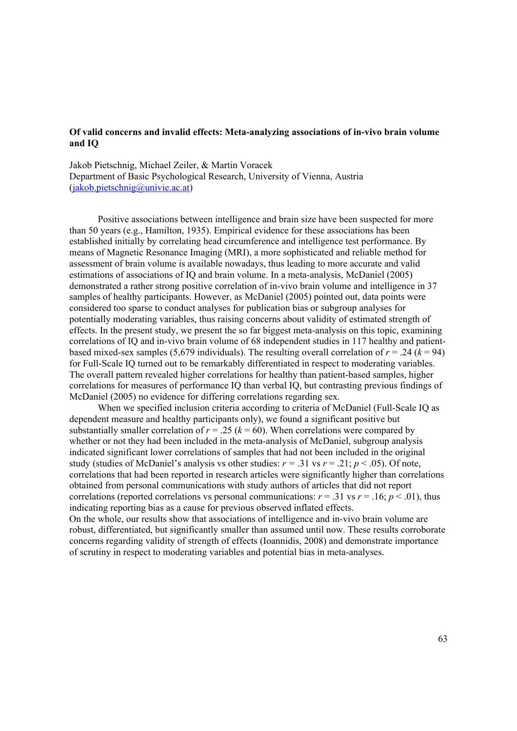## **Of valid concerns and invalid effects: Meta-analyzing associations of in-vivo brain volume and IQ**

Jakob Pietschnig, Michael Zeiler, & Martin Voracek Department of Basic Psychological Research, University of Vienna, Austria (jakob.pietschnig@univie.ac.at)

Positive associations between intelligence and brain size have been suspected for more than 50 years (e.g., Hamilton, 1935). Empirical evidence for these associations has been established initially by correlating head circumference and intelligence test performance. By means of Magnetic Resonance Imaging (MRI), a more sophisticated and reliable method for assessment of brain volume is available nowadays, thus leading to more accurate and valid estimations of associations of IQ and brain volume. In a meta-analysis, McDaniel (2005) demonstrated a rather strong positive correlation of in-vivo brain volume and intelligence in 37 samples of healthy participants. However, as McDaniel (2005) pointed out, data points were considered too sparse to conduct analyses for publication bias or subgroup analyses for potentially moderating variables, thus raising concerns about validity of estimated strength of effects. In the present study, we present the so far biggest meta-analysis on this topic, examining correlations of IQ and in-vivo brain volume of 68 independent studies in 117 healthy and patientbased mixed-sex samples (5,679 individuals). The resulting overall correlation of  $r = .24$  ( $k = 94$ ) for Full-Scale IQ turned out to be remarkably differentiated in respect to moderating variables. The overall pattern revealed higher correlations for healthy than patient-based samples, higher correlations for measures of performance IQ than verbal IQ, but contrasting previous findings of McDaniel (2005) no evidence for differing correlations regarding sex.

When we specified inclusion criteria according to criteria of McDaniel (Full-Scale IQ as dependent measure and healthy participants only), we found a significant positive but substantially smaller correlation of  $r = .25$  ( $k = 60$ ). When correlations were compared by whether or not they had been included in the meta-analysis of McDaniel, subgroup analysis indicated significant lower correlations of samples that had not been included in the original study (studies of McDaniel's analysis vs other studies:  $r = .31$  vs  $r = .21$ ;  $p < .05$ ). Of note, correlations that had been reported in research articles were significantly higher than correlations obtained from personal communications with study authors of articles that did not report correlations (reported correlations vs personal communications:  $r = .31$  vs  $r = .16$ ;  $p < .01$ ), thus indicating reporting bias as a cause for previous observed inflated effects.

On the whole, our results show that associations of intelligence and in-vivo brain volume are robust, differentiated, but significantly smaller than assumed until now. These results corroborate concerns regarding validity of strength of effects (Ioannidis, 2008) and demonstrate importance of scrutiny in respect to moderating variables and potential bias in meta-analyses.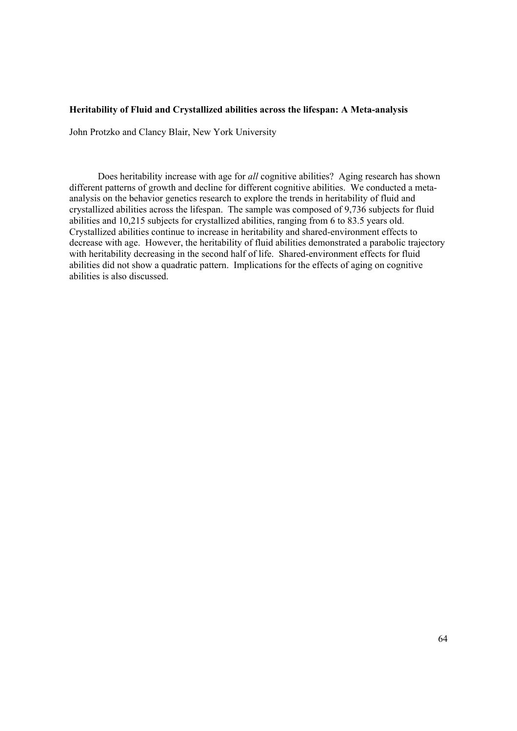#### **Heritability of Fluid and Crystallized abilities across the lifespan: A Meta-analysis**

John Protzko and Clancy Blair, New York University

Does heritability increase with age for *all* cognitive abilities? Aging research has shown different patterns of growth and decline for different cognitive abilities. We conducted a metaanalysis on the behavior genetics research to explore the trends in heritability of fluid and crystallized abilities across the lifespan. The sample was composed of 9,736 subjects for fluid abilities and 10,215 subjects for crystallized abilities, ranging from 6 to 83.5 years old. Crystallized abilities continue to increase in heritability and shared-environment effects to decrease with age. However, the heritability of fluid abilities demonstrated a parabolic trajectory with heritability decreasing in the second half of life. Shared-environment effects for fluid abilities did not show a quadratic pattern. Implications for the effects of aging on cognitive abilities is also discussed.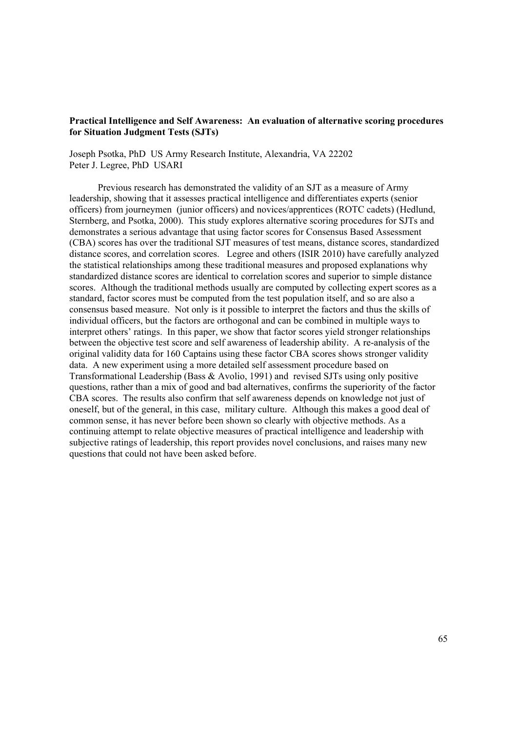## **Practical Intelligence and Self Awareness: An evaluation of alternative scoring procedures for Situation Judgment Tests (SJTs)**

Joseph Psotka, PhD US Army Research Institute, Alexandria, VA 22202 Peter J. Legree, PhD USARI

Previous research has demonstrated the validity of an SJT as a measure of Army leadership, showing that it assesses practical intelligence and differentiates experts (senior officers) from journeymen (junior officers) and novices/apprentices (ROTC cadets) (Hedlund, Sternberg, and Psotka, 2000). This study explores alternative scoring procedures for SJTs and demonstrates a serious advantage that using factor scores for Consensus Based Assessment (CBA) scores has over the traditional SJT measures of test means, distance scores, standardized distance scores, and correlation scores. Legree and others (ISIR 2010) have carefully analyzed the statistical relationships among these traditional measures and proposed explanations why standardized distance scores are identical to correlation scores and superior to simple distance scores. Although the traditional methods usually are computed by collecting expert scores as a standard, factor scores must be computed from the test population itself, and so are also a consensus based measure. Not only is it possible to interpret the factors and thus the skills of individual officers, but the factors are orthogonal and can be combined in multiple ways to interpret others' ratings. In this paper, we show that factor scores yield stronger relationships between the objective test score and self awareness of leadership ability. A re-analysis of the original validity data for 160 Captains using these factor CBA scores shows stronger validity data. A new experiment using a more detailed self assessment procedure based on Transformational Leadership (Bass & Avolio, 1991) and revised SJTs using only positive questions, rather than a mix of good and bad alternatives, confirms the superiority of the factor CBA scores. The results also confirm that self awareness depends on knowledge not just of oneself, but of the general, in this case, military culture. Although this makes a good deal of common sense, it has never before been shown so clearly with objective methods. As a continuing attempt to relate objective measures of practical intelligence and leadership with subjective ratings of leadership, this report provides novel conclusions, and raises many new questions that could not have been asked before.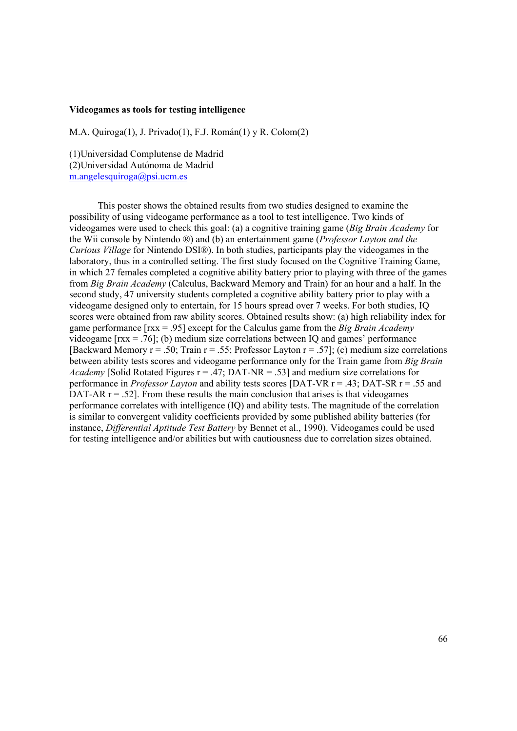#### **Videogames as tools for testing intelligence**

M.A. Quiroga(1), J. Privado(1), F.J. Román(1) y R. Colom(2)

(1)Universidad Complutense de Madrid (2)Universidad Autónoma de Madrid m.angelesquiroga@psi.ucm.es

This poster shows the obtained results from two studies designed to examine the possibility of using videogame performance as a tool to test intelligence. Two kinds of videogames were used to check this goal: (a) a cognitive training game (*Big Brain Academy* for the Wii console by Nintendo ®) and (b) an entertainment game (*Professor Layton and the Curious Village* for Nintendo DSI®). In both studies, participants play the videogames in the laboratory, thus in a controlled setting. The first study focused on the Cognitive Training Game, in which 27 females completed a cognitive ability battery prior to playing with three of the games from *Big Brain Academy* (Calculus, Backward Memory and Train) for an hour and a half. In the second study, 47 university students completed a cognitive ability battery prior to play with a videogame designed only to entertain, for 15 hours spread over 7 weeks. For both studies, IQ scores were obtained from raw ability scores. Obtained results show: (a) high reliability index for game performance [rxx = .95] except for the Calculus game from the *Big Brain Academy*  videogame [rxx = .76]; (b) medium size correlations between IQ and games' performance [Backward Memory  $r = .50$ ; Train  $r = .55$ ; Professor Layton  $r = .57$ ]; (c) medium size correlations between ability tests scores and videogame performance only for the Train game from *Big Brain Academy* [Solid Rotated Figures  $r = .47$ ; DAT-NR = .53] and medium size correlations for performance in *Professor Layton* and ability tests scores [DAT-VR r = .43; DAT-SR r = .55 and DAT-AR  $r = .52$ . From these results the main conclusion that arises is that videogames performance correlates with intelligence (IQ) and ability tests. The magnitude of the correlation is similar to convergent validity coefficients provided by some published ability batteries (for instance, *Differential Aptitude Test Battery* by Bennet et al., 1990). Videogames could be used for testing intelligence and/or abilities but with cautiousness due to correlation sizes obtained.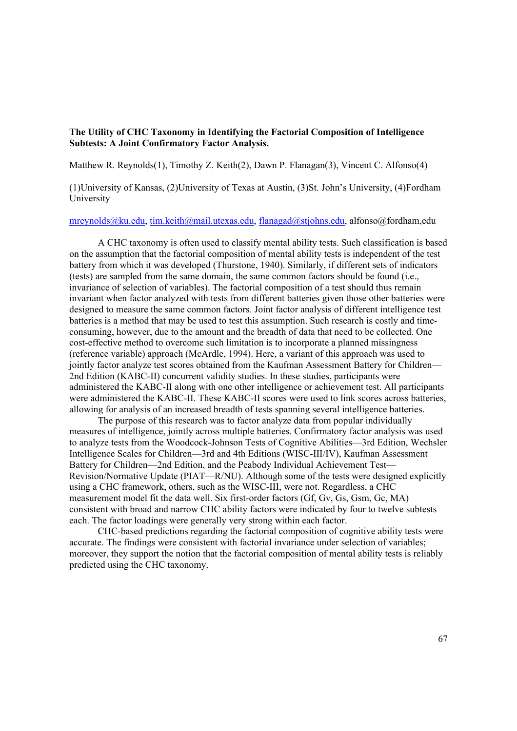# **The Utility of CHC Taxonomy in Identifying the Factorial Composition of Intelligence Subtests: A Joint Confirmatory Factor Analysis.**

Matthew R. Reynolds(1), Timothy Z. Keith(2), Dawn P. Flanagan(3), Vincent C. Alfonso(4)

(1)University of Kansas, (2)University of Texas at Austin, (3)St. John's University, (4)Fordham University

mreynolds@ku.edu, tim.keith@mail.utexas.edu, flanagad@stjohns.edu, alfonso@fordham,edu

A CHC taxonomy is often used to classify mental ability tests. Such classification is based on the assumption that the factorial composition of mental ability tests is independent of the test battery from which it was developed (Thurstone, 1940). Similarly, if different sets of indicators (tests) are sampled from the same domain, the same common factors should be found (i.e., invariance of selection of variables). The factorial composition of a test should thus remain invariant when factor analyzed with tests from different batteries given those other batteries were designed to measure the same common factors. Joint factor analysis of different intelligence test batteries is a method that may be used to test this assumption. Such research is costly and timeconsuming, however, due to the amount and the breadth of data that need to be collected. One cost-effective method to overcome such limitation is to incorporate a planned missingness (reference variable) approach (McArdle, 1994). Here, a variant of this approach was used to jointly factor analyze test scores obtained from the Kaufman Assessment Battery for Children— 2nd Edition (KABC-II) concurrent validity studies. In these studies, participants were administered the KABC-II along with one other intelligence or achievement test. All participants were administered the KABC-II. These KABC-II scores were used to link scores across batteries, allowing for analysis of an increased breadth of tests spanning several intelligence batteries.

The purpose of this research was to factor analyze data from popular individually measures of intelligence, jointly across multiple batteries. Confirmatory factor analysis was used to analyze tests from the Woodcock-Johnson Tests of Cognitive Abilities—3rd Edition, Wechsler Intelligence Scales for Children—3rd and 4th Editions (WISC-III/IV), Kaufman Assessment Battery for Children—2nd Edition, and the Peabody Individual Achievement Test— Revision/Normative Update (PIAT—R/NU). Although some of the tests were designed explicitly using a CHC framework, others, such as the WISC-III, were not. Regardless, a CHC measurement model fit the data well. Six first-order factors (Gf, Gv, Gs, Gsm, Gc, MA) consistent with broad and narrow CHC ability factors were indicated by four to twelve subtests each. The factor loadings were generally very strong within each factor.

CHC-based predictions regarding the factorial composition of cognitive ability tests were accurate. The findings were consistent with factorial invariance under selection of variables; moreover, they support the notion that the factorial composition of mental ability tests is reliably predicted using the CHC taxonomy.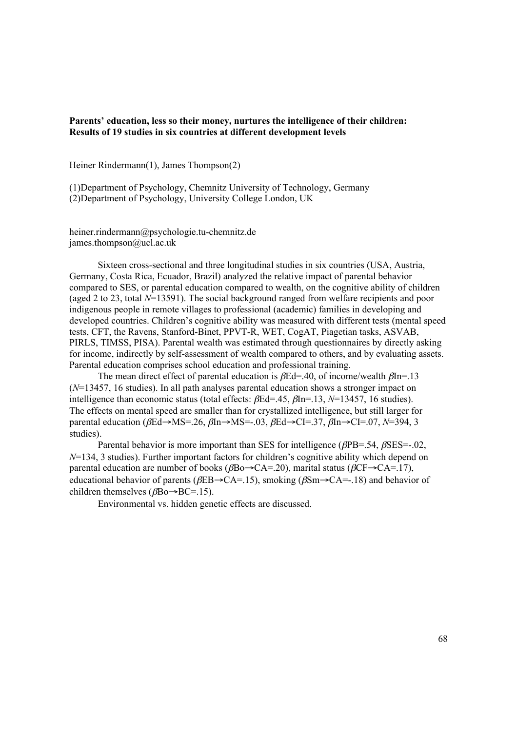### **Parents' education, less so their money, nurtures the intelligence of their children: Results of 19 studies in six countries at different development levels**

Heiner Rindermann(1), James Thompson(2)

(1)Department of Psychology, Chemnitz University of Technology, Germany (2)Department of Psychology, University College London, UK

heiner.rindermann@psychologie.tu-chemnitz.de james.thompson@ucl.ac.uk

Sixteen cross-sectional and three longitudinal studies in six countries (USA, Austria, Germany, Costa Rica, Ecuador, Brazil) analyzed the relative impact of parental behavior compared to SES, or parental education compared to wealth, on the cognitive ability of children (aged 2 to 23, total *N*=13591). The social background ranged from welfare recipients and poor indigenous people in remote villages to professional (academic) families in developing and developed countries. Children's cognitive ability was measured with different tests (mental speed tests, CFT, the Ravens, Stanford-Binet, PPVT-R, WET, CogAT, Piagetian tasks, ASVAB, PIRLS, TIMSS, PISA). Parental wealth was estimated through questionnaires by directly asking for income, indirectly by self-assessment of wealth compared to others, and by evaluating assets. Parental education comprises school education and professional training.

The mean direct effect of parental education is  $\beta$ Ed=.40, of income/wealth  $\beta$ In=.13 (*N*=13457, 16 studies). In all path analyses parental education shows a stronger impact on intelligence than economic status (total effects: βEd=.45, βIn=.13, *N*=13457, 16 studies). The effects on mental speed are smaller than for crystallized intelligence, but still larger for parental education (βEd→MS=.26, βIn→MS=-.03, βEd→CI=.37, βIn→CI=.07, *N*=394, 3 studies).

Parental behavior is more important than SES for intelligence ( $\beta$ PB=.54,  $\beta$ SES=-.02, *N*=134, 3 studies). Further important factors for children's cognitive ability which depend on parental education are number of books ( $\beta$ Bo $\rightarrow$ CA=.20), marital status ( $\beta$ CF $\rightarrow$ CA=.17), educational behavior of parents ( $\beta$ EB $\rightarrow$ CA=.15), smoking ( $\beta$ Sm $\rightarrow$ CA=-.18) and behavior of children themselves (βBo→BC=.15).

Environmental vs. hidden genetic effects are discussed.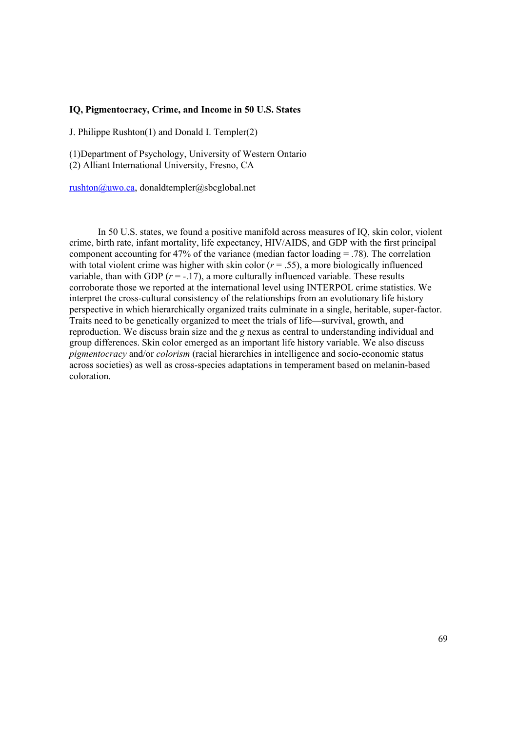### **IQ, Pigmentocracy, Crime, and Income in 50 U.S. States**

J. Philippe Rushton(1) and Donald I. Templer(2)

(1)Department of Psychology, University of Western Ontario (2) Alliant International University, Fresno, CA

rushton@uwo.ca, donaldtempler@sbcglobal.net

In 50 U.S. states, we found a positive manifold across measures of IQ, skin color, violent crime, birth rate, infant mortality, life expectancy, HIV/AIDS, and GDP with the first principal component accounting for 47% of the variance (median factor loading = .78). The correlation with total violent crime was higher with skin color  $(r = .55)$ , a more biologically influenced variable, than with GDP  $(r = -17)$ , a more culturally influenced variable. These results corroborate those we reported at the international level using INTERPOL crime statistics. We interpret the cross-cultural consistency of the relationships from an evolutionary life history perspective in which hierarchically organized traits culminate in a single, heritable, super-factor. Traits need to be genetically organized to meet the trials of life—survival, growth, and reproduction. We discuss brain size and the *g* nexus as central to understanding individual and group differences. Skin color emerged as an important life history variable. We also discuss *pigmentocracy* and/or *colorism* (racial hierarchies in intelligence and socio-economic status across societies) as well as cross-species adaptations in temperament based on melanin-based coloration.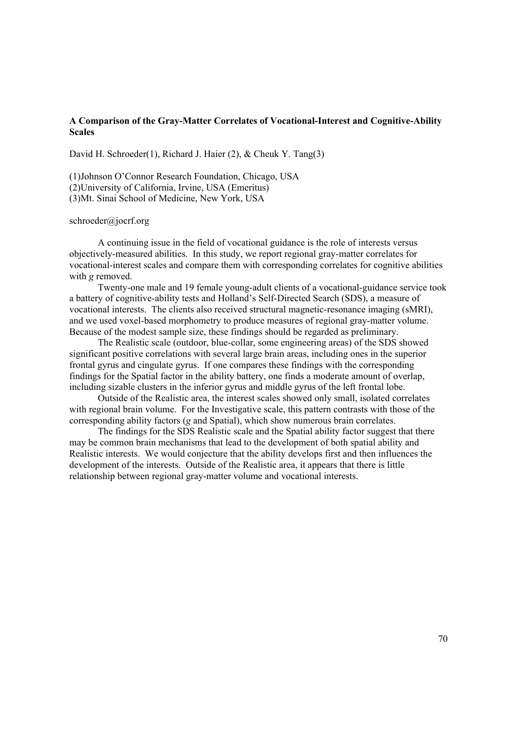### **A Comparison of the Gray-Matter Correlates of Vocational-Interest and Cognitive-Ability Scales**

David H. Schroeder(1), Richard J. Haier (2), & Cheuk Y. Tang(3)

(1)Johnson O'Connor Research Foundation, Chicago, USA (2)University of California, Irvine, USA (Emeritus) (3)Mt. Sinai School of Medicine, New York, USA

#### schroeder@jocrf.org

A continuing issue in the field of vocational guidance is the role of interests versus objectively-measured abilities. In this study, we report regional gray-matter correlates for vocational-interest scales and compare them with corresponding correlates for cognitive abilities with *g* removed.

Twenty-one male and 19 female young-adult clients of a vocational-guidance service took a battery of cognitive-ability tests and Holland's Self-Directed Search (SDS), a measure of vocational interests. The clients also received structural magnetic-resonance imaging (sMRI), and we used voxel-based morphometry to produce measures of regional gray-matter volume. Because of the modest sample size, these findings should be regarded as preliminary.

The Realistic scale (outdoor, blue-collar, some engineering areas) of the SDS showed significant positive correlations with several large brain areas, including ones in the superior frontal gyrus and cingulate gyrus. If one compares these findings with the corresponding findings for the Spatial factor in the ability battery, one finds a moderate amount of overlap, including sizable clusters in the inferior gyrus and middle gyrus of the left frontal lobe.

Outside of the Realistic area, the interest scales showed only small, isolated correlates with regional brain volume. For the Investigative scale, this pattern contrasts with those of the corresponding ability factors (*g* and Spatial), which show numerous brain correlates.

The findings for the SDS Realistic scale and the Spatial ability factor suggest that there may be common brain mechanisms that lead to the development of both spatial ability and Realistic interests. We would conjecture that the ability develops first and then influences the development of the interests. Outside of the Realistic area, it appears that there is little relationship between regional gray-matter volume and vocational interests.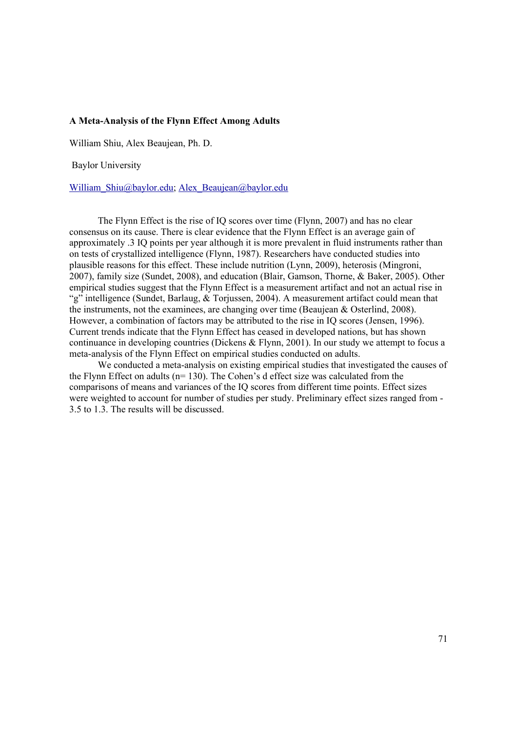## **A Meta-Analysis of the Flynn Effect Among Adults**

William Shiu, Alex Beaujean, Ph. D.

Baylor University

William\_Shiu@baylor.edu; Alex\_Beaujean@baylor.edu

The Flynn Effect is the rise of IQ scores over time (Flynn, 2007) and has no clear consensus on its cause. There is clear evidence that the Flynn Effect is an average gain of approximately .3 IQ points per year although it is more prevalent in fluid instruments rather than on tests of crystallized intelligence (Flynn, 1987). Researchers have conducted studies into plausible reasons for this effect. These include nutrition (Lynn, 2009), heterosis (Mingroni, 2007), family size (Sundet, 2008), and education (Blair, Gamson, Thorne, & Baker, 2005). Other empirical studies suggest that the Flynn Effect is a measurement artifact and not an actual rise in "g" intelligence (Sundet, Barlaug, & Torjussen, 2004). A measurement artifact could mean that the instruments, not the examinees, are changing over time (Beaujean & Osterlind, 2008). However, a combination of factors may be attributed to the rise in IQ scores (Jensen, 1996). Current trends indicate that the Flynn Effect has ceased in developed nations, but has shown continuance in developing countries (Dickens & Flynn, 2001). In our study we attempt to focus a meta-analysis of the Flynn Effect on empirical studies conducted on adults.

We conducted a meta-analysis on existing empirical studies that investigated the causes of the Flynn Effect on adults (n= 130). The Cohen's d effect size was calculated from the comparisons of means and variances of the IQ scores from different time points. Effect sizes were weighted to account for number of studies per study. Preliminary effect sizes ranged from - 3.5 to 1.3. The results will be discussed.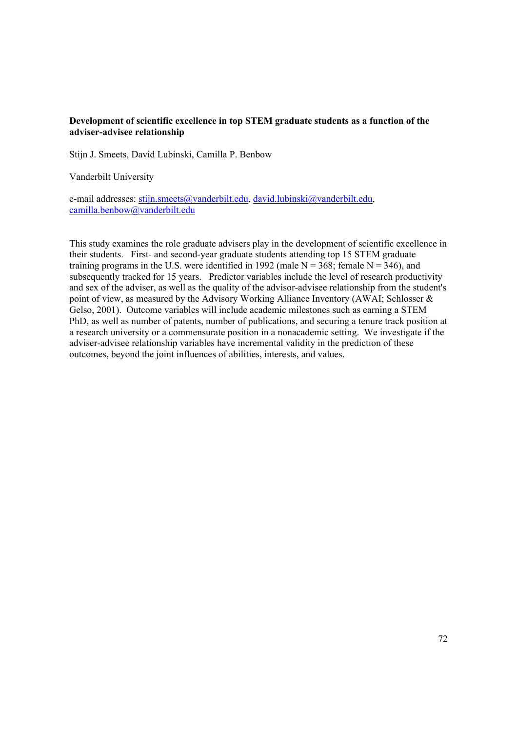# **Development of scientific excellence in top STEM graduate students as a function of the adviser-advisee relationship**

Stijn J. Smeets, David Lubinski, Camilla P. Benbow

Vanderbilt University

e-mail addresses: stijn.smeets@vanderbilt.edu, david.lubinski@vanderbilt.edu, camilla.benbow@vanderbilt.edu

This study examines the role graduate advisers play in the development of scientific excellence in their students. First- and second-year graduate students attending top 15 STEM graduate training programs in the U.S. were identified in 1992 (male  $N = 368$ ; female  $N = 346$ ), and subsequently tracked for 15 years. Predictor variables include the level of research productivity and sex of the adviser, as well as the quality of the advisor-advisee relationship from the student's point of view, as measured by the Advisory Working Alliance Inventory (AWAI; Schlosser & Gelso, 2001). Outcome variables will include academic milestones such as earning a STEM PhD, as well as number of patents, number of publications, and securing a tenure track position at a research university or a commensurate position in a nonacademic setting. We investigate if the adviser-advisee relationship variables have incremental validity in the prediction of these outcomes, beyond the joint influences of abilities, interests, and values.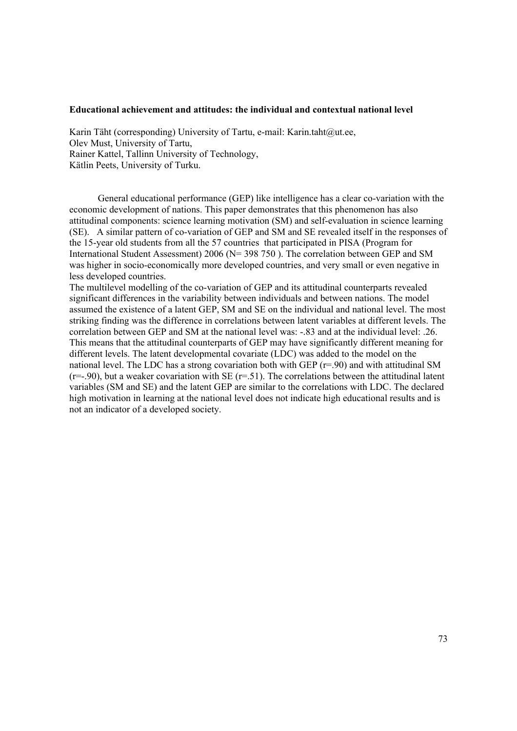### **Educational achievement and attitudes: the individual and contextual national level**

Karin Täht (corresponding) University of Tartu, e-mail: Karin.taht@ut.ee, Olev Must, University of Tartu, Rainer Kattel, Tallinn University of Technology, Kätlin Peets, University of Turku.

General educational performance (GEP) like intelligence has a clear co-variation with the economic development of nations. This paper demonstrates that this phenomenon has also attitudinal components: science learning motivation (SM) and self-evaluation in science learning (SE). A similar pattern of co-variation of GEP and SM and SE revealed itself in the responses of the 15-year old students from all the 57 countries that participated in PISA (Program for International Student Assessment) 2006 (N= 398 750 ). The correlation between GEP and SM was higher in socio-economically more developed countries, and very small or even negative in less developed countries.

The multilevel modelling of the co-variation of GEP and its attitudinal counterparts revealed significant differences in the variability between individuals and between nations. The model assumed the existence of a latent GEP, SM and SE on the individual and national level. The most striking finding was the difference in correlations between latent variables at different levels. The correlation between GEP and SM at the national level was: -.83 and at the individual level: .26. This means that the attitudinal counterparts of GEP may have significantly different meaning for different levels. The latent developmental covariate (LDC) was added to the model on the national level. The LDC has a strong covariation both with GEP  $(r=90)$  and with attitudinal SM  $(r=-.90)$ , but a weaker covariation with SE  $(r=-.51)$ . The correlations between the attitudinal latent variables (SM and SE) and the latent GEP are similar to the correlations with LDC. The declared high motivation in learning at the national level does not indicate high educational results and is not an indicator of a developed society.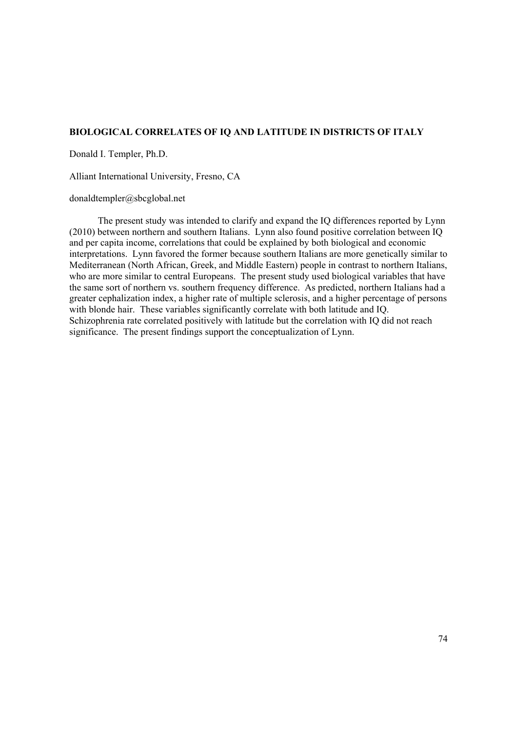# **BIOLOGICAL CORRELATES OF IQ AND LATITUDE IN DISTRICTS OF ITALY**

Donald I. Templer, Ph.D.

Alliant International University, Fresno, CA

## donaldtempler@sbcglobal.net

The present study was intended to clarify and expand the IQ differences reported by Lynn (2010) between northern and southern Italians. Lynn also found positive correlation between IQ and per capita income, correlations that could be explained by both biological and economic interpretations. Lynn favored the former because southern Italians are more genetically similar to Mediterranean (North African, Greek, and Middle Eastern) people in contrast to northern Italians, who are more similar to central Europeans. The present study used biological variables that have the same sort of northern vs. southern frequency difference. As predicted, northern Italians had a greater cephalization index, a higher rate of multiple sclerosis, and a higher percentage of persons with blonde hair. These variables significantly correlate with both latitude and IO. Schizophrenia rate correlated positively with latitude but the correlation with IQ did not reach significance. The present findings support the conceptualization of Lynn.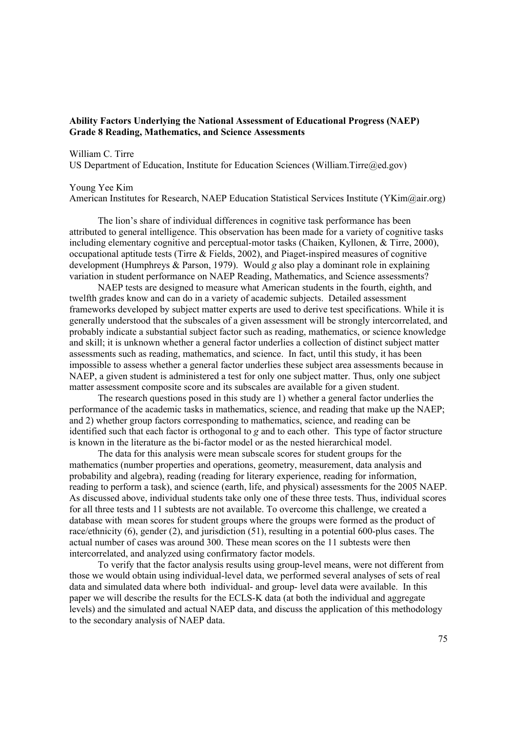## **Ability Factors Underlying the National Assessment of Educational Progress (NAEP) Grade 8 Reading, Mathematics, and Science Assessments**

#### William C. Tirre

US Department of Education, Institute for Education Sciences (William.Tirre@ed.gov)

#### Young Yee Kim

American Institutes for Research, NAEP Education Statistical Services Institute (YKim@air.org)

The lion's share of individual differences in cognitive task performance has been attributed to general intelligence. This observation has been made for a variety of cognitive tasks including elementary cognitive and perceptual-motor tasks (Chaiken, Kyllonen, & Tirre, 2000), occupational aptitude tests (Tirre & Fields, 2002), and Piaget-inspired measures of cognitive development (Humphreys & Parson, 1979). Would *g* also play a dominant role in explaining variation in student performance on NAEP Reading, Mathematics, and Science assessments?

NAEP tests are designed to measure what American students in the fourth, eighth, and twelfth grades know and can do in a variety of academic subjects. Detailed assessment frameworks developed by subject matter experts are used to derive test specifications. While it is generally understood that the subscales of a given assessment will be strongly intercorrelated, and probably indicate a substantial subject factor such as reading, mathematics, or science knowledge and skill; it is unknown whether a general factor underlies a collection of distinct subject matter assessments such as reading, mathematics, and science. In fact, until this study, it has been impossible to assess whether a general factor underlies these subject area assessments because in NAEP, a given student is administered a test for only one subject matter. Thus, only one subject matter assessment composite score and its subscales are available for a given student.

The research questions posed in this study are 1) whether a general factor underlies the performance of the academic tasks in mathematics, science, and reading that make up the NAEP; and 2) whether group factors corresponding to mathematics, science, and reading can be identified such that each factor is orthogonal to *g* and to each other. This type of factor structure is known in the literature as the bi-factor model or as the nested hierarchical model.

The data for this analysis were mean subscale scores for student groups for the mathematics (number properties and operations, geometry, measurement, data analysis and probability and algebra), reading (reading for literary experience, reading for information, reading to perform a task), and science (earth, life, and physical) assessments for the 2005 NAEP. As discussed above, individual students take only one of these three tests. Thus, individual scores for all three tests and 11 subtests are not available. To overcome this challenge, we created a database with mean scores for student groups where the groups were formed as the product of race/ethnicity (6), gender (2), and jurisdiction (51), resulting in a potential 600-plus cases. The actual number of cases was around 300. These mean scores on the 11 subtests were then intercorrelated, and analyzed using confirmatory factor models.

To verify that the factor analysis results using group-level means, were not different from those we would obtain using individual-level data, we performed several analyses of sets of real data and simulated data where both individual- and group- level data were available. In this paper we will describe the results for the ECLS-K data (at both the individual and aggregate levels) and the simulated and actual NAEP data, and discuss the application of this methodology to the secondary analysis of NAEP data.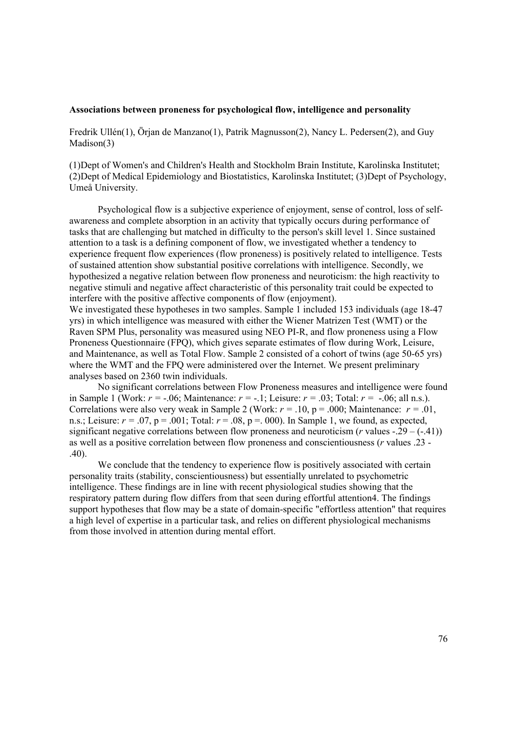### **Associations between proneness for psychological flow, intelligence and personality**

Fredrik Ullén(1), Örjan de Manzano(1), Patrik Magnusson(2), Nancy L. Pedersen(2), and Guy Madison(3)

(1)Dept of Women's and Children's Health and Stockholm Brain Institute, Karolinska Institutet; (2)Dept of Medical Epidemiology and Biostatistics, Karolinska Institutet; (3)Dept of Psychology, Umeå University.

Psychological flow is a subjective experience of enjoyment, sense of control, loss of selfawareness and complete absorption in an activity that typically occurs during performance of tasks that are challenging but matched in difficulty to the person's skill level 1. Since sustained attention to a task is a defining component of flow, we investigated whether a tendency to experience frequent flow experiences (flow proneness) is positively related to intelligence. Tests of sustained attention show substantial positive correlations with intelligence. Secondly, we hypothesized a negative relation between flow proneness and neuroticism: the high reactivity to negative stimuli and negative affect characteristic of this personality trait could be expected to interfere with the positive affective components of flow (enjoyment).

We investigated these hypotheses in two samples. Sample 1 included 153 individuals (age 18-47) yrs) in which intelligence was measured with either the Wiener Matrizen Test (WMT) or the Raven SPM Plus, personality was measured using NEO PI-R, and flow proneness using a Flow Proneness Questionnaire (FPQ), which gives separate estimates of flow during Work, Leisure, and Maintenance, as well as Total Flow. Sample 2 consisted of a cohort of twins (age 50-65 yrs) where the WMT and the FPQ were administered over the Internet. We present preliminary analyses based on 2360 twin individuals.

No significant correlations between Flow Proneness measures and intelligence were found in Sample 1 (Work: *r =* -.06; Maintenance: *r =* -.1; Leisure: *r =* .03; Total: *r =* -.06; all n.s.). Correlations were also very weak in Sample 2 (Work:  $r = .10$ ,  $p = .000$ ; Maintenance:  $r = .01$ , n.s.; Leisure:  $r = .07$ ,  $p = .001$ ; Total:  $r = .08$ ,  $p = .000$ ). In Sample 1, we found, as expected, significant negative correlations between flow proneness and neuroticism ( $r$  values -.29 – (-.41)) as well as a positive correlation between flow proneness and conscientiousness (*r* values .23 - .40).

We conclude that the tendency to experience flow is positively associated with certain personality traits (stability, conscientiousness) but essentially unrelated to psychometric intelligence. These findings are in line with recent physiological studies showing that the respiratory pattern during flow differs from that seen during effortful attention4. The findings support hypotheses that flow may be a state of domain-specific "effortless attention" that requires a high level of expertise in a particular task, and relies on different physiological mechanisms from those involved in attention during mental effort.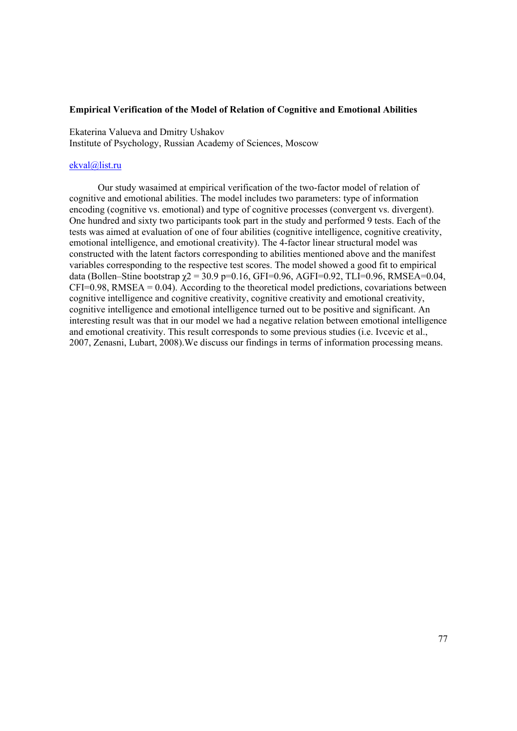### **Empirical Verification of the Model of Relation of Cognitive and Emotional Abilities**

Ekaterina Valueva and Dmitry Ushakov Institute of Psychology, Russian Academy of Sciences, Moscow

## ekval@list.ru

Our study wasaimed at empirical verification of the two-factor model of relation of cognitive and emotional abilities. The model includes two parameters: type of information encoding (cognitive vs. emotional) and type of cognitive processes (convergent vs. divergent). One hundred and sixty two participants took part in the study and performed 9 tests. Each of the tests was aimed at evaluation of one of four abilities (cognitive intelligence, cognitive creativity, emotional intelligence, and emotional creativity). The 4-factor linear structural model was constructed with the latent factors corresponding to abilities mentioned above and the manifest variables corresponding to the respective test scores. The model showed a good fit to empirical data (Bollen–Stine bootstrap  $χ$ 2 = 30.9 p=0.16, GFI=0.96, AGFI=0.92, TLI=0.96, RMSEA=0.04,  $CFI=0.98$ , RMSEA =  $0.04$ ). According to the theoretical model predictions, covariations between cognitive intelligence and cognitive creativity, cognitive creativity and emotional creativity, cognitive intelligence and emotional intelligence turned out to be positive and significant. An interesting result was that in our model we had a negative relation between emotional intelligence and emotional creativity. This result corresponds to some previous studies (i.e. Ivcevic et al., 2007, Zenasni, Lubart, 2008).We discuss our findings in terms of information processing means.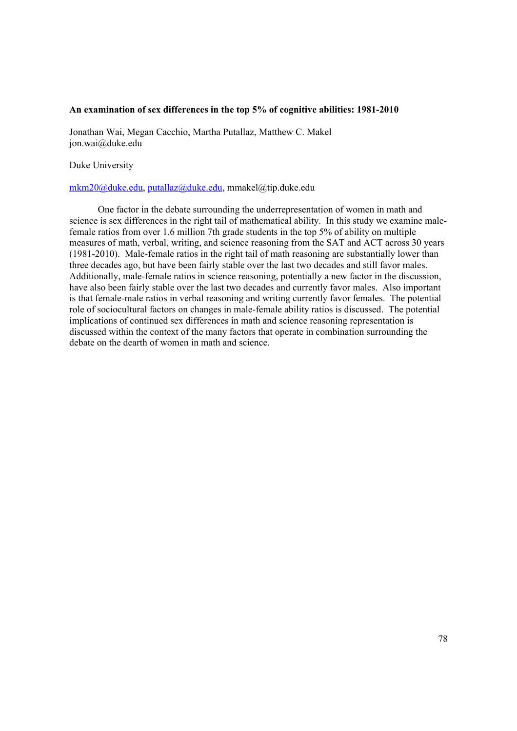### **An examination of sex differences in the top 5% of cognitive abilities: 1981-2010**

Jonathan Wai, Megan Cacchio, Martha Putallaz, Matthew C. Makel jon.wai@duke.edu

Duke University

### mkm20@duke.edu, putallaz@duke.edu, mmakel@tip.duke.edu

One factor in the debate surrounding the underrepresentation of women in math and science is sex differences in the right tail of mathematical ability. In this study we examine malefemale ratios from over 1.6 million 7th grade students in the top 5% of ability on multiple measures of math, verbal, writing, and science reasoning from the SAT and ACT across 30 years (1981-2010). Male-female ratios in the right tail of math reasoning are substantially lower than three decades ago, but have been fairly stable over the last two decades and still favor males. Additionally, male-female ratios in science reasoning, potentially a new factor in the discussion, have also been fairly stable over the last two decades and currently favor males. Also important is that female-male ratios in verbal reasoning and writing currently favor females. The potential role of sociocultural factors on changes in male-female ability ratios is discussed. The potential implications of continued sex differences in math and science reasoning representation is discussed within the context of the many factors that operate in combination surrounding the debate on the dearth of women in math and science.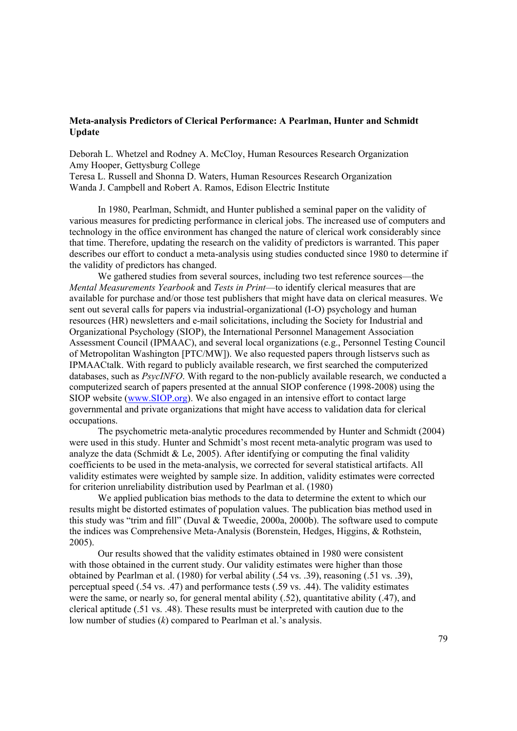# **Meta-analysis Predictors of Clerical Performance: A Pearlman, Hunter and Schmidt Update**

Deborah L. Whetzel and Rodney A. McCloy, Human Resources Research Organization Amy Hooper, Gettysburg College

Teresa L. Russell and Shonna D. Waters, Human Resources Research Organization Wanda J. Campbell and Robert A. Ramos, Edison Electric Institute

In 1980, Pearlman, Schmidt, and Hunter published a seminal paper on the validity of various measures for predicting performance in clerical jobs. The increased use of computers and technology in the office environment has changed the nature of clerical work considerably since that time. Therefore, updating the research on the validity of predictors is warranted. This paper describes our effort to conduct a meta-analysis using studies conducted since 1980 to determine if the validity of predictors has changed.

We gathered studies from several sources, including two test reference sources—the *Mental Measurements Yearbook* and *Tests in Print*—to identify clerical measures that are available for purchase and/or those test publishers that might have data on clerical measures. We sent out several calls for papers via industrial-organizational (I-O) psychology and human resources (HR) newsletters and e-mail solicitations, including the Society for Industrial and Organizational Psychology (SIOP), the International Personnel Management Association Assessment Council (IPMAAC), and several local organizations (e.g., Personnel Testing Council of Metropolitan Washington [PTC/MW]). We also requested papers through listservs such as IPMAACtalk. With regard to publicly available research, we first searched the computerized databases, such as *PsycINFO*. With regard to the non-publicly available research, we conducted a computerized search of papers presented at the annual SIOP conference (1998-2008) using the SIOP website (www.SIOP.org). We also engaged in an intensive effort to contact large governmental and private organizations that might have access to validation data for clerical occupations.

The psychometric meta-analytic procedures recommended by Hunter and Schmidt (2004) were used in this study. Hunter and Schmidt's most recent meta-analytic program was used to analyze the data (Schmidt & Le, 2005). After identifying or computing the final validity coefficients to be used in the meta-analysis, we corrected for several statistical artifacts. All validity estimates were weighted by sample size. In addition, validity estimates were corrected for criterion unreliability distribution used by Pearlman et al. (1980)

We applied publication bias methods to the data to determine the extent to which our results might be distorted estimates of population values. The publication bias method used in this study was "trim and fill" (Duval & Tweedie, 2000a, 2000b). The software used to compute the indices was Comprehensive Meta-Analysis (Borenstein, Hedges, Higgins, & Rothstein, 2005).

Our results showed that the validity estimates obtained in 1980 were consistent with those obtained in the current study. Our validity estimates were higher than those obtained by Pearlman et al. (1980) for verbal ability (.54 vs. .39), reasoning (.51 vs. .39), perceptual speed (.54 vs. .47) and performance tests (.59 vs. .44). The validity estimates were the same, or nearly so, for general mental ability (.52), quantitative ability (.47), and clerical aptitude (.51 vs. .48). These results must be interpreted with caution due to the low number of studies (*k*) compared to Pearlman et al.'s analysis.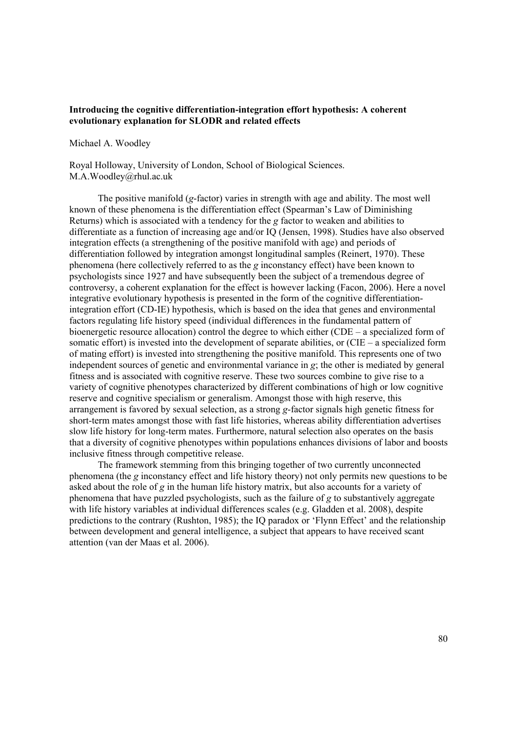# **Introducing the cognitive differentiation-integration effort hypothesis: A coherent evolutionary explanation for SLODR and related effects**

### Michael A. Woodley

Royal Holloway, University of London, School of Biological Sciences. M.A.Woodley@rhul.ac.uk

The positive manifold (*g*-factor) varies in strength with age and ability. The most well known of these phenomena is the differentiation effect (Spearman's Law of Diminishing Returns) which is associated with a tendency for the *g* factor to weaken and abilities to differentiate as a function of increasing age and/or IQ (Jensen, 1998). Studies have also observed integration effects (a strengthening of the positive manifold with age) and periods of differentiation followed by integration amongst longitudinal samples (Reinert, 1970). These phenomena (here collectively referred to as the *g* inconstancy effect) have been known to psychologists since 1927 and have subsequently been the subject of a tremendous degree of controversy, a coherent explanation for the effect is however lacking (Facon, 2006). Here a novel integrative evolutionary hypothesis is presented in the form of the cognitive differentiationintegration effort (CD-IE) hypothesis, which is based on the idea that genes and environmental factors regulating life history speed (individual differences in the fundamental pattern of bioenergetic resource allocation) control the degree to which either (CDE – a specialized form of somatic effort) is invested into the development of separate abilities, or (CIE – a specialized form of mating effort) is invested into strengthening the positive manifold. This represents one of two independent sources of genetic and environmental variance in *g*; the other is mediated by general fitness and is associated with cognitive reserve. These two sources combine to give rise to a variety of cognitive phenotypes characterized by different combinations of high or low cognitive reserve and cognitive specialism or generalism. Amongst those with high reserve, this arrangement is favored by sexual selection, as a strong *g*-factor signals high genetic fitness for short-term mates amongst those with fast life histories, whereas ability differentiation advertises slow life history for long-term mates. Furthermore, natural selection also operates on the basis that a diversity of cognitive phenotypes within populations enhances divisions of labor and boosts inclusive fitness through competitive release.

The framework stemming from this bringing together of two currently unconnected phenomena (the *g* inconstancy effect and life history theory) not only permits new questions to be asked about the role of *g* in the human life history matrix, but also accounts for a variety of phenomena that have puzzled psychologists, such as the failure of *g* to substantively aggregate with life history variables at individual differences scales (e.g. Gladden et al. 2008), despite predictions to the contrary (Rushton, 1985); the IQ paradox or 'Flynn Effect' and the relationship between development and general intelligence, a subject that appears to have received scant attention (van der Maas et al. 2006).